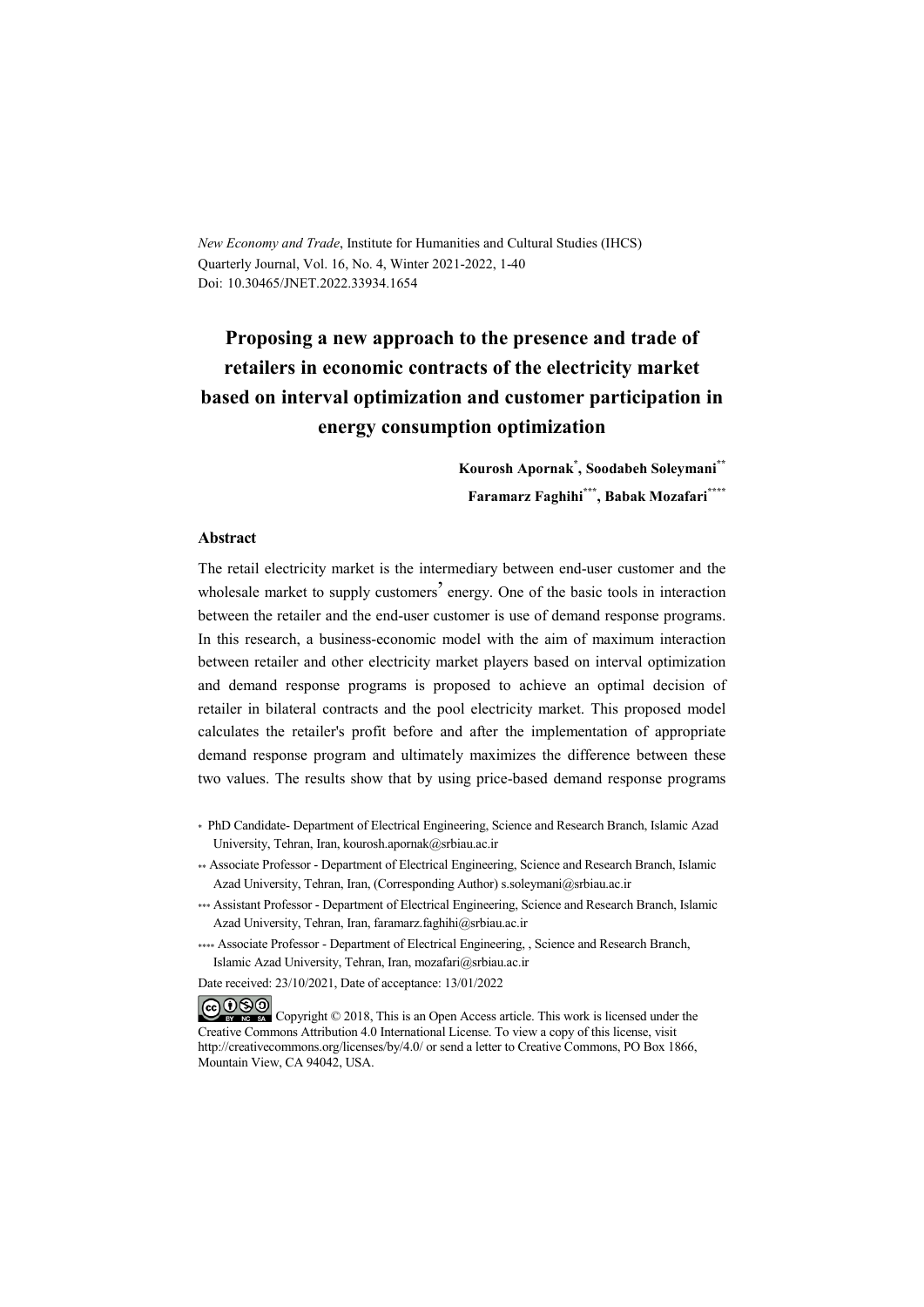*New Economy and Trade*, Institute for Humanities and Cultural Studies (IHCS) Quarterly Journal, Vol. 16, No. 4, Winter 2021-2022, 1-40 Doi: 10.30465/JNET.2022.33934.1654

# **Proposing a new approach to the presence and trade of retailers in economic contracts of the electricity market based on interval optimization and customer participation in energy consumption optimization**

**Kourosh Apornak\* , Soodabeh Soleymani\*\* Faramarz Faghihi\*\*\* , Babak Mozafari\*\*\*\***

### **Abstract**

The retail electricity market is the intermediary between end-user customer and the wholesale market to supply customers<sup>'</sup> energy. One of the basic tools in interaction between the retailer and the end-user customer is use of demand response programs. In this research, a business-economic model with the aim of maximum interaction between retailer and other electricity market players based on interval optimization and demand response programs is proposed to achieve an optimal decision of retailer in bilateral contracts and the pool electricity market. This proposed model calculates the retailer's profit before and after the implementation of appropriate demand response program and ultimately maximizes the difference between these two values. The results show that by using price-based demand response programs

- \* PhD Candidate- Department of Electrical Engineering, Science and Research Branch, Islamic Azad University, Tehran, Iran, kourosh.apornak@srbiau.ac.ir
- \*\* Associate Professor Department of Electrical Engineering, Science and Research Branch, Islamic Azad University, Tehran, Iran, (Corresponding Author) s.soleymani@srbiau.ac.ir
- \*\*\* Assistant Professor Department of Electrical Engineering, Science and Research Branch, Islamic Azad University, Tehran, Iran, faramarz.faghihi@srbiau.ac.ir
- \*\*\*\* Associate Professor Department of Electrical Engineering, , Science and Research Branch, Islamic Azad University, Tehran, Iran, mozafari@srbiau.ac.ir

Date received: 23/10/2021, Date of acceptance: 13/01/2022

COOO Copyright © 2018, This is an Open Access article. This work is licensed under the Creative Commons Attribution 4.0 International License. To view a copy of this license, visit http://creativecommons.org/licenses/by/4.0/ or send a letter to Creative Commons, PO Box 1866, Mountain View, CA 94042, USA.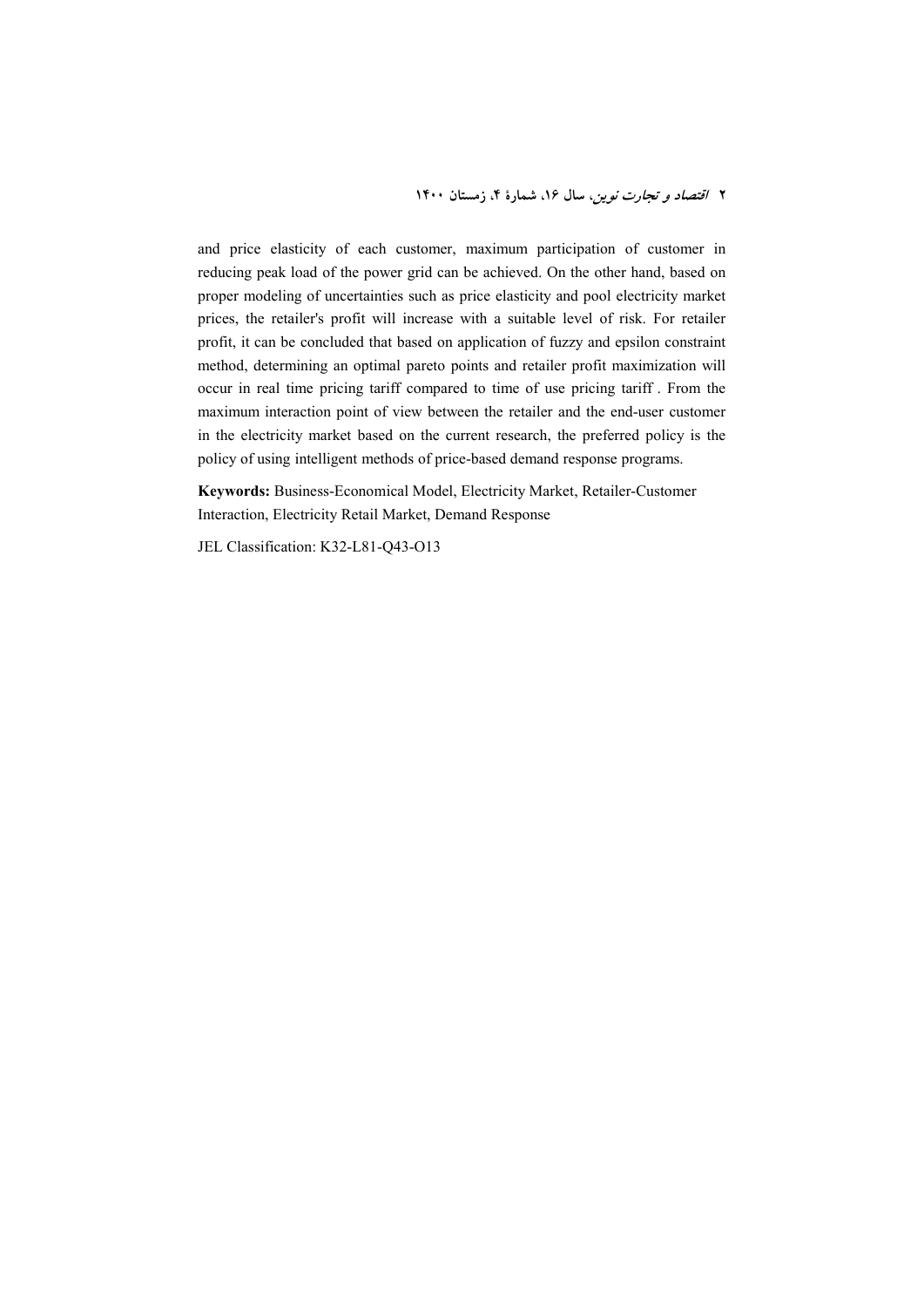and price elasticity of each customer, maximum participation of customer in reducing peak load of the power grid can be achieved. On the other hand, based on proper modeling of uncertainties such as price elasticity and pool electricity market prices, the retailer's profit will increase with a suitable level of risk. For retailer profit, it can be concluded that based on application of fuzzy and epsilon constraint method, determining an optimal pareto points and retailer profit maximization will occur in real time pricing tariff compared to time of use pricing tariff . From the maximum interaction point of view between the retailer and the end-user customer in the electricity market based on the current research, the preferred policy is the policy of using intelligent methods of price-based demand response programs.

**Keywords:** Business-Economical Model, Electricity Market, Retailer-Customer Interaction, Electricity Retail Market, Demand Response

JEL Classification: K32-L81-Q43-O13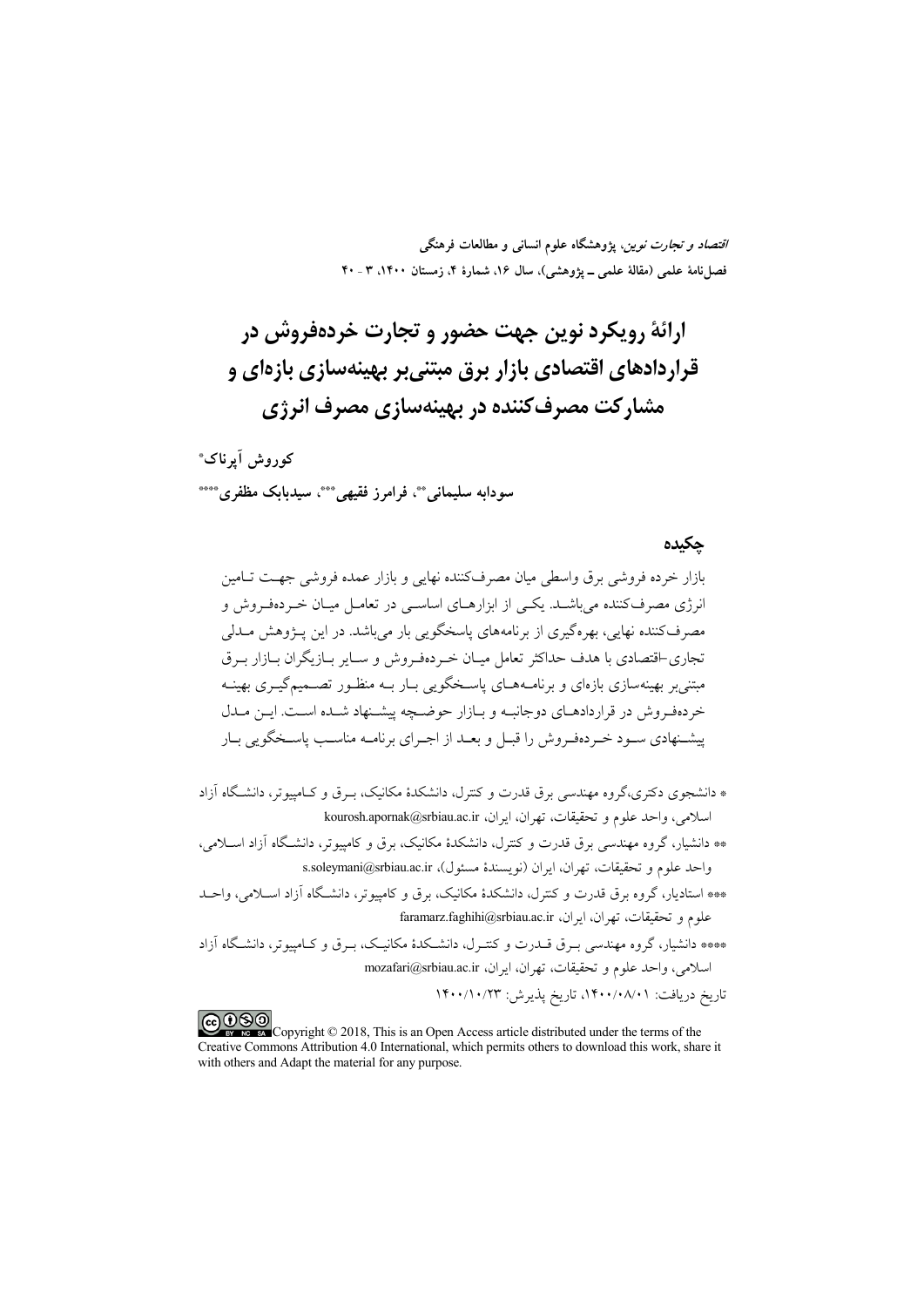*اقتصاد و تجارت نوین*، پژوهشگاه علوم انسان<sub>ی</sub> و مطالعات فرهنگی فصلنامهٔ علمی (مقالهٔ علمی ـ پژوهشی)، سال ۱۶، شمارهٔ ۴، زمستان ۱۴۰۰، ۳ ـ ۴۰

ارائهٔ رویکرد نوین جهت حضور و تجارت خردهفروش در قراردادهای اقتصادی بازار برق مبتنیبر بهینهسازی بازهای و مشارکت مصرف کننده در بهینهسازی مصرف انرژی

كوروش أيرناك\* سودابه سلیمانی \*\*، فرامرز فقیهی \*\*\*، سیدبابک مظفر بی\*\*\*

#### حكىدە

بازار خرده فروشي برق واسطى ميان مصرفكننده نهايي و بازار عمده فروشي جهت تــامين انرژی مصرف کننده مے باشید. یکیے از ایزارهیای اساسے در تعامیل میان خبردهف وش و مصرفکننده نهایی، بهرهگیری از برنامههای یاسخگویی بار میباشد. در این پـژوهش مــدلی تجاری-اقتصادی با هدف حداکثر تعامل میان خبر دهف وش و سپایر بیاز یگران بیازار پیرق مبتنی پر بهینهسازی بازهای و برنامـههـای پاسـخگویی بـار بـه منظـور تصــمیمگیـری بهینــه خردهفروش در قراردادهـاي دوجانبـه و بـازار حوضـچه پيشـنهاد شـده اسـت. ايـن مـدل پیشـنهادی سـود خـردهفـروش را قبـل و بعــد از اجـرای برنامــه مناســب پاســخگویی بــار

\* دانشجوی دکتری،گروه مهندسی برق قدرت و کنترل، دانشکدهٔ مکانیک، بـرق و کـامپیوتر، دانشگاه آزاد اسلامي، واحد علوم و تحقيقات، تهران، ايران، kourosh.apornak@srbiau.ac.ir

\*\* دانشیار، گروه مهندس<sub>ی</sub> برق قدرت و کنترل، دانشکدهٔ مکانیک، برق و کامپیوتر، دانشگاه آزاد اسـلامی، واحد علوم و تحقيقات، تهران، ايران (نويسندهٔ مسئول)، s.soleymani@srbiau.ac.ir

\*\*\* استادیار، گروه برق قدرت و کنترل، دانشکدهٔ مکانیک، برق و کامپیوتر، دانشگاه آزاد اسـلامی، واحـد علوم و تحقيقات، تهران، ايران، faramarz.faghihi@srbiau.ac.ir

\*\*\*\* دانشبار، گروه مهندسے بے ق قبدرت و کنتے ل، دانشبکدۂ مکانیک، سرق و کیامپیوتر، دانشبگاه آزاد اسلامي، واحد علوم و تحقيقات، تهران، ايران، mozafari@srbiau.ac.ir تاريخ دريافت: ٠/٨/٠١/١٤١٠، تاريخ پذيرش: ١۴٠٠/١٠/٢٣

COOD Copyright © 2018, This is an Open Access article distributed under the terms of the Creative Commons Attribution 4.0 International, which permits others to download this work, share it with others and Adapt the material for any purpose.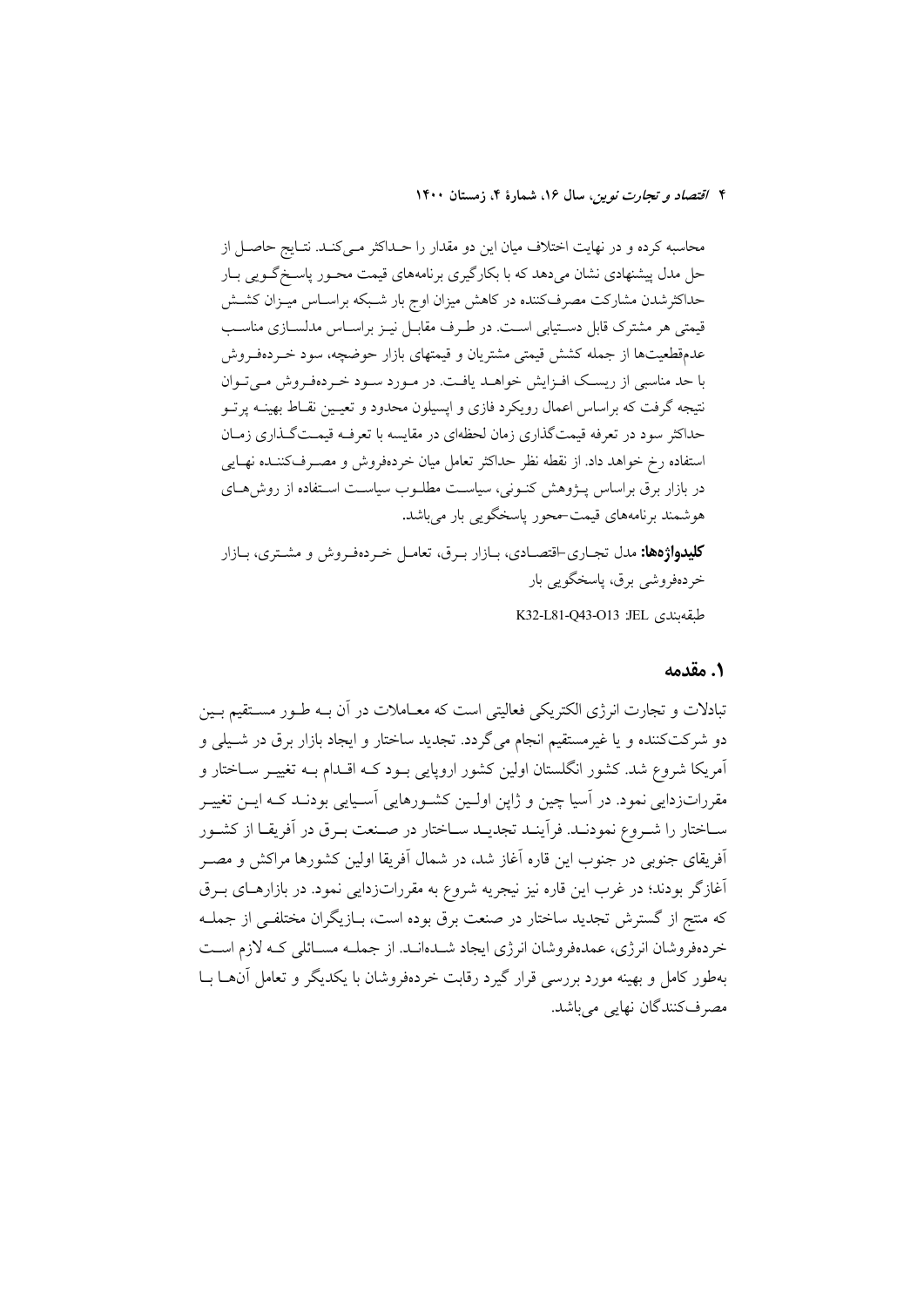محاسبه کرده و در نهایت اختلاف میان این دو مقدار را حـداکثر مـیکنـد. نتـایج حاصـل از حل مدل پیشنهادی نشان میدهد که با بکارگیری برنامههای قیمت محـور پاسـخگـویی بـار حداکثرشدن مشارکت مصرفکننده در کاهش میزان اوج بار شـبکه براسـاس میـزان کشـش قیمتی هر مشترک قابل دستیابی است. در طـرف مقابـل نیـز براسـاس مدلسـازی مناسـب عدمقطعیتها از جمله کشش قیمتی مشتریان و قیمتهای بازار حوضچه، سود خـردهفـروش با حد مناسبی از ریسک افـزایش خواهـد یافـت. در مـورد سـود خـردهفـروش مـیتوان نتیجه گرفت که براساس اعمال رویکرد فازی و ایسیلون محدود و تعیـین نقـاط بهینــه پرتــو حداکثر سود در تعرفه قیمتگذاری زمان لحظهای در مقایسه با تعرف قیمتگذاری زمـان استفاده رخ خواهد داد. از نقطه نظر حداكثر تعامل ميان خردهفروش و مصــرفکننــده نهــايي در بازار برق براساس پــژوهش کنــونی، سیاســت مطلــوب سیاســت اســتفاده از روش۵حـای هوشمند برنامههای قیمت-محور پاسخگویی بار میباشد.

**کلیدواژهها:** مدل تجـاري-اقتصــادي، بــازار بــرق، تعامــل خــردهفـروش و مشــتري، بــازار خردەفروشى برق، پاسخگويى بار

طبقەبندى IEL 243-O13 K32-L81-Q43-O13

### 1. مقدمه

تبادلات و تجارت انرژی الکتریکی فعالیتی است که معــاملات در آن بــه طــور مســتقیم بــین دو شرکتکننده و یا غیرمستقیم انجام میگردد. تجدید ساختار و ایجاد بازار برق در شـیلی و آمریکا شروع شد. کشور انگلستان اولین کشور اروپایی بـود کـه اقـدام بـه تغییـر سـاختار و مقرراتزدایی نمود. در آسیا چین و ژاین اولـین کشـورهایی آسـیایی بودنـد کـه ایــن تغییــر سـاختار را شـروع نمودنـد. فرأينـد تجديـد سـاختار در صـنعت بـرق در أفريقـا از كشـور آفريقاي جنوبي در جنوب اين قاره آغاز شد، در شمال آفريقا اولين كشورها مراكش و مصــر آغازگر بودند؛ در غرب این قاره نیز نیجریه شروع به مقرراتزدایی نمود. در بازارهـای بــرق که منتج از گسترش تجدید ساختار در صنعت برق بوده است، بــازیگران مختلفــی از جملــه خردهفروشان انرژی، عمدهفروشان انرژی ایجاد شــدهانــد. از جملــه مســائلی کــه لازم اســت بهطور کامل و بهینه مورد بررسی قرار گیرد رقابت خردهفروشان با یکدیگر و تعامل آن ها بــا مصرفکنندگان نهایی میباشد.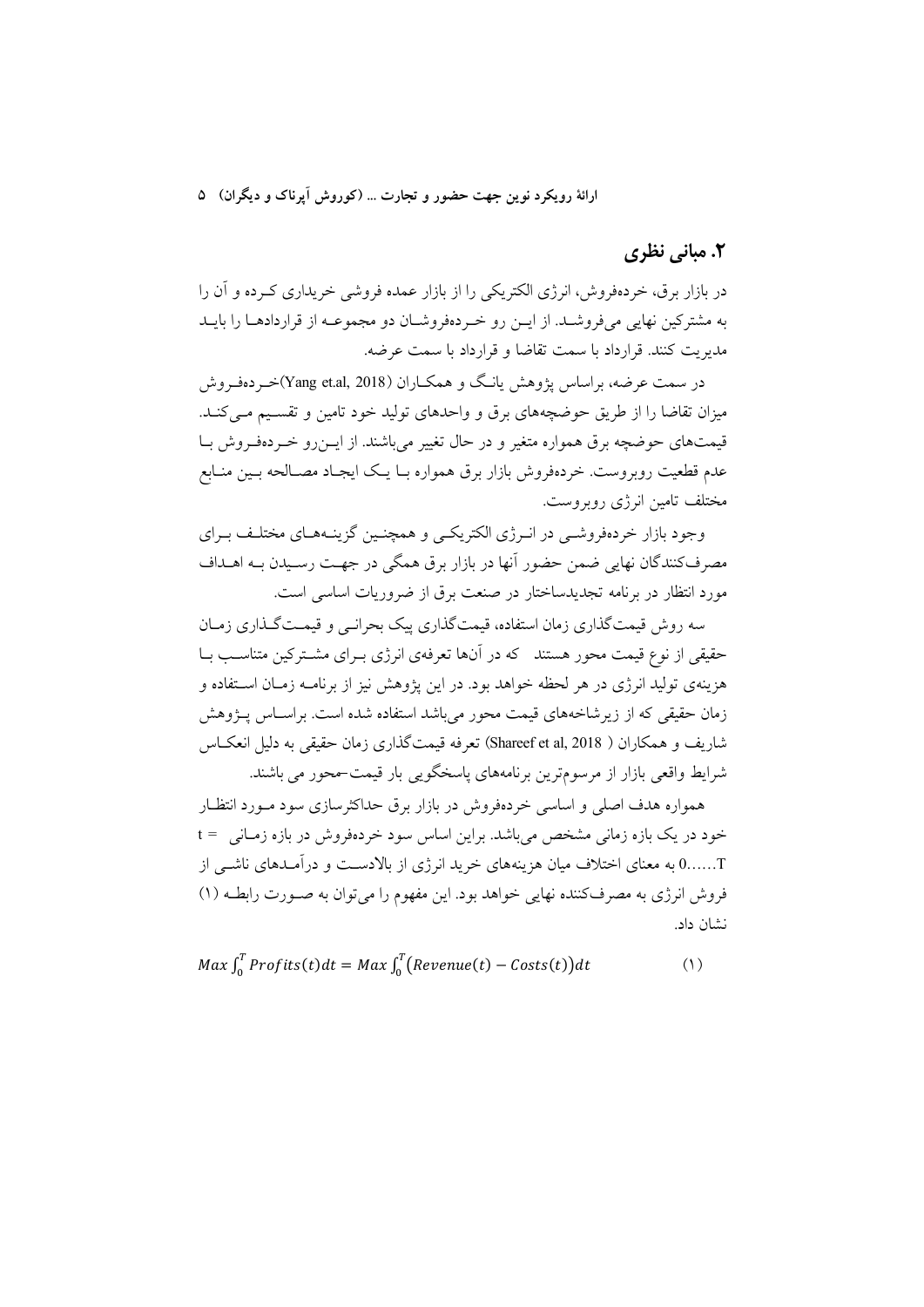ارائهٔ رویکرد نوین جهت حضور و تجارت … (کوروش اَیرناک و دیگران) ۵

## ٢. مباني نظري

در بازار برق، خردهفروش، انرژی الکتریکی را از بازار عمده فروشی خریداری که ده و آن را به مشتركين نهايي مي فروشـد. از ايــن رو خــردهفروشــان دو مجموعــه از قراردادهــا را بايــد مدبريت كنند. قرارداد با سمت تقاضا و قرارداد با سمت عرضه.

در سمت عرضه، براساس پژوهش یانگ و همکــاران (Yang et.al, 2018)خــر دهفـروش میزان تقاضا را از طریق حوضچههای برق و واحدهای تولید خود تامین و تقسیم مـی کنـد. قیمتهای حوضچه برق همواره متغیر و در حال تغییر می باشند. از ایــزرو خــردهفـروش بــا عدم قطعیت روبروست. خردهفروش بازار برق همواره بـا یـک ایجـاد مصـالحه بـین منـابع مختلف تامین انرژی روبروست.

وجود بازار خردهفروشـي در انـرژي الكتريكـي و همچنـين گزينـههـاي مختلـف بـراي مصرف کنندگان نهایی ضمن حضور آنها در بازار برق همگی در جهـت رسـیدن بـه اهــداف مورد انتظار در برنامه تجدیدساختار در صنعت برق از ضروریات اساسی است.

سه روش قیمتگذاری زمان استفاده، قیمتگذاری پیک بحرانبی و قیمـتگـذاری زمـان حقیقی از نوع قیمت محور هستند که در آنها تعرفهی انرژی بـرای مشـترکین متناسـب بـا هزینهی تولید انرژی در هر لحظه خواهد بود. در این پژوهش نیز از برنامـه زمـان اسـتفاده و زمان حقیقی که از زیر شاخههای قیمت محور می باشد استفاده شده است. بر اســاس پـــژوهش شاريف و همكاران ( Shareef et al, 2018) تعرفه قيمتگذاري زمان حقيقي به دليل انعكــاس شرایط واقعی بازار از مرسومترین برنامههای پاسخگویی بار قیمت-محور می باشند.

همواره هدف اصلی و اساسی خردهفروش در بازار برق حداکثرسازی سود مـورد انتظـار خود در یک بازه زمانی مشخص میباشد. براین اساس سود خردهفروش در بازه زمـانی = t ......0 به معنای اختلاف میان هزینههای خرید انرژی از بالادسـت و درآمـدهای ناشــی از فروش انرژی به مصرفکننده نهایی خواهد بود. این مفهوم را می توان به صـورت رابطـه (۱) نشان داد.

$$
Max \int_0^T Profits(t)dt = Max \int_0^T (Revenue(t) - Costs(t))dt
$$
 (1)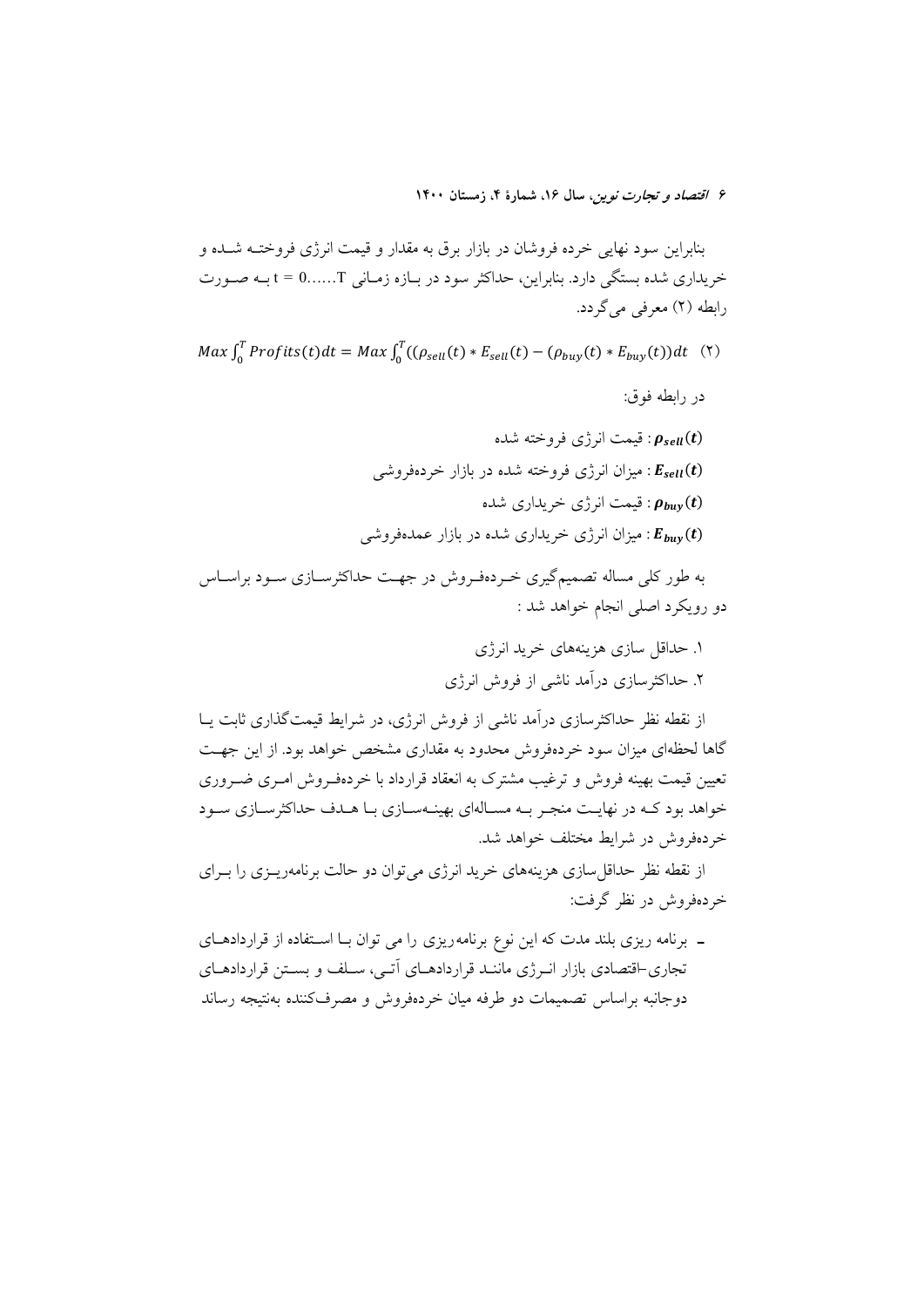بنابراین سود نهایی خرده فروشان در بازار برق به مقدار و قیمت انرژی فروختـه شـده و خریداری شده بستگی دارد. بنابراین، حداکثر سود در بـازه زمـانی t = 0......T بـه صـورت رابطه (۲) معرفی می گردد.

 $Max \int_0^T Profits(t)dt = Max \int_0^T ((\rho_{sell}(t) * E_{sell}(t) - (\rho_{buy}(t) * E_{buy}(t))dt \quad (7)$ 

در رابطه فوق:

: قیمت انرژی فروخته شده  $\bm{\rho}_{sell}(t)$ :  $E_{sell}(t)$  بمیزان انرژی فروخته شده در بازار خردهفروشبی: : قیمت انرژی خریداری شده  $\rho_{\textit{buv}}(t)$ عبران انرژی خریداری شده در بازار عمدهفروشی :  $E_{huv}(t)$ 

به طور کلی مساله تصمیمگیری خـردهفـروش در جهـت حداکثرسـازی سـود براسـاس دو رويكرد اصلى انجام خواهد شد :

> ١. حداقل سازي هزينههاي خريد انرژي ۲. حداکثرسازی درآمد ناشی از فروش انرژی

از نقطه نظر حداکثرسازی درآمد ناشی از فروش انرژی، در شرایط قیمتگذاری ثابت پــا گاها لحظهای میزان سود خردهفروش محدود به مقداری مشخص خواهد بود. از این جهت تعیین قیمت بهینه فروش و ترغیب مشترک به انعقاد قرارداد با خردهفـروش امـری ضـروری خواهد بود کـه در نهایـت منجـر بـه مسـالهای بهینـهسـازی بـا هـدف حداکثرسـازی سـود خردهفروش در شرايط مختلف خواهد شد.

از نقطه نظر حداقل سازی هزینههای خرید انرژی می توان دو حالت برنامهریــزی را بــرای خردهفروش در نظر گرفت:

ـ برنامه ریزی بلند مدت که این نوع برنامهریزی را می توان بـا اسـتفاده از قراردادهـای تجاری-اقتصادی بازار انـرژی ماننـد قراردادهــای اَتــی، ســلف و بســتن قراردادهــای دوجانبه براساس تصميمات دو طرفه ميان خردهفروش و مصرفكننده بهنتيجه رساند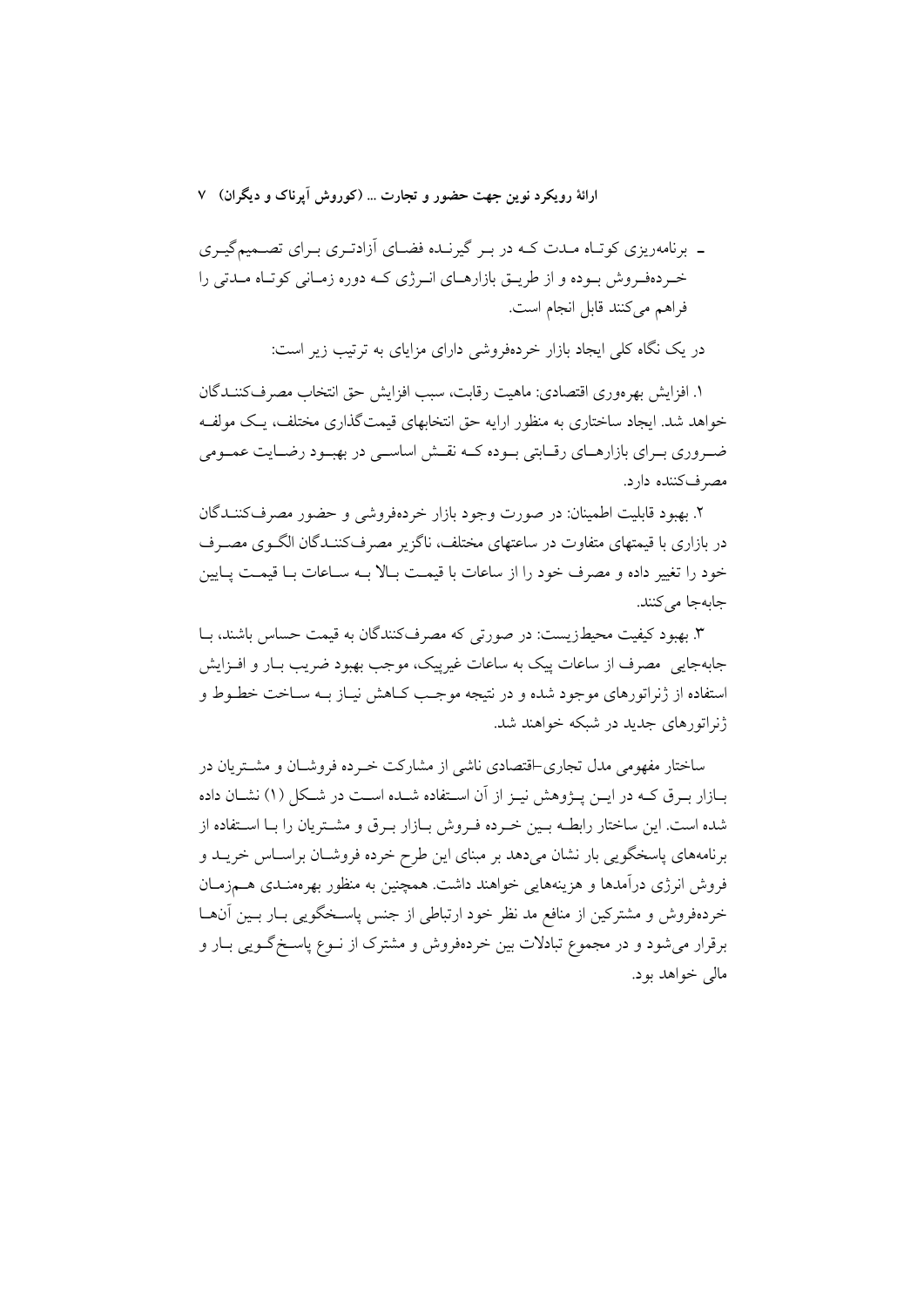ـ برنامهریزی کوتـاه مـدت کـه در بـر گیرنـده فضـای آزادتـری بـرای تصـمیمگیـری خـردهفـروش بـوده و از طريــق بازارهــاي انــرژي كــه دوره زمــاني كوتــاه مــدتي را فراهم مي كنند قابل انجام است.

در یک نگاه کلی ایجاد بازار خردهفروشی دارای مزایای به ترتیب زیر است:

١. افزايش بهرءوري اقتصادي: ماهيت رقابت، سبب افزايش حق انتخاب مصرفكننـدگان خواهد شد. ایجاد ساختاری به منظور ارایه حق انتخابهای قیمتگذاری مختلف، یـک مولفـه ضروری بـرای بازارهــای رقــابتی بــوده کــه نقــش اساســی در بهبــود رضــایت عمــومی مصرفکننده دارد.

۲. بهبود قابلیت اطمینان: در صورت وجود بازار خردهفروشی و حضور مصرفکننـدگان در بازاری با قیمتهای متفاوت در ساعتهای مختلف، ناگزیر مصرفکننـدگان الگـوی مصـرف خود را تغییر داده و مصرف خود را از ساعات با قیمت بـالا بـه سـاعات بـا قیمـت پـایین جابهجا مي كنند.

۳. بهبود کیفیت محیطزیست: در صورتی که مصرفکنندگان به قیمت حساس باشند، بـا جابهجایی مصرف از ساعات پیک به ساعات غیرپیک، موجب بهبود ضریب بـار و افـزایش استفاده از ژنراتورهای موجود شده و در نتیجه موجـب کـاهش نیـاز بـه سـاخت خطـوط و ژنراتورهای جدید در شبکه خواهند شد.

ساختار مفهومی مدل تجاری-اقتصادی ناشی از مشارکت خبرده فروشیان و مشتریان در بــازار بــرق كــه در ايــن پــژوهش نيــز از آن اســتفاده شـــده اســت در شــكل (۱) نشــان داده شده است. این ساختار رابطـه بـین خـرده فـروش بـازار بـرق و مشـتریان را بـا اسـتفاده از برنامههای پاسخگویی بار نشان میدهد بر مبنای این طرح خرده فروشـان براسـاس خریــد و فروش انرژی درآمدها و هزینههایی خواهند داشت. همچنین به منظور بهرممنـدی هــمزمــان خردهفروش و مشترکین از منافع مد نظر خود ارتباطی از جنس پاسـخگویی بـار بـین آنهـا برقرار می شود و در مجموع تبادلات بین خردهفروش و مشترک از نــوع پاســخگــویـی بــار و مالي خواهد بود.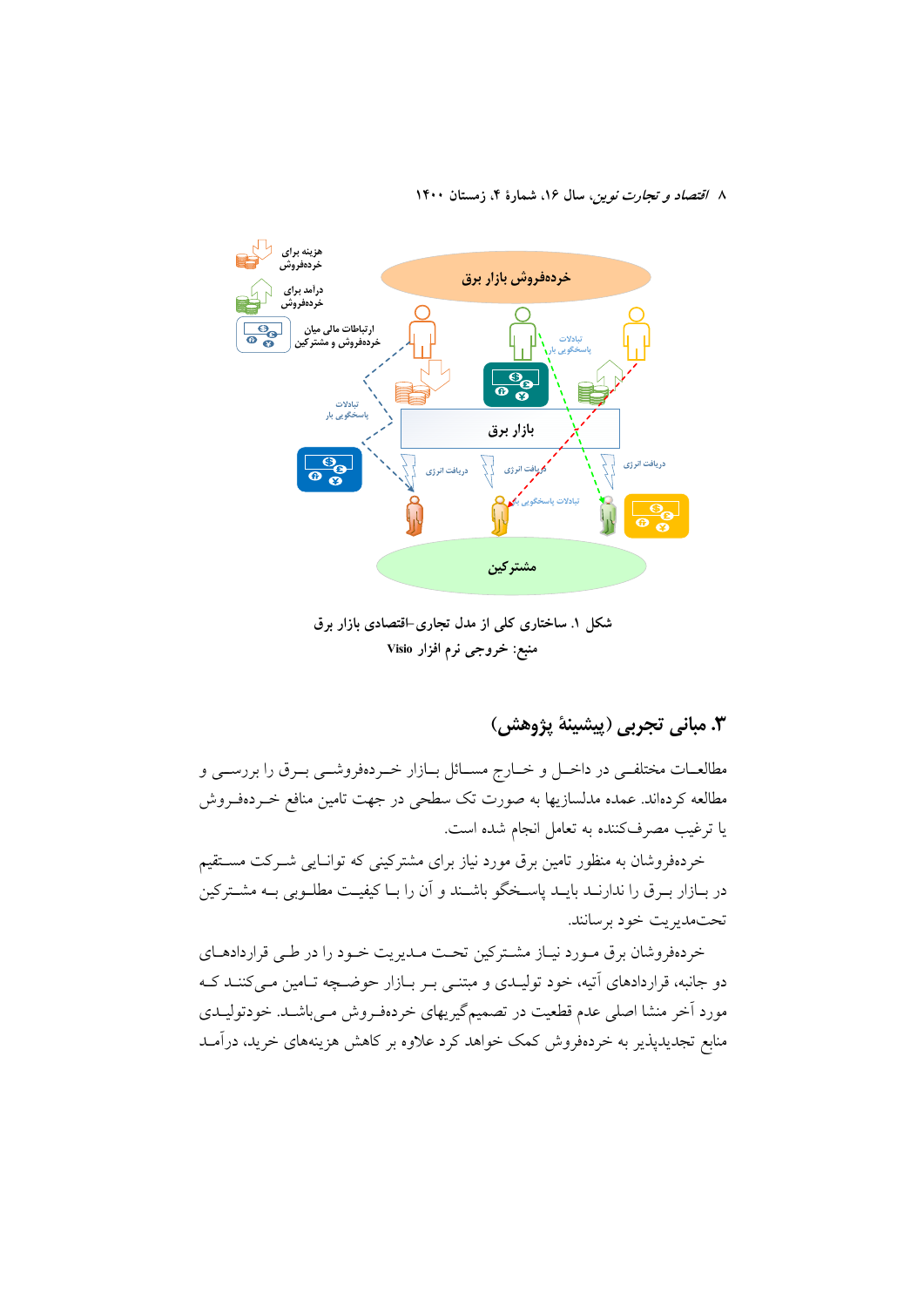

شکل ۱. ساختاری کلی از مدل تجاری-اقتصادی بازار برق منبع: خروجي نرم افزار Visio

# ٣. مباني تجربي (پيشينهٔ پژوهش)

مطالعـات مختلفـي در داخـل و خـارج مسـائل بـازار خـردهفروشـي بـرق را بررسـي و مطالعه کردهاند. عمده مدلسازیها به صورت تک سطحی در جهت تامین منافع خــردهفــروش یا ترغیب مصرفکننده به تعامل انجام شده است.

خردهفروشان به منظور تامین برق مورد نیاز برای مشترکینی که توانایی شـرکت مسـتقیم در بـازار بـرق را ندارنــد بايــد پاسـخگو باشــند و آن را بــا كيفيــت مطلــوبي بــه مشــتركين تحتمديريت خود برسانند.

خردهفروشان برق مـورد نيـاز مشـتركين تحـت مـديريت خـود را در طـي قراردادهـاي دو جانبه، قراردادهای آتیه، خود تولیـدی و مبتنـی بـر بـازار حوضـچه تـامین مـیکننـد کـه مورد اَخر منشا اصلی عدم قطعیت در تصمیمگیریهای خردهفـروش مـی،باشـد. خودتولیـدی منابع تجدیدپذیر به خردهفروش کمک خواهد کرد علاوه بر کاهش هزینههای خرید، درآمـد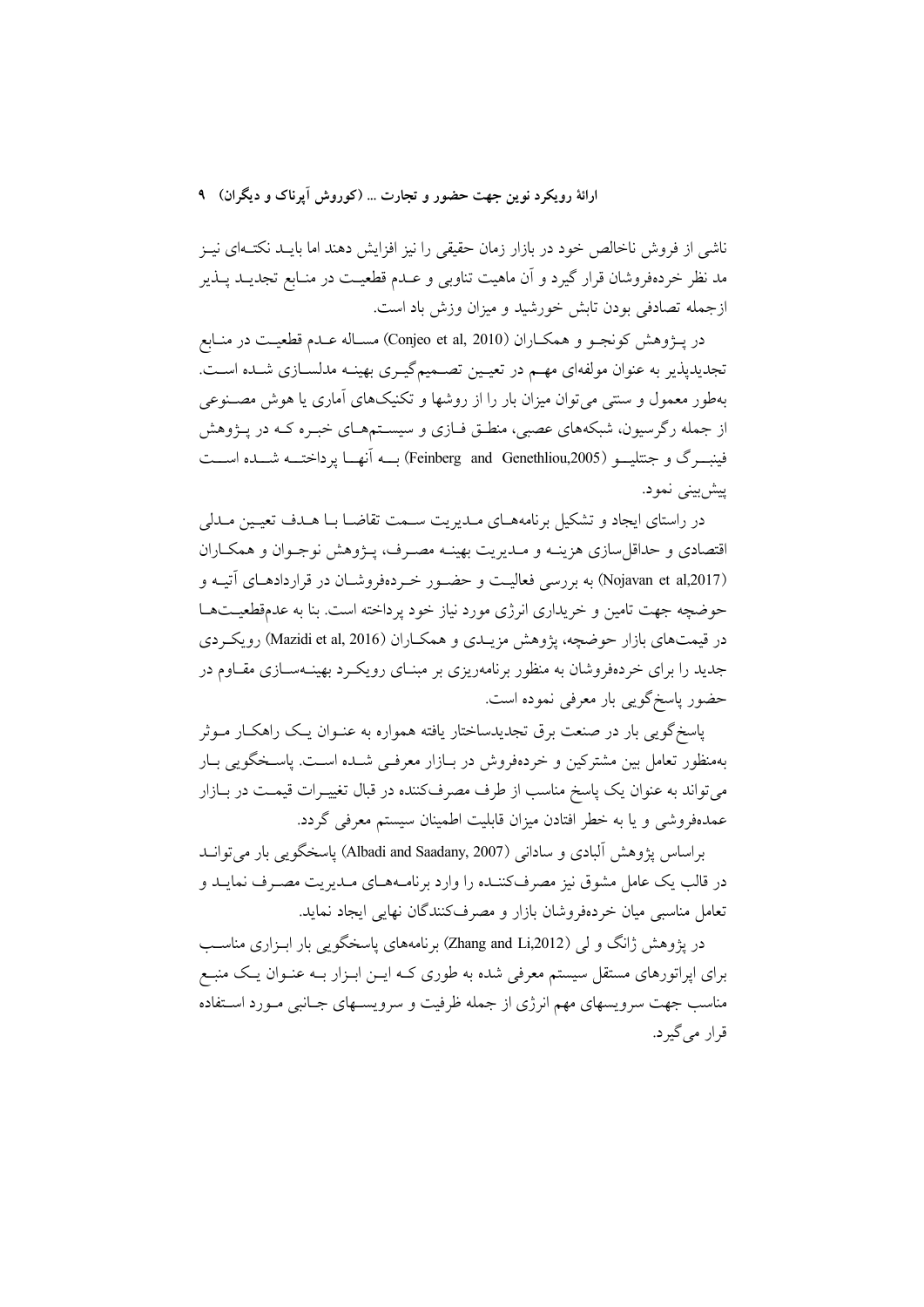ارائهٔ رویکرد نوین جهت حضور و تجارت … (کوروش اَیرناک و دیگران) ۹

ناشی از فروش ناخالص خود در بازار زمان حقیقی را نیز افزایش دهند اما بایـد نکتــهای نیــز مد نظر خردهفروشان قرار گیرد و آن ماهیت تناوبی و عــدم قطعیــت در منــابع تجدیــد پــذیر ازجمله تصادفی بودن تابش خورشید و میزان وزش باد است.

در يـــۋوهش كونجــو و همكــاران (Conjeo et al, 2010) مســاله عــدم قطعيــت در منــابع تجدیدپذیر به عنوان مولفهای مهـم در تعیـین تصـمیمگیـری بهینـه مدلسـازی شـده اسـت. بهطور معمول و سنتی می توان میزان بار را از روشها و تکنیکهای آماری یا هوش مصنوعی از جمله رگرسیون، شبکههای عصبی، منطـق فـازی و سیســتمهـای خبـره کــه در پــژوهش فينبسرك و جنتليسو (Feinberg and Genethliou,2005) بسه آنهسا يرداختسه شسده اسست ييش بيني نمود.

در راستای ایجاد و تشکیل برنامههبای مبدیریت سیمت تقاضیا بیا هیدف تعیین مبدلی اقتصادی و حداقل سازی هزینـه و مـدیریت بهینـه مصـرف، پـژوهش نوجـوان و همکـاران (Nojavan et al,2017) به بررسی فعالیت و حضور خبردهفروشیان در قراردادهیای آتیبه و حوضچه جهت تامین و خریداری انرژی مورد نیاز خود پرداخته است. بنا به عدمقطعیــتهــا در قیمتهای بازار حوضچه، یژوهش مزیبدی و همکباران (Mazidi et al, 2016) رویک دی جدید را برای خردهفروشان به منظور برنامهریزی بر مبنـای رویکـرد بهینـهسـازی مقــاوم در حضور پاسخگويي بار معرفي نموده است.

یاسخگویی بار در صنعت برق تجدیدساختار یافته همواره به عنـوان یـک راهکـار مـوثر بهمنظور تعامل بین مشترکین و خردهفروش در بـازار معرفـی شــده اســت. پاسـخگویی بــار میتواند به عنوان یک پاسخ مناسب از طرف مصرفکننده در قبال تغییـرات قیمـت در بــازار عمدهفروشی و یا به خطر افتادن میزان قابلیت اطمینان سیستم معرفی گردد.

براساس يژوهش آلبادي و ساداني (Albadi and Saadany, 2007) ياسخگويي بار مي توانيد در قالب یک عامل مشوق نیز مصرفکننــده را وارد برنامــههــای مــدیریت مصــرف نمایــد و تعامل مناسبی مبان خردهفروشان بازار و مصرف کنندگان نهایی ایجاد نماید.

در یژوهش ژانگ و لی (Zhang and Li,2012) برنامههای پاسخگویی بار ابزاری مناسب برای اپراتورهای مستقل سیستم معرفی شده به طوری کـه ایــن ابــزار بــه عنــوان یــک منبــع مناسب جهت سرویسهای مهم انرژی از جمله ظرفیت و سرویسـهای جـانبی مـورد اسـتفاده قرار مے گیرد.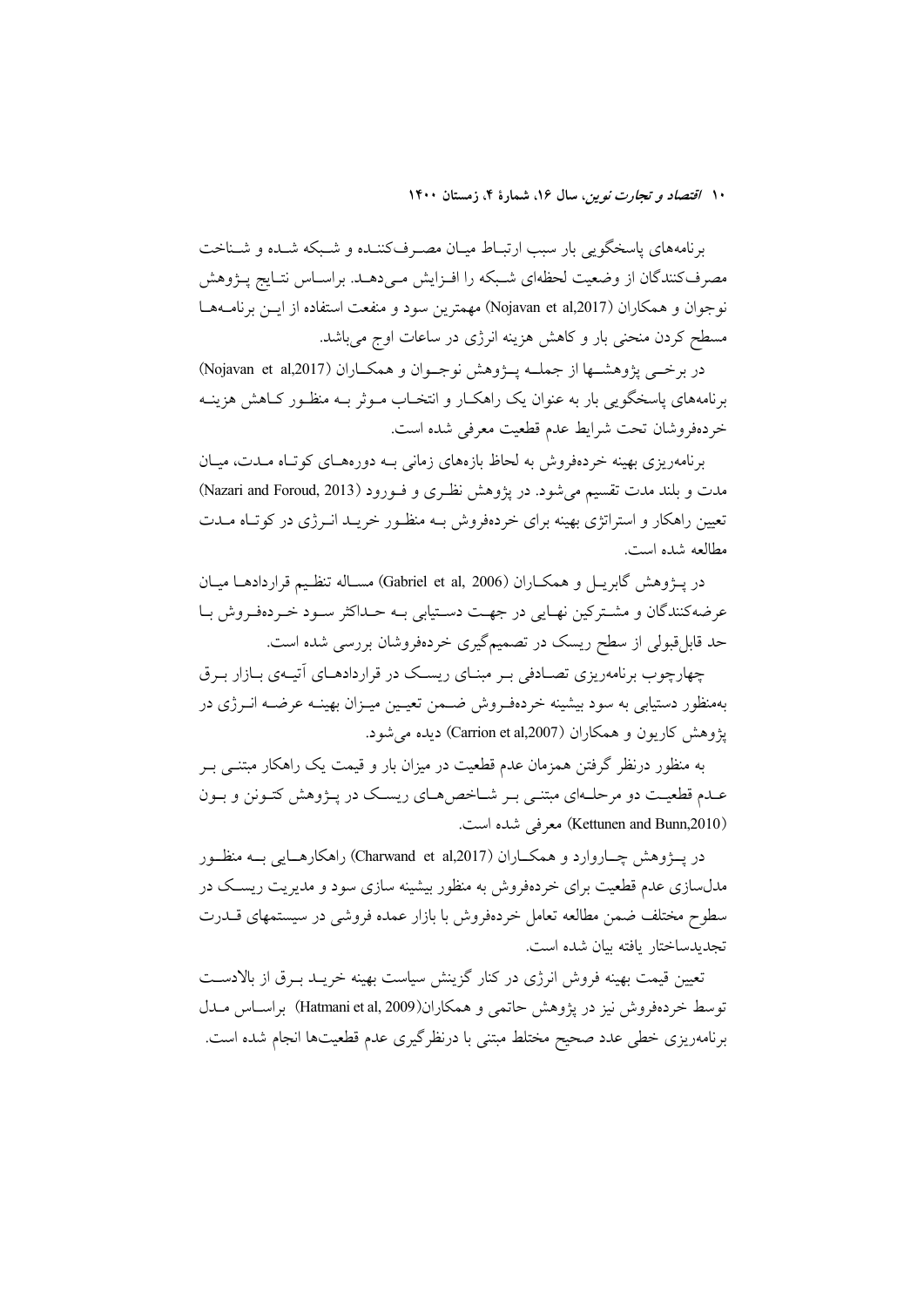برنامههای پاسخگویی بار سبب ارتبـاط میـان مصـرفکننـده و شـبکه شـده و شـناخت مصرفکنندگان از وضعیت لحظهای شـبکه را افـزایش مـی دهـد. براسـاس نتـایج پــژوهش نوجوان و همكاران (Nojavan et al,2017) مهمترين سود و منفعت استفاده از ايـن برنامــههـا مسطح کردن منحنی بار و کاهش هزینه انرژی در ساعات اوج میباشد.

در برخبی پژوهشـها از جملــه پــژوهش نوجــوان و همکــاران (Nojavan et al,2017) برنامههای پاسخگویی بار به عنوان یک راهکـار و انتخـاب مـوثر بــه منظـور کــاهش هزینــه خردهفروشان تحت شرايط عدم قطعيت معرفي شده است.

برنامهریزی بهینه خردهفروش به لحاظ بازههای زمانی بـه دورههـای کوتـاه مــدت، میــان مدت و بلند مدت تقسیم می شود. در پژوهش نظری و فـورود (Nazari and Foroud, 2013) تعیین راهکار و استراتژی بهینه برای خردهفروش بــه منظـور خریــد انــرژی در کوتـاه مــدت مطالعه شده است.

در يــــزوهش گابريـــل و همكـــاران (Gabriel et al, 2006) مســاله تنظــيم قراردادهـــا ميــان عرضه کنندگان و مشـترکین نهـایی در جهـت دسـتیابی بـه حـداکثر سـود خـردهفـروش بـا حد قابل قبولی از سطح ریسک در تصمیمگیری خردهفروشان بررسی شده است.

چهارچوب برنامهریزی تصـادفی بـر مبنـای ریسـک در قراردادهــای اَتیــهی بــازار بــرق بهمنظور دستیابی به سود بیشینه خردهفـروش ضـمن تعیـین میـزان بهینـه عرضـه انـرژی در يژوهش كاريون و همكاران (Carrion et al,2007) ديده مي شود.

به منظور درنظر گرفتن همزمان عدم قطعیت در میزان بار و قیمت یک راهکار مبتنــی بــر عـدم قطعیـت دو مرحلـهای مبتنـی بـر شـاخص هـای ریسـک در پـژوهش کتـونن و بـون (Kettunen and Bunn,2010) معرفی شده است.

در پـــۋوهش چـــاروارد و همکـــاران (Charwand et al,2017) راهکارهـــایی بـــه منظــور مدلسازی عدم قطعیت برای خردهفروش به منظور بیشینه سازی سود و مدیریت ریسک در سطوح مختلف ضمن مطالعه تعامل خردهفروش با بازار عمده فروشي در سيستمهاى قـــدرت تجديدساختار بافته بيان شده است.

تعیین قیمت بهینه فروش انرژی در کنار گزینش سیاست بهینه خریــد بــرق از بالادســت توسط خردهفروش نیز در یژوهش حاتمی و همکاران(Hatmani et al, 2009) براساس مــدل برنامهریزی خطی عدد صحیح مختلط مبتنی با درنظرگیری عدم قطعیتها انجام شده است.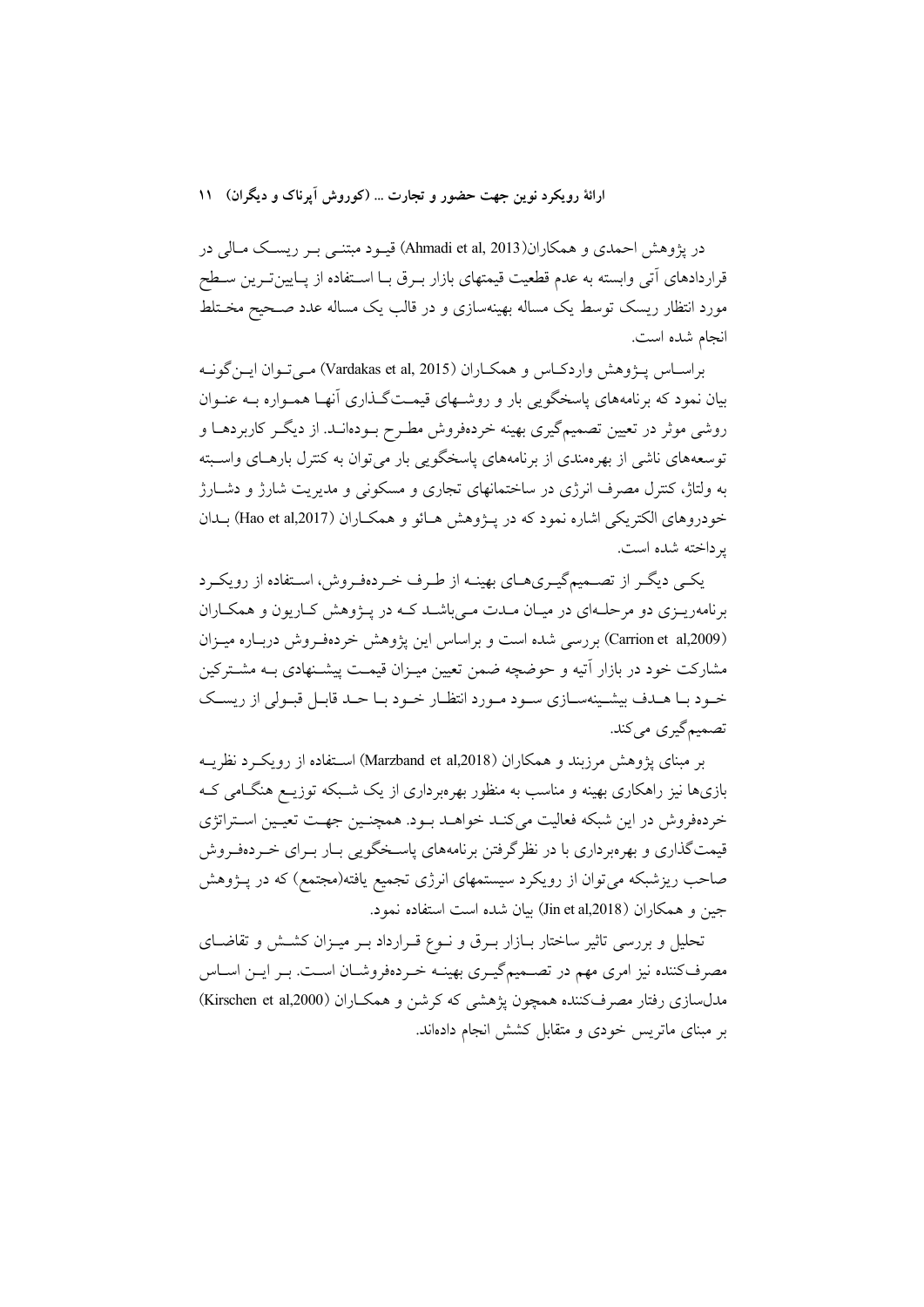## ارائهٔ رویکرد نوین جهت حضور و تجارت ... (کوروش آیرناک و دیگران) ۱۱

در پژوهش احمدی و همکاران(Ahmadi et al, 2013) قیـود مبتنـبی بـر ریسـک مـالی در قراردادهای اّتی وابسته به عدم قطعیت قیمتهای بازار بـرق بـا اسـتفاده از پـایینتـرین سـطح مورد انتظار ریسک توسط یک مساله بهینهسازی و در قالب یک مساله عدد صـحیح مخــتلط انجام شده است.

براســاس پـــۋوهش واردكــاس و همكــاران (Vardakas et al, 2015) مــي تــوان ايــن گونــه بیان نمود که برنامههای پاسخگویی بار و روشـهای قیمـتگـذاری آنهـا همـواره بـه عنـوان روشی موثر در تعیین تصمیمگیری بهینه خردهفروش مطـرح بــودهانــد. از دیگــر کاربردهــا و توسعههای ناشی از بهرهمندی از برنامههای پاسخگویی بار می توان به کنترل بارهـای واسـبته به ولتاژ، کنترل مصرف انرژی در ساختمانهای تجاری و مسکونی و مدیریت شارژ و دشــارژ خودروهای الکتریکی اشاره نمود که در پــژوهش هــائو و همکــاران (Hao et al,2017) بــدان بر داخته شده است.

یکمی دیگی از تصمیم گیبریهبای بهینــه از طـرف خـردهفـروش، اسـتفاده از رویکـرد برنامهریـزی دو مرحلـهای در میـان مـدت مـی باشـد کـه در پــژوهش کـاریون و همکـاران (Carrion et al,2009) بر دسی شده است و براساس این پژوهش خردهف وش درباره میبزان مشارکت خود در بازار آتیه و حوضچه ضمن تعیین میـزان قیمـت پیشـنهادی بـه مشـترکین خـود بـا هــدف بیشــینهســازی ســود مــورد انتظــار خــود بــا حــد قابــل قبــولی از ریســک تصميم گيري مي کند.

بر مبنای یژوهش مرزبند و همکاران (Marzband et al,2018) استفاده از رویک و نظریــه بازیها نیز راهکاری بهینه و مناسب به منظور بهرمبرداری از یک شــبکه توزیــع هنگــامی کــه خردهفروش در این شبکه فعالیت میکند خواهـد بـود. همچنـین جهـت تعیـین اسـتراتژی قیمتگذاری و بهرهبرداری با در نظرگرفتن برنامههای پاسـخگویی بـار بـرای خـردهفـروش صاحب ریزشبکه میتوان از رویکرد سیستمهای انرژی تجمیع یافته(مجتمع) که در پـژوهش جین و همکاران (Jin et al,2018) بیان شده است استفاده نمود.

تحلیل و بررسی تاثیر ساختار بـازار بـرق و نــوع قــرارداد بــر میــزان کشــش و تقاضــای مصرف کننده نیز امری مهم در تصـمیمگیـری بهینــه خـردهفروشــان اســت. بــر ایــن اســاس مدلسازی رفتار مصرفکننده همچون پژهشی که کرشن و همکاران (Kirschen et al,2000) بر مینای ماتریس خودی و متقابل کشش انجام دادهاند.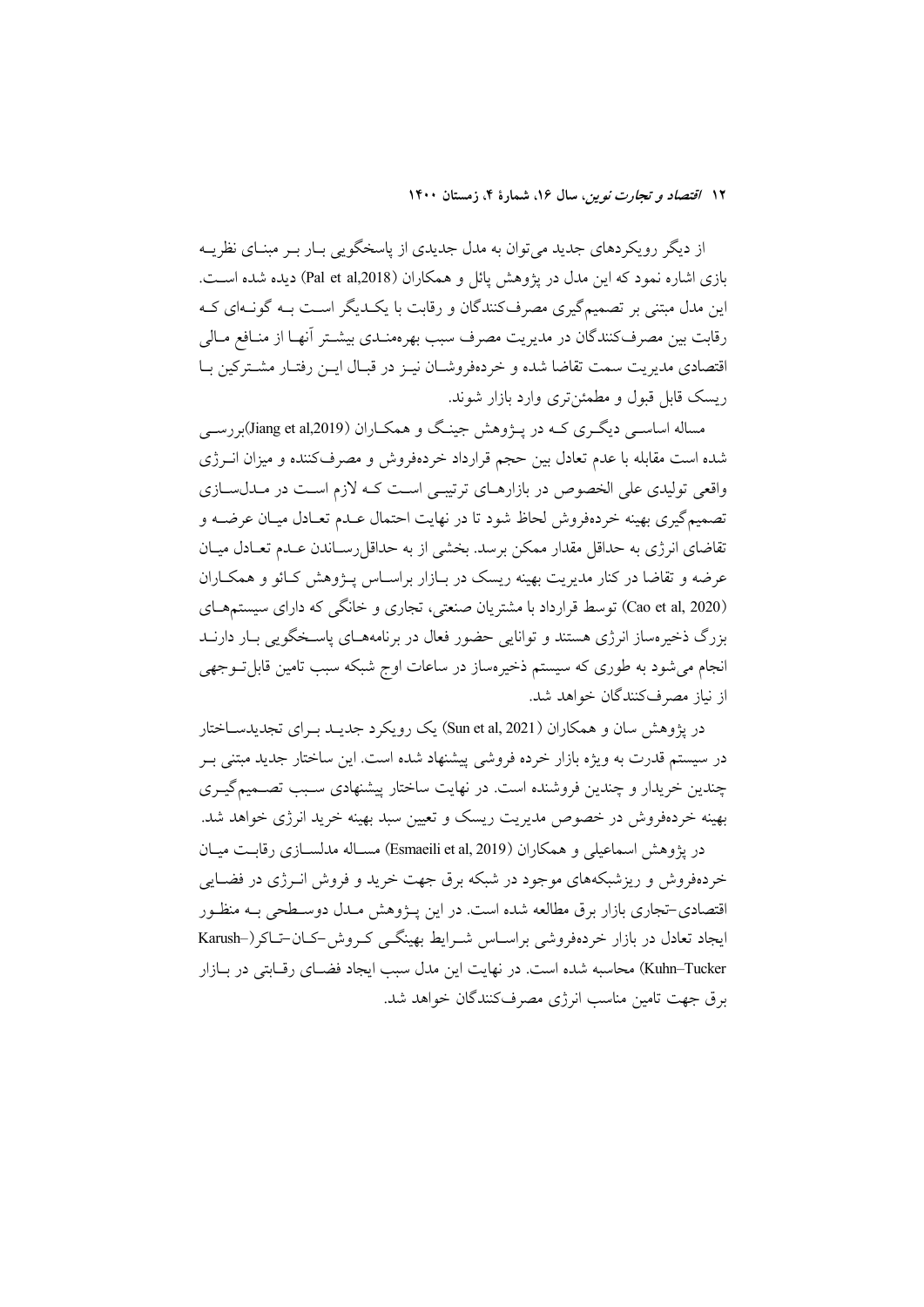از دیگر رویکردهای جدید می توان به مدل جدیدی از پاسخگویی بـار بـر مبنـای نظریـه بازی اشاره نمود که این مدل در یژوهش یائل و همکاران (Pal et al,2018) دیده شده است. این مدل مبتنی بر تصمیم گیری مصرفکنندگان و رقابت با یک دیگر است بـه گونـهای کـه رقابت بين مصرف كنندگان در مديريت مصرف سبب بهر ممنـدي بيشـتر آنهـا از منـافع مـالي اقتصادي مديريت سمت تقاضا شده و خردهفروشـان نيـز در قبـال ايــز رفتـار مشــتركين بــا ریسک قابل قبول و مطمئن تری وارد بازار شوند.

مساله اساسبي ديگري کـه در پـژوهش جينـگ و همکـاران (Jiang et al,2019)بررسـي شده است مقابله با عدم تعادل بین حجم قرارداد خردهفروش و مصرفکننده و میزان انــرژی واقعی تولیدی علی الخصوص در بازارهـای ترتیبـی اسـت کـه لازم اسـت در مـدلسـازی تصميم گيري بهينه خردهفروش لحاظ شود تا در نهايت احتمال عـدم تعـادل ميـان عرضــه و تقاضای انرژی به حداقل مقدار ممکن برسد. بخشی از به حداقل رسـاندن عـدم تعـادل میـان عرضه و تقاضا در کنار مدیریت بهینه ریسک در بـازار براسـاس پــژوهش کـائو و همکــاران (Cao et al, 2020) توسط قرارداد با مشتریان صنعتی، تجاری و خانگی که دارای سیستمهای بزرگ ذخیرهساز انرژی هستند و توانایی حضور فعال در برنامههـای پاسـخگویی بـار دارنــد انجام می شود به طوری که سیستم ذخیرهساز در ساعات اوج شبکه سبب تامین قابل توجهی از نیاز مصرفکنندگان خواهد شد.

در پژوهش سان و همکاران ( Sun et al, 2021) یک رویکرد جدیـد بـرای تجدیدســاختار در سیستم قدرت به ویژه بازار خرده فروشی پیشنهاد شده است. این ساختار جدید مبتنی بـر چندین خریدار و چندین فروشنده است. در نهایت ساختار پیشنهادی سـبب تصـمیمگیـری بهینه خردهفروش در خصوص مدیریت ریسک و تعیین سبد بهینه خرید انرژی خواهد شد.

در يژوهش اسماعيلي و همكاران (Esmaeili et al, 2019) مســاله مدلســازي رقابــت ميــان خردهفروش و ریزشبکههای موجود در شبکه برق جهت خرید و فروش انــرژی در فضــایی اقتصادی-تجاری بازار برق مطالعه شده است. در این پــژوهش مــدل دوســطحی بــه منظــور ایجاد تعادل در بازار خردهفروشی براساس شـرایط بهینگـی کـروش-کـان-تـاکر(-Karush Kuhn–Tucker) محاسبه شده است. در نهایت این مدل سبب ایجاد فضـای رقــابتی در بــازار برق جهت تامین مناسب انرژی مصرفکنندگان خواهد شد.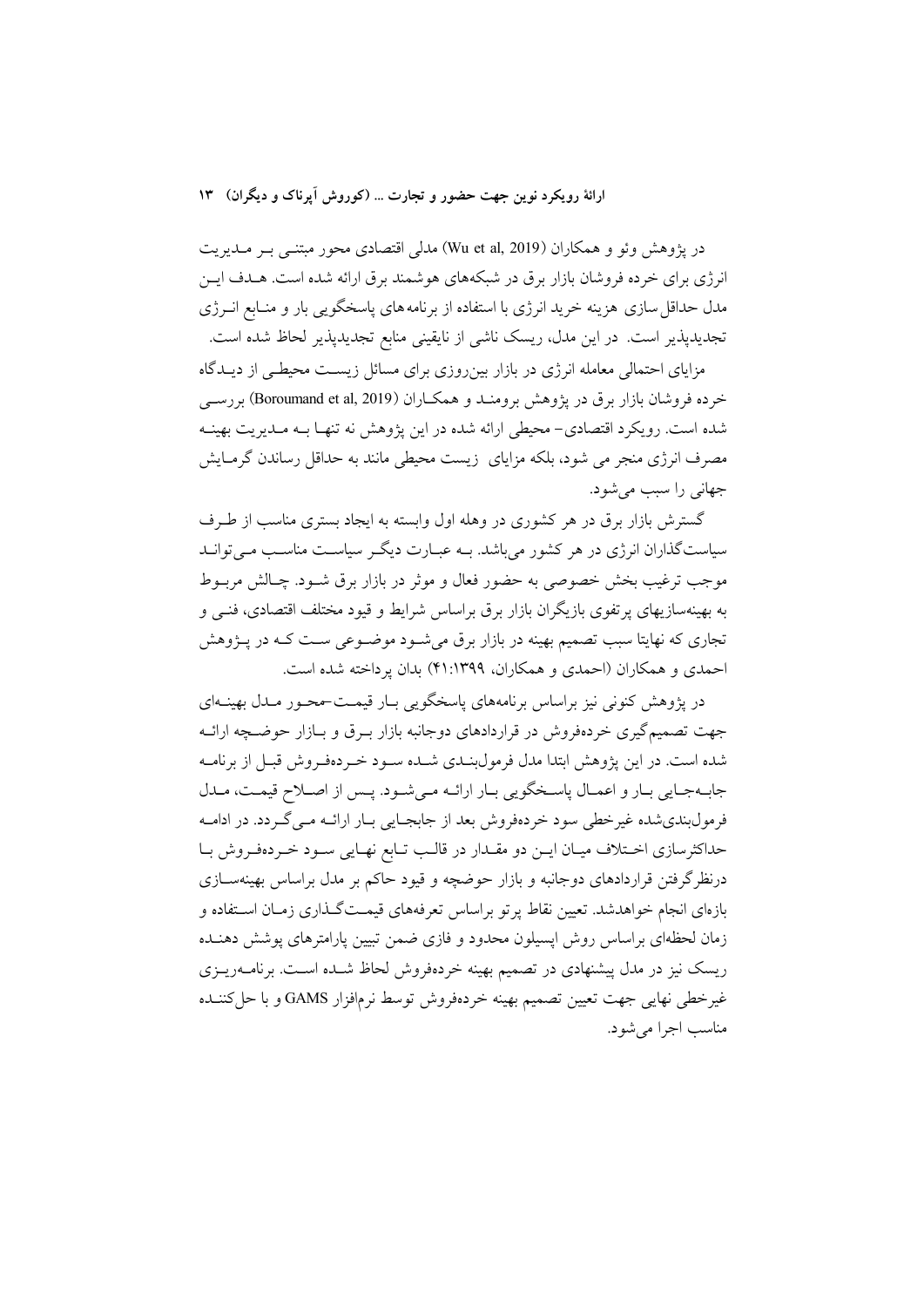## ارائهٔ رویکرد نوین جهت حضور و تجارت ... (کوروش آیرناک و دیگران) ۱۳

در پژوهش وئو و همکاران (Wu et al, 2019) مدلی اقتصادی محور مبتنـبی بـر مــدیریت انرژی برای خرده فروشان بازار برق در شبکههای هوشمند برق ارائه شده است. هـدف ایــن مدل حداقل سازی هزینه خرید انرژی با استفاده از برنامههای پاسخگویی بار و منـابع انــرژی تجدیدپذیر است. در این مدل، ریسک ناشی از نایقینی منابع تجدیدپذیر لحاظ شده است.

مزایای احتمالی معامله انرژی در بازار بینروزی برای مسائل زیست محیطے از دیـدگاه خرده فروشان بازار برق در يژوهش برومنـد و همكــاران (Boroumand et al, 2019) بررســي شده است. رویکرد اقتصادی– محیطی ارائه شده در این یژوهش نه تنهـا بــه مــدیریت بهینــه مصرف انرژی منجر می شود، بلکه مزایای زیست محیطی مانند به حداقل رساندن گرمـایش جهاني را سبب مي شود.

گسترش بازار برق در هر کشوری در وهله اول وابسته به ایجاد بستری مناسب از طرف سیاستگذاران انرژی در هر کشور می باشد. بـه عبـارت دیگـر سیاسـت مناسـب مـی توانـد موجب ترغيب بخش خصوصي به حضور فعال و موثر در بازار برق شــود. چــالش مربــوط به بهینهسازیهای پرتفوی بازیگران بازار برق براساس شرایط و قیود مختلف اقتصادی، فنــی و تجاري كه نهايتا سبب تصميم بهينه در بازار برق مي شـود موضـوعي سـت كـه در يــژوهش احمدی و همکاران (احمدی و همکاران، ۱۳۹۹:۴۱) بدان یرداخته شده است.

در پژوهش کنونی نیز براساس برنامههای پاسخگویی بـار قیمـت-محـور مـدل بهینــهای جهت تصمیم گیری خردهفروش در قراردادهای دوجانبه بازار بـرق و بـازار حوضـچه ارائـه شده است. در این پژوهش ابتدا مدل فرمولبنـدی شـده سـود خـر دهفـروش قبـل از برنامـه جابهجايي بار و اعمـال ياسـخگويي بـار ارائـه مـي شـود. يـس از اصـلاح قيمـت، مـلل فرمولبندي شده غيرخطي سود خردهفروش بعد از جابجـايي بـار ارائــه مــي گــردد. در ادامــه حداکثرسازی اختلاف میان ایـن دو مقـدار در قالـب تـابع نهـایی سـود خـردهفـروش بـا درنظرگرفتن قراردادهای دوجانبه و بازار حوضچه و قیود حاکم بر مدل براساس بهینهسـازی بازهای انجام خواهدشد. تعیین نقاط پرتو براساس تعرفههای قیمـتگـذاری زمـان اسـتفاده و زمان لحظهای براساس روش ایسیلون محدود و فازی ضمن تبیین پارامترهای پوشش دهنـده ریسک نیز در مدل پیشنهادی در تصمیم بهینه خردهفروش لحاظ شـده اسـت. برنامــهریــزی غيرخطي نهايي جهت تعيين تصميم بهينه خردهفروش توسط نرمافزار GAMS و با حل كننــده مناسب اجرا مر شود.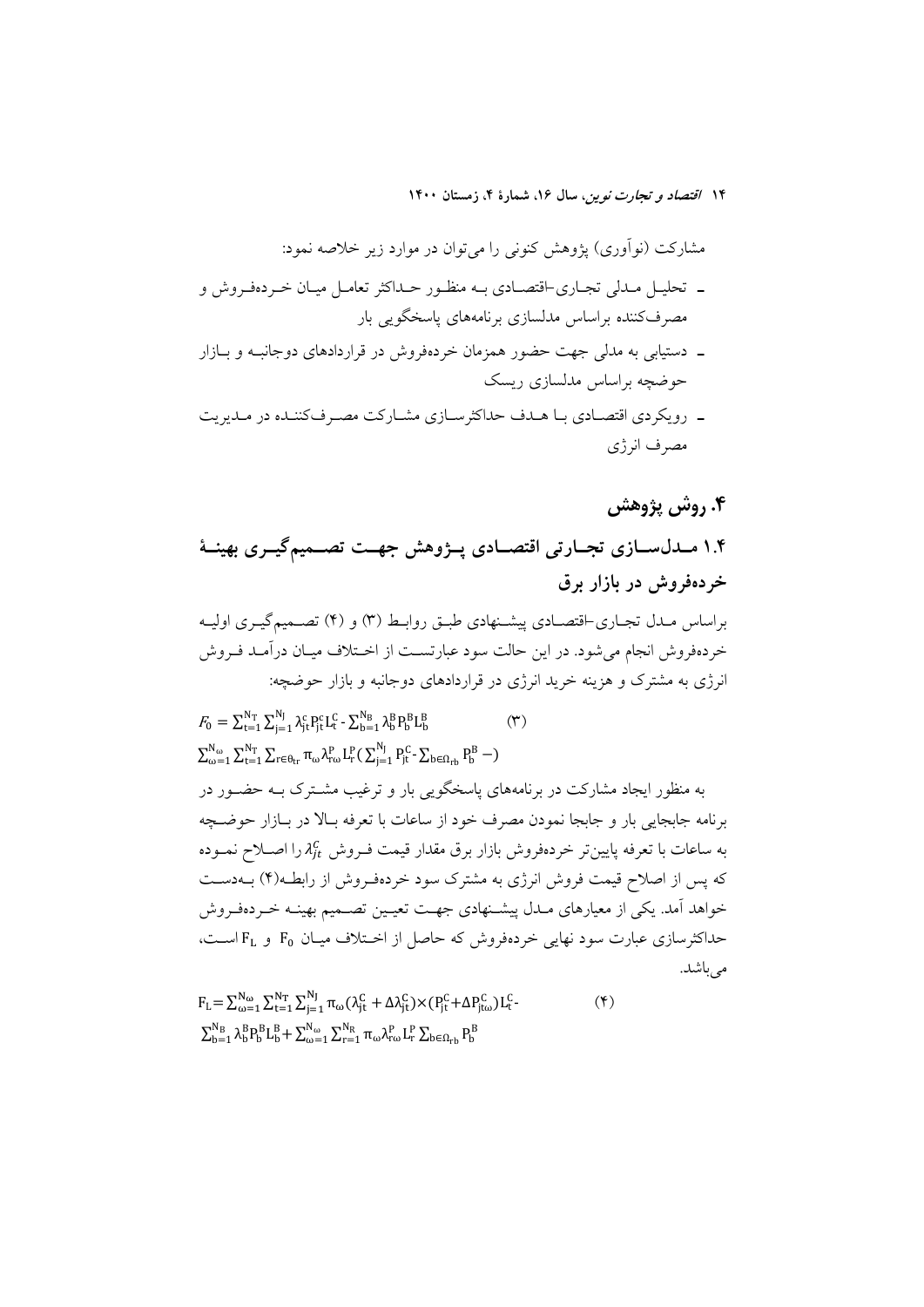مشارکت (نوآوری) پژوهش کنونی را میٍتوان در موارد زیر خلاصه نمود: ۔ تحلیـل مـدلی تجـاری-اقتصـادی بـه منظـور حـداکثر تعامـل میـان خـردهفـروش و مصرفکننده براساس مدلسازی برنامههای پاسخگویی بار

- ـ دستیابی به مدلی جهت حضور همزمان خردهفروش در قراردادهای دوجانب و سازار حوضچه براساس مدلسازی ریسک
- \_ رویکردی اقتصـادی بـا هـدف حداکثرسـازی مشـارکت مصـرفکننـده در مـدیریت مصرف انرژى

# ۴. روش پژوهش

۱.۴ مـدلســازی تجــارتی اقتصــادی پــژوهش جهــت تصــمیمگیــری بهینــهٔ خردهفروش در بازار برق براساس مــدل تجــاري-اقتصــادي پيشــنهادي طبــق روابــط (٣) و (۴) تصــميمگيــري اوليــه خردهفروش انجام می شود. در این حالت سود عبارتسـت از اخـتلاف میـان درآمـد فـروش انرژی به مشترک و هزینه خرید انرژی در قراردادهای دوجانبه و بازار حوضچه:

 $F_0 = \sum_{t=1}^{N_{\text{T}}} \sum_{i=1}^{N_{\text{J}}} \lambda_{it}^{\text{c}} P_{it}^{\text{c}} L_t^{\text{c}} - \sum_{h=1}^{N_{\text{B}}} \lambda_h^{\text{B}} P_{h}^{\text{B}} L_h^{\text{B}}$  $(\tau)$  $\sum_{\omega=1}^{N_{\omega}}\sum_{t=1}^{N_{T}}\sum_{r\in\theta_{tr}}\pi_{\omega}\lambda_{r\omega}^{P}L_{r}^{P}(\sum_{i=1}^{N_{J}}P_{it}^{C}-\sum_{b\in\Omega_{rb}}P_{b}^{B}-)$ به منظور ایجاد مشارکت در برنامههای پاسخگویی بار و ترغیب مشـترک بــه حضــور در برنامه جابجایی بار و جابجا نمودن مصرف خود از ساعات با تعرفه بـالا در بـازار حوضــچه به ساعات با تعرفه پایینتر خردهفروش بازار برق مقدار قیمت فـروش  $\lambda_{lt}^C$  را اصــلاح نمــوده که پس از اصلاح قیمت فروش انرژی به مشترک سود خردهفـروش از رابطـه(۴) بــهدسـت خواهد آمد. یکی از معیارهای مـدل پیشـنهادی جهـت تعیـین تصــمیم بهینــه خــردهفـروش حداکثر سازی عبارت سود نهایی خردهفروش که حاصل از اختلاف میـان F<sub>0</sub> و F<sub>L</sub> اسـت، می باشد.

 $F_L = \sum_{\omega=1}^{N_{\omega}} \sum_{t=1}^{N_{T}} \sum_{i=1}^{N_{J}} \pi_{\omega} (\lambda_{it}^{C} + \Delta \lambda_{it}^{C}) \times (P_{it}^{C} + \Delta P_{it\omega}^{C}) L_t^{C}$  $(\mathbf{r})$  $\sum_{b=1}^{N_B} \lambda_b^B P_b^B L_b^B + \sum_{\omega=1}^{N_\omega} \sum_{r=1}^{N_R} \pi_\omega \lambda_{r\omega}^P L_r^P \sum_{b \in \Omega_{r}} P_b^B$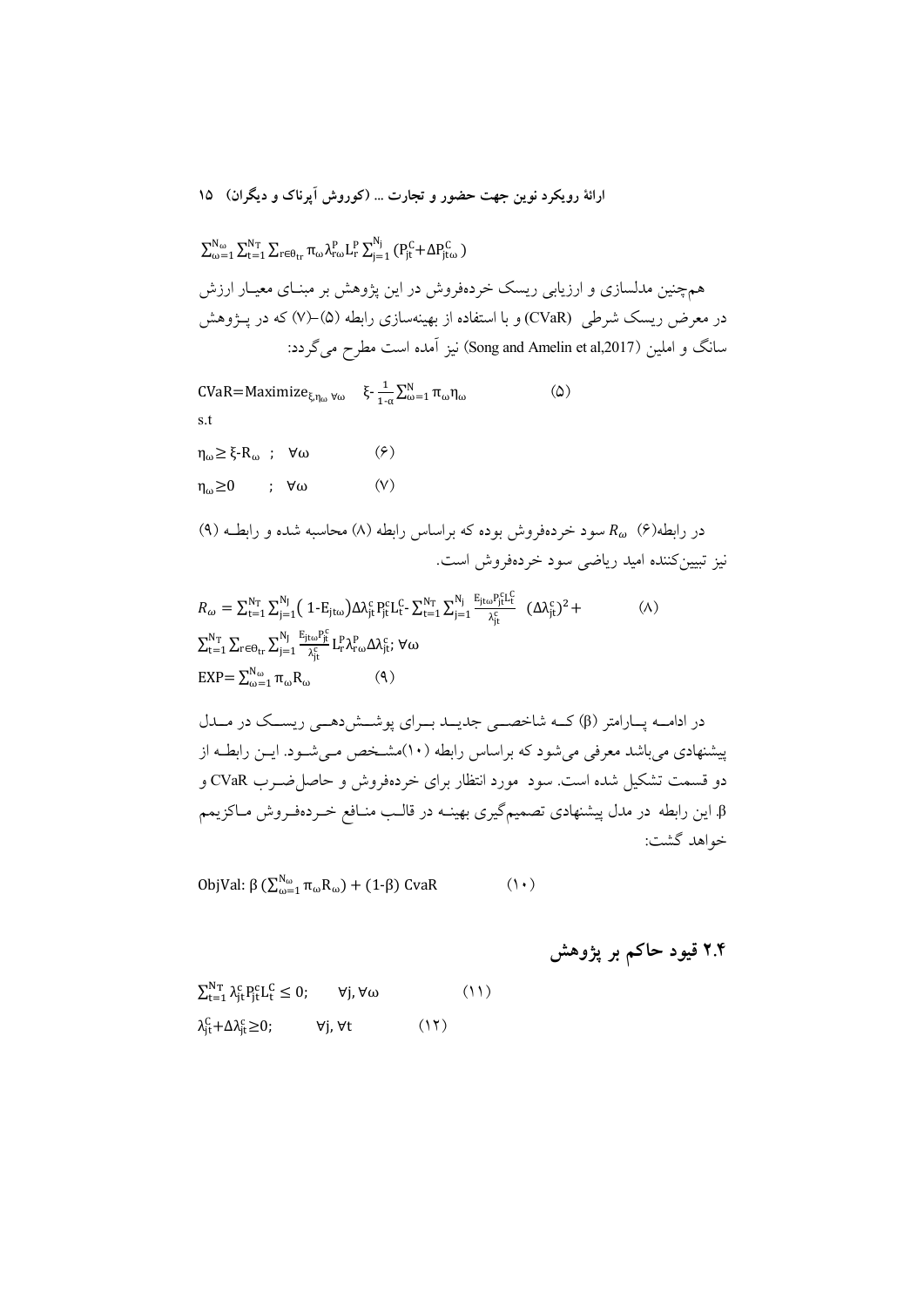$$
\Sigma_{\omega=1}^{N_{\omega}} \Sigma_{t=1}^{N_{T}} \Sigma_{r \in \theta_{tr}} \pi_{\omega} \lambda_{r\omega}^{P} L_{r}^{P} \Sigma_{j=1}^{N_{j}} (P_{jt}^{C} + \Delta P_{jto}^{C})
$$
هم چنین مدلسانزی و ارزیابی ریسک خردهفروش در این پژوهش بر مبنای معیار ارزشی در مېزوهش وریسک شرطی (CVaR) و با استفاده از بهینهسازی رابطه (0)–(0) که در پیژوهش سانگ و املین (Song and Amelin et al,2017) نیز آمده است مطرح می گرد:

CVaR=Maximize<sub> $\xi, \eta_{\omega}$ </sub>  $\xi - \frac{1}{1-\alpha} \sum_{\omega=1}^{N} \pi_{\omega} \eta_{\omega}$  $\omega$ s.t  $\eta_{\omega} \geq \xi - R_{\omega}$ ;  $\forall \omega$  $(\hat{\mathbf{y}})$  $\eta_{\omega} \ge 0$  ;  $\forall \omega$  $(V)$ در رابطه(۶)  $R_\omega$  سود خردهفروش بوده که براساس رابطه (۸) محاسبه شده و رابطـه (۹) نيز تبيين كننده اميد رياضي سود خردهفروش است.  $\mathbf{v}$   $\mathbf{v}$   $\mathbf{v}$   $\mathbf{v}$   $\mathbf{v}$   $\mathbf{v}$  $\mathbf{v}$ 

ارائهٔ رویکرد نوین جهت حضور و تجارت … (کوروش آیرناک و دیگران) ۱۵

$$
R_{\omega} = \sum_{t=1}^{N_{T}} \sum_{j=1}^{N_{J}} (1 - E_{j\text{t}\omega}) \Delta \lambda_{jt}^{\text{c}} P_{jt}^{\text{c}} L_{t}^{\text{c}} - \sum_{t=1}^{N_{T}} \sum_{j=1}^{N_{j}} \frac{E_{j\text{t}\omega} P_{jt}^{\text{c}} L_{t}^{\text{c}}}{\lambda_{jt}^{\text{c}}} (\Delta \lambda_{jt}^{\text{c}})^{2} +
$$
  
\n
$$
\sum_{t=1}^{N_{T}} \sum_{r \in \Theta_{tr}} \sum_{j=1}^{N_{J}} \frac{E_{j\text{t}\omega} P_{jt}^{\text{c}}}{\lambda_{jt}^{\text{c}}} L_{r}^{\text{p}} \lambda_{r\omega}^{\text{p}} \Delta \lambda_{jt}^{\text{c}}; \forall \omega
$$
  
\n
$$
EXP = \sum_{\omega=1}^{N_{\omega}} \pi_{\omega} R_{\omega}
$$
 (4)

در ادامـه پـارامتر (β) كــه شاخصـــى جديــد بــراي پوشــش(هــي ريســك در مــدل پیشنهادی میباشد معرفی میشود که براساس رابطه (۱۰)مشـخص مـیشـود. ایــن رابطــه از دو قسمت تشکیل شده است. سود ً مورد انتظار برای خردهفروش و حاصل(ضـرب CVaR و β. این رابطه در مدل پیشنهادی تصمیمگیری بهینــه در قالــب منــافع خــردهفــروش مــاکزیمم خواهد گشت:

ObjVal: β (
$$
\sum_{\omega=1}^{N_{\omega}} \pi_{\omega} R_{\omega}
$$
) + (1-β) CvaR (1+)

| $\sum_{t=1}^{N_{\text{T}}} \lambda_{\text{it}}^{\text{c}} P_{\text{it}}^{\text{c}} L_{\text{t}}^{\text{c}} \leq 0;$ | $\forall j, \forall \omega$ |      | (11) |
|---------------------------------------------------------------------------------------------------------------------|-----------------------------|------|------|
| $\lambda_{it}^C + \Delta \lambda_{it}^c \geq 0$ ;                                                                   | ∀j, ∀t                      | (11) |      |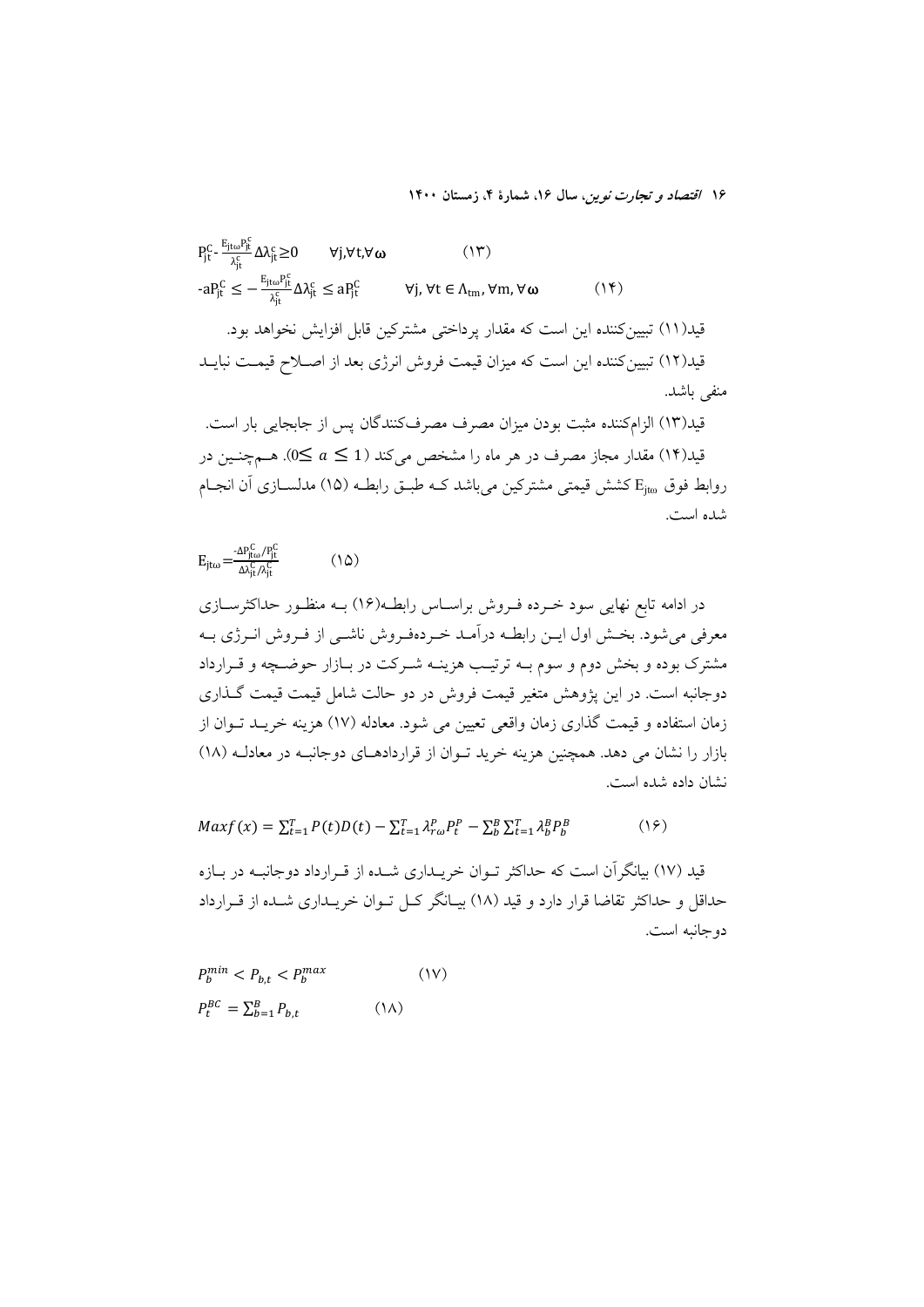$P_{jt}^C$ -  $\frac{E_{jt\omega}P_{jt}^C}{\lambda_{st}^C} \Delta \lambda_{jt}^C \ge 0$ ∀i,∀t,∀ω  $(14)$  $-aP_{jt}^C \leq -\frac{E_{jt\omega}P_{jt}^C}{\lambda_c^C} \Delta \lambda_{jt}^C \leq aP_{jt}^C$  $\forall j, \forall t \in \Lambda_{\text{tm}}$ ,  $\forall m, \forall \omega$  $(14)$ قید(۱۱) تبیین کننده این است که مقدار پرداختی مشترکین قابل افزایش نخواهد بود. قید(۱۲) تبیین کننده این است که میزان قیمت فروش انرژی بعد از اصـلاح قیمـت نبایــد منفي باشد. قید(۱۳) الزامکننده مثبت بودن میزان مصرف مصرفکنندگان پس از جابجای<sub>ی</sub> بار است. قید(۱۴) مقدار مجاز مصرف در هر ماه را مشخص میکند (a  $\leq a \leq 0$ ). هــمچنــین در

روابط فوق E<sub>ito</sub> کشش قیمتی مشترکین می باشد کـه طبـق رابطـه (۱۵) مدلســازی آن انجــام شده است.

 $E_{jt\omega} = \frac{-\Delta P_{jt\omega}^C / P_{jt}^C}{\Delta \lambda_{st}^C / \lambda_{st}^C}$  $(10)$ 

در ادامه تابع نهایی سود خـرده فـروش براسـاس رابطـه(۱۶) بــه منظـور حداکثرســازی معرفی میشود. بخش اول ایــن رابطــه درآمــد خــردهفـروش ناشــی از فــروش انــرژی بــه مشترک بوده و بخش دوم و سوم بـه ترتیـب هزینـه شـرکت در بـازار حوضـچه و قـرارداد دوجانبه است. در این یژوهش متغیر قیمت فروش در دو حالت شامل قیمت قیمت گـذاری زمان استفاده و قیمت گذاری زمان واقعی تعیین می شود. معادله (۱۷) هزینه خریـد تــوان از بازار را نشان می دهد. همچنین هزینه خرید تـوان از قراردادهـای دوجانبـه در معادلـه (۱۸) نشان داده شده است.

 $Maxf(x) = \sum_{t=1}^{T} P(t)D(t) - \sum_{t=1}^{T} \lambda_{ro}^{p} P_{t}^{p} - \sum_{b}^{B} \sum_{t=1}^{T} \lambda_{b}^{B} P_{b}^{B}$  $(19)$ 

قید (١٧) بیانگر آن است که حداکثر تـوان خریــداری شــده از قـرارداد دوجانبــه در بــازه حداقل و حداکثر تقاضا قرار دارد و قید (۱۸) بیـانگر کــل تــوان خریــداری شــده از قــرارداد دو جانبه است.

$$
P_b^{min} < P_{b,t} < P_b^{max} \tag{1V}
$$
\n
$$
P_t^{BC} = \sum_{b=1}^B P_{b,t} \tag{1A}
$$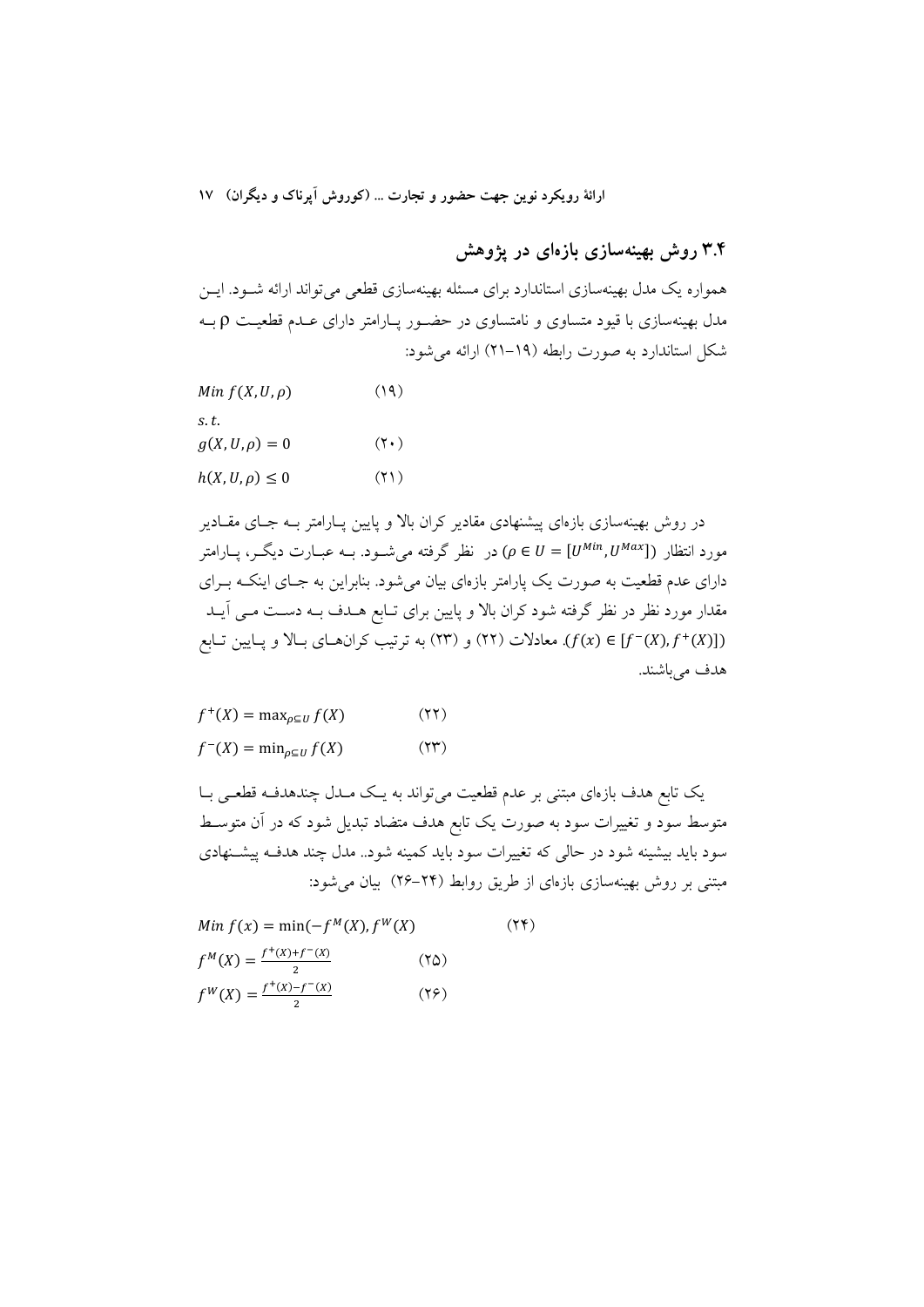ارائهٔ رویکرد نوین جهت حضور و تجارت ... (کوروش آیرناک و دیگران) ۱۷

## ۳.۴ روش بهینهسازی بازهای در یژوهش

همواره یک مدل بهینهسازی استاندارد برای مسئله بهینهسازی قطعی میتواند ارائه شـود. ایــن مدل بهینهسازی با قیود متساوی و نامتساوی در حضـور پـارامتر دارای عـدم قطعیـت p بـه شکل استاندارد به صورت رابطه (۱۹–۲۱) ارائه می شود:

| $Min f(X, U, \rho)$    | (19)        |
|------------------------|-------------|
| s.t.                   |             |
| $g(X, U, \rho) = 0$    | $(Y \cdot)$ |
| $h(X, U, \rho) \leq 0$ | (51)        |

در روش بهینهسازی بازمای پیشنهادی مقادیر کران بالا و پایین پــارامتر بــه جــای مقــادیر مورد انتظار ([U<sup>Min</sup>, U<sup>Max</sup>]) (p ∈ U = سورد انتظار ([Ve U = به عبارت دیگـر، پــارامتر دارای عدم قطعیت به صورت یک پارامتر بازمای بیان میشود. بنابراین به جـای اینکـه بـرای مقدار مورد نظر در نظر گرفته شود کران بالا و پایین برای تـابع هــدف بــه دســت مــی آیــد معادلات (٢٢) و (٢٢) و (٢٣) به ترتیب کران های بـالا و پـایین تـابع (٢٣) به ترتیب کران هـای بـالا و پـایین تـابع هدف مي باشند.

$$
f^{+}(X) = \max_{\rho \subseteq U} f(X)
$$
 (YY)  

$$
f^{-}(X) = \min_{\rho \subseteq U} f(X)
$$
 (YY)

یک تابع هدف بازهای مبتنی بر عدم قطعیت می تواند به یک مـدل چندهدفـه قطعـی بـا متوسط سود و تغییرات سود به صورت یک تابع هدف متضاد تبدیل شود که در آن متوسـط سود باید بیشینه شود در حالی که تغییرات سود باید کمینه شود.. مدل چند هدف پیشتهادی مبتنی بر روش بهینهسازی بازهای از طریق روابط (۲۴–۲۶) بیان می شود:

Min 
$$
f(x) = min(-f^{M}(X), f^{W}(X)
$$
 (Y\*)  
\n $f^{M}(X) = \frac{f^{+}(X) + f^{-}(X)}{2}$  (Y0)  
\n $f^{W}(X) = \frac{f^{+}(X) - f^{-}(X)}{2}$  (Y9)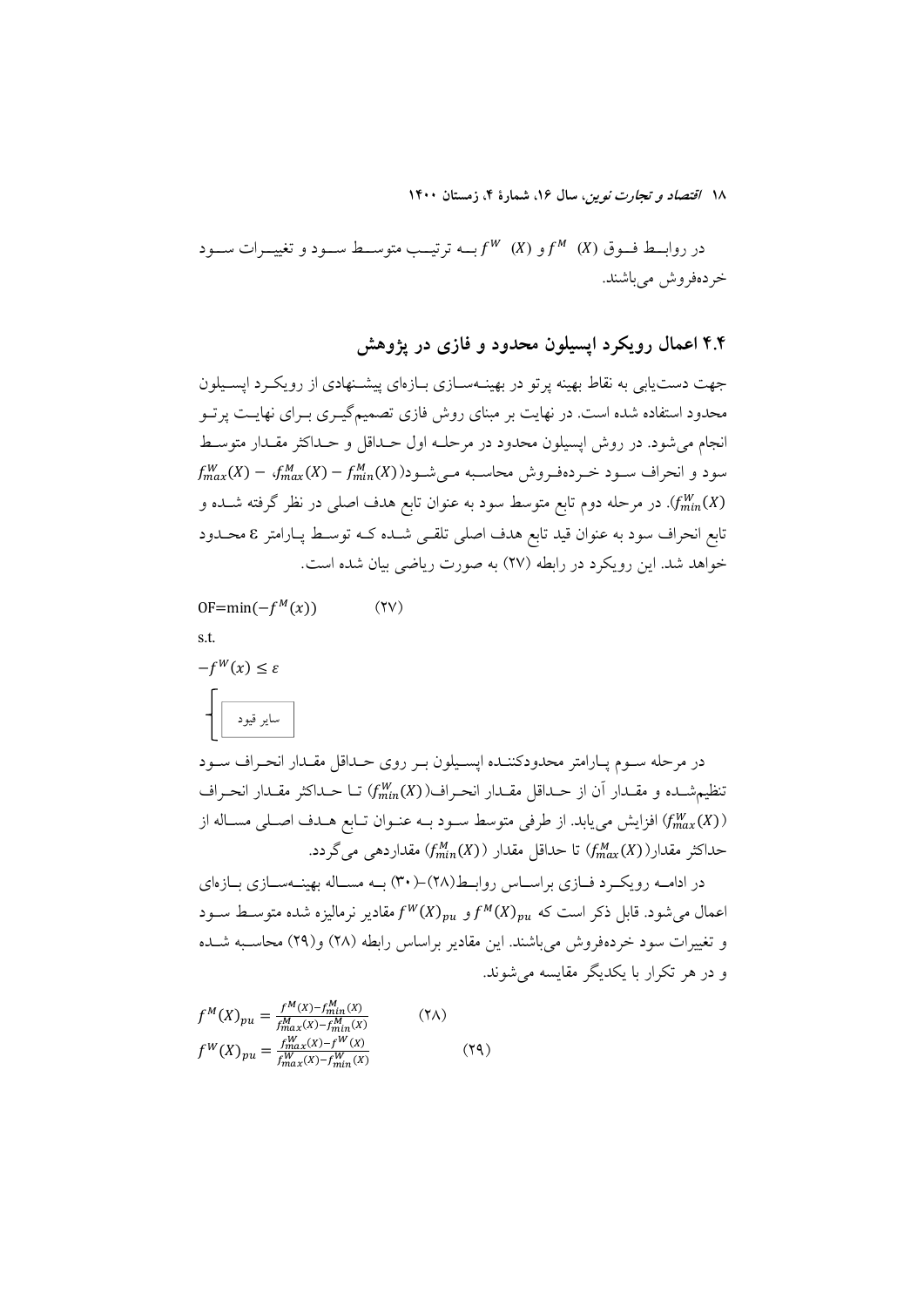در روابــط فـــوق (K)  $f^M$  (X) و (K) ســه ترتيـــب متوســـط ســـود و تغييـــرات ســـود خردەفروش مى باشند.

۴.۴ اعمال رویکرد ایسیلون محدود و فازی در یژوهش

جهت دست یابی به نقاط بهینه پر تو در بهینــهســازی بــازهای پیشــنهادی از رویکــرد ایســیلون محدود استفاده شده است. در نهایت بر مبنای روش فازی تصمیمگیـری بـرای نهایــت پرتــو انجام می شود. در روش اپسیلون محدود در مرحلــه اول حــداقل و حــداکثر مقــدار متوســط  $f_{max}^W(X) - f_{max}^M(X) - f_{min}^M(X)$ سود و انحراف سـود خـردهفـروش محاسـبه مـی شـود((X) - ۱ در مرحله دوم تابع متوسط سود به عنوان تابع هدف اصلی در نظر گرفته شــده و ( $f^W_{min}(X)$ تابع انحراف سود به عنوان قید تابع هدف اصلی تلق<sub>می</sub> شـده کـه توسـط پـارامتر ٤ محـدود خواهد شد. این رویکرد در رابطه (۲۷) به صورت ریاضی بیان شده است.

 $OF = min(-f^{M}(x))$  $(YV)$ 

s.t.

 $-f^W(x) \leq \varepsilon$ ساير قيود

در مرحله سـوم پـارامتر محدودکننـده اپسـيلون بـر روي حـداقل مقـدار انحـراف سـود تنظيم شده و مقدار أن از حداقل مقدار انحراف( fmin(X) تـا حـداكثر مقـدار انحـراف افزایش می یابد. از طرفی متوسط سود بـه عنـوان تـابع هـدف اصـلی مسـاله از (f $\max_{max}(X)$ حداكثر مقدار(((X)) The Schol أي مقدار ((X)) حداكثر مقداردهي مي گردد.

در ادامــه رويكــرد فــازي براســاس روابــط(٢٨)–(٣٠) بــه مســاله بهينــهســازي بــازهاي اعمال می شود. قابل ذکر است که  $f^M(X)_{m}$ و  $f^M(X)_{m}$  مقادیر نرمالیزه شده متوسیط سیود و تغییرات سود خردهفروش می باشند. این مقادیر براساس رابطه (۲۸) و(۲۹) محاسـبه شــده و در هر تکرار یا یکدیگر مقایسه می شوند.

$$
f^{M}(X)_{pu} = \frac{f^{M}(X) - f^{M}_{min}(X)}{f^{M}_{max}(X) - f^{M}_{min}(X)}
$$
 (7A)  

$$
f^{W}(X)_{pu} = \frac{f^{W}_{max}(X) - f^{W}(X)}{f^{M}_{max}(X) - f^{M}_{min}(X)}
$$
 (7A)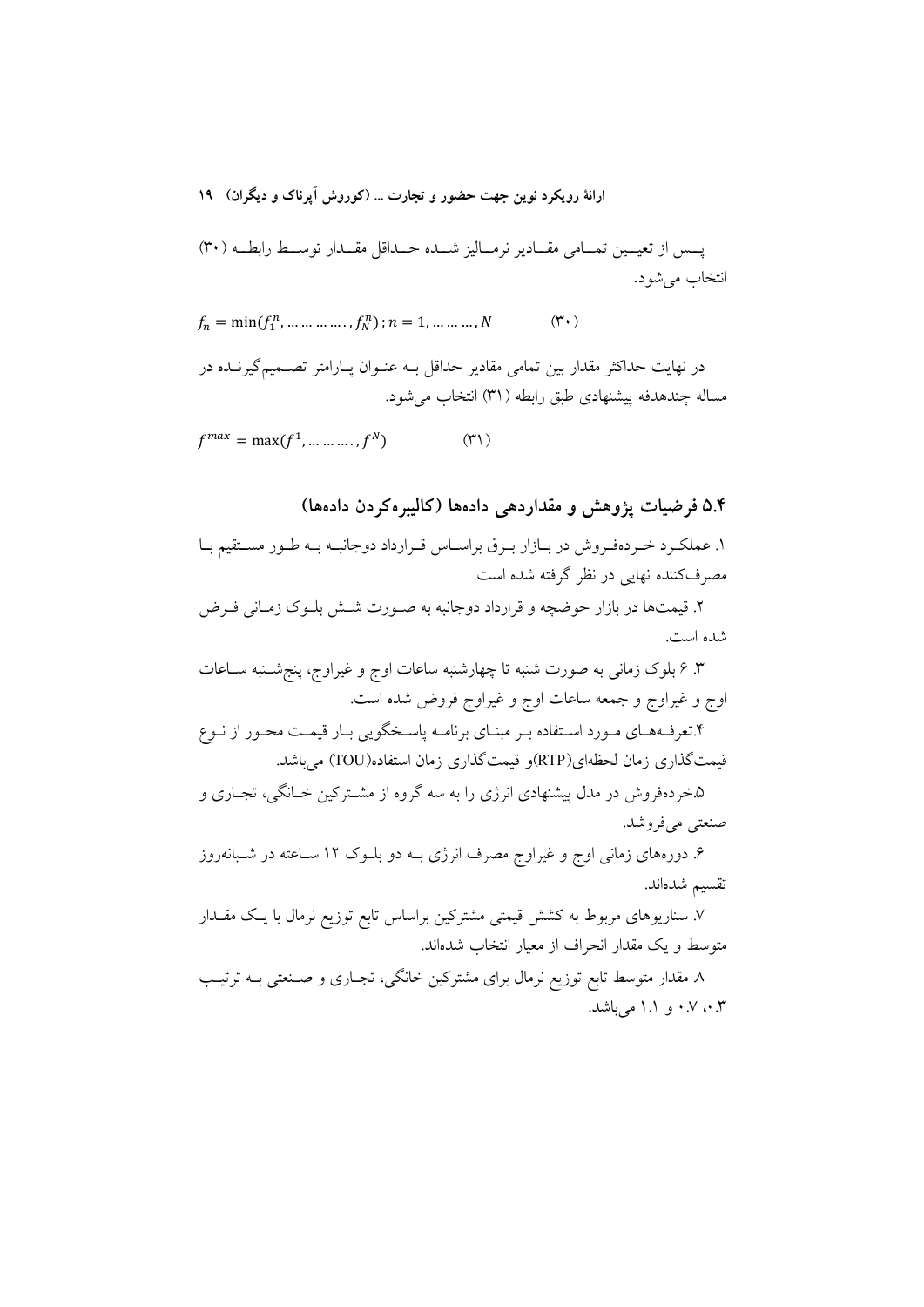ارائهٔ رویکرد نوین جهت حضور و تجارت … (کوروش آیرناک و دیگران) ۱۹

يــس از تعيــين تمــامي مقــادير نرمــاليز شــده حــداقل مقــدار توســط رابطــه (٣٠) انتخاب مي شود.

 $f_n = \min(f_1^n, \dots \dots \dots f_N^n); n = 1, \dots \dots \dots N$  $(\Upsilon \cdot )$ 

در نهایت حداکثر مقدار بین تمامی مقادیر حداقل بـه عنـوان یـارامتر تصـمیمگیرنــده در مساله چندهدفه پیشنهادی طبق رابطه (۳۱) انتخاب می شود.

 $f^{max} = \max(f^1, \dots \dots \dots f^N)$  $(\uparrow\uparrow)$ 

### 0.۴ فرضیات پژوهش و مقداردهی دادهها (کالیبره کردن دادهها)

۱. عملک دخر دهفروش در بازار برق براساس قـرارداد دوجانبـه بـه طـور مسـتقيم بـا مصرفکننده نهایی در نظر گرفته شده است.

۲. قیمتها در بازار حوضچه و قرارداد دوجانبه به صـورت شـش بلـوک زمـانی فـرض شده است.

۳. ۶ بلوک زمانی به صورت شنبه تا چهارشنبه ساعات اوج و غیراوج، پنجشــنبه ســاعات اوج و غیراوج و جمعه ساعات اوج و غیراوج فروض شده است.

۴.تعرفـههـاي مـورد اسـتفاده بـر مبنـاي برنامـه پاسـخگويي بـار قيمـت محـور از نـوع قیمت گذاری زمان لحظهای(RTP)و قیمت گذاری زمان استفاده(TOU) می باشد.

۵.خردهفروش در مدل پیشنهادی انرژی را به سه گروه از مشــترکین خــانگی، تجــاری و صنعتي مي فروشد.

۶. دورههای زمانی اوج و غیراوج مصرف انرژی بـه دو بلــوک ۱۲ ســاعته در شــبانهروز تقسيم شدەاند.

۷. سناریوهای مربوط به کشش قیمتی مشترکین براساس تابع توزیع نرمال با یـک مقــدار متوسط و یک مقدار انحراف از معیار انتخاب شدهاند.

۸. مقدار متوسط تابع توزیع نرمال برای مشترکین خانگی، تجـاری و صـنعتی بــه ترتیــب ۰.۳ مه ۰.۷ و ۱.۱ می باشد.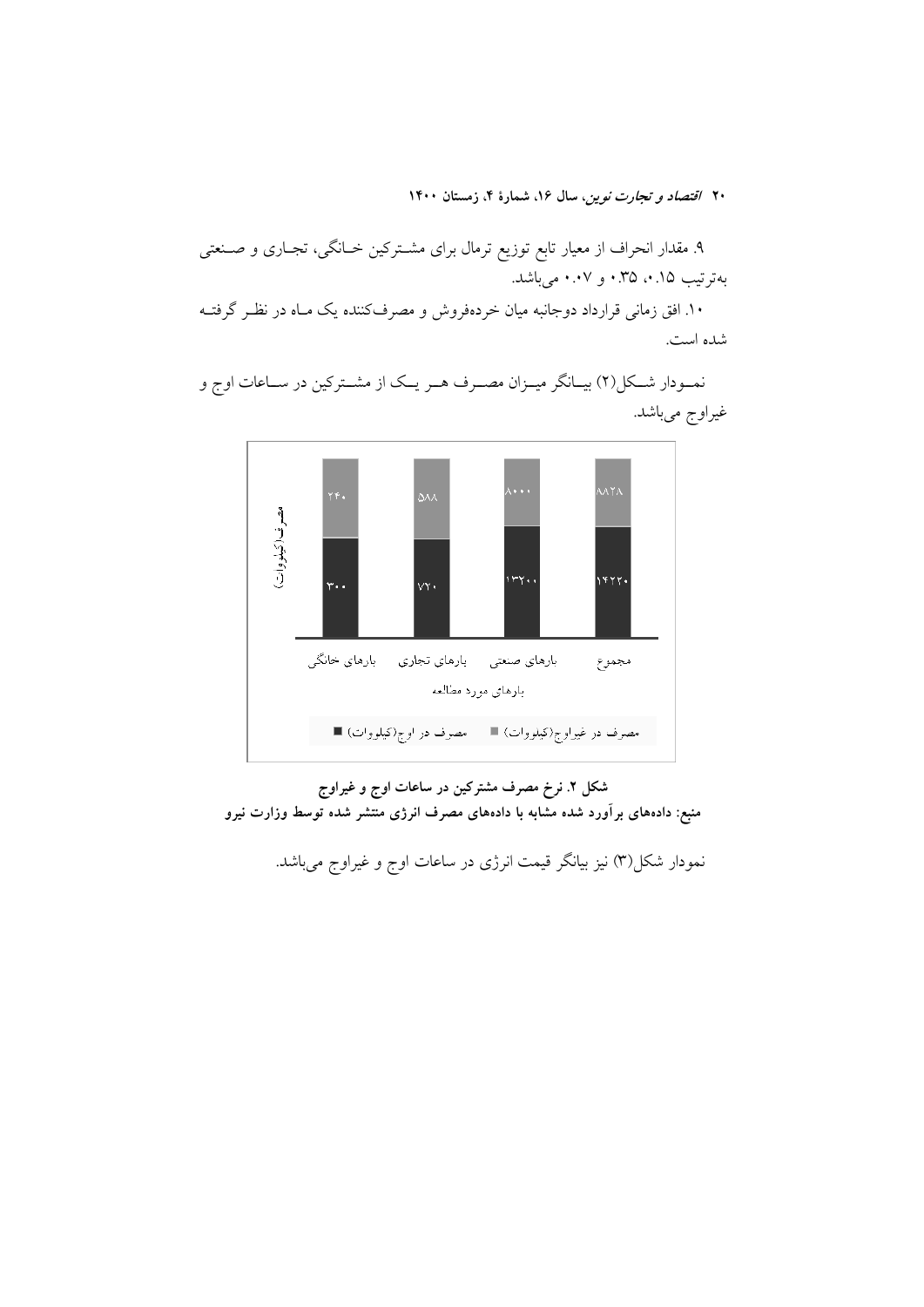۹. مقدار انحراف از معیار تابع توزیع ترمال برای مشــترکین خــانگی، تجــاری و صــنعتی بهترتيب ١٥.٠، ٣٥.٠ و ٠.٠٧ مي باشد.

۱۰. افق زمانی قرارداد دوجانبه میان خردهفروش و مصرفکننده یک مـاه در نظـر گرفتــه شده است.



نمـودار شـكل(٢) بيـانگر ميـزان مصـرف هـر يـك از مشـتركين در سـاعات اوج و غیراوج میباشد.

شکل ۲. نرخ مصرف مشترکین در ساعات اوج و غیراوج منبع: دادههای برآورد شده مشابه با دادههای مصرف انرژی منتشر شده توسط وزارت نیرو

نمودار شکل(۳) نیز بیانگر قیمت انرژی در ساعات اوج و غیراوج میباشد.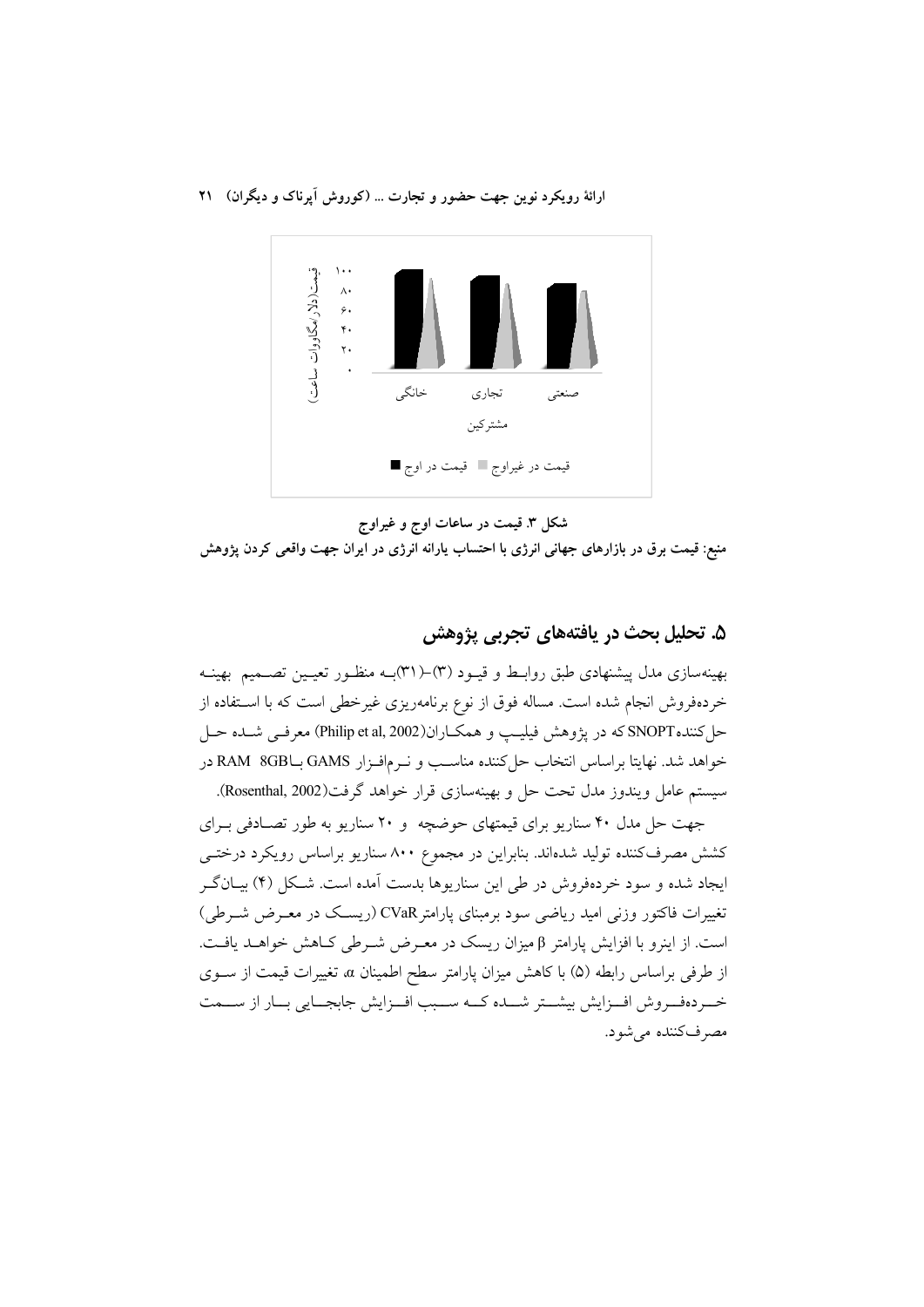ارائهٔ رویکرد نوین جهت حضور و تجارت ... (کوروش آیرناک و دیگران) ۲۱



شکل ۳. قیمت در ساعات اوج و غیراوج

منبع: قیمت برق در بازارهای جهانی انرژی با احتساب یارانه انرژی در ایران جهت واقعی کردن پژوهش

## ۵. تحلیل بحث در یافتههای تجربی پژوهش

بهینهسازی مدل پیشنهادی طبق روابط و قیـود (٣)–(٣١)بـه منظـور تعیـین تصـمیم بهینـه خردهفروش انجام شده است. مساله فوق از نوع برنامهریزی غیرخطی است که با استفاده از حل کننده SNOPT که در پژوهش فیلیپ و همکـاران(Philip et al, 2002) معرفـی شـده حـل خواهد شد. نهايتا براساس انتخاب حل كننده مناسـب و نــرمافـزار GAMS بـRAM 8GB در سيستم عامل ويندوز مدل تحت حل و بهينهسازي قرار خواهد گرفت(Rosenthal, 2002).

جهت حل مدل ۴۰ سناریو برای قیمتهای حوضچه و ۲۰ سناریو به طور تصادفی بهرای کشش مصرف کننده تولید شدهاند. بنابراین در مجموع ۸۰۰ سناریو براساس رویکرد درختــی ایجاد شده و سود خردهفروش در طی این سناریوها بدست آمده است. شکل (۴) بیـانگـر تغییرات فاکتور وزنی امید ریاضی سود برمبنای پارامتر CVaR (ریسک در معـرض شــرطی) است. از اینرو با افزایش پارامتر β میزان ریسک در معـرض شـرطی کـاهش خواهــد یافــت. از طرفي براساس رابطه (۵) با كاهش ميزان پارامتر سطح اطمينان α، تغييرات قيمت از سـوى خسردهف وش افسزایش بیشتر شسده کسه سسبب افسزایش جابجسایی بسار از سسمت مصرفکننده می شود.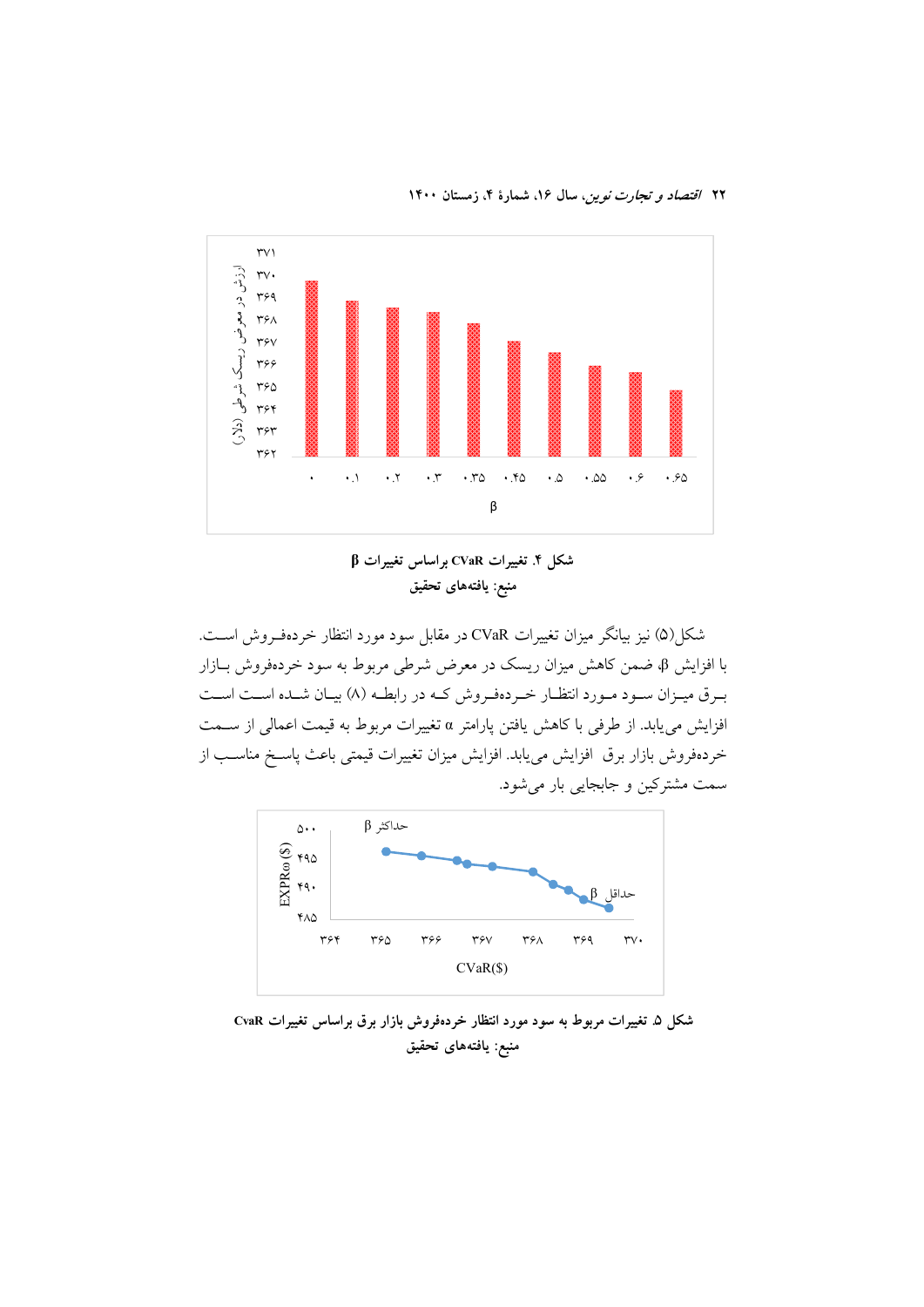



 $\beta$  شکل ۴. تغییرات  $\alpha$ R براساس تغییرات منبع: يافتههاى تحقيق

شکل(۵) نیز بیانگر میزان تغییرات CVaR در مقابل سود مورد انتظار خردهفـروش اسـت. با افزایش β، ضمن کاهش میزان ریسک در معرض شرطی مربوط به سود خردهفروش بـازار بـرق میـزان سـود مـورد انتظـار خـردهفـروش كـه در رابطـه (۸) بيـان شـده اسـت اسـت افزايش مي يابد. از طرفي با كاهش يافتن يارامتر α تغييرات مربوط به قيمت اعمالي از ســمت خردهفروش بازار برق افزايش مي يابد. افزايش ميزان تغييرات قيمتي باعث ياسـخ مناسـب از سمت مشترکین و جابجایی بار می شود.



شکل ۵. تغییرات مربوط به سود مورد انتظار خردهفروش بازار برق براساس تغییرات CvaR منبع: يافتههاي تحقيق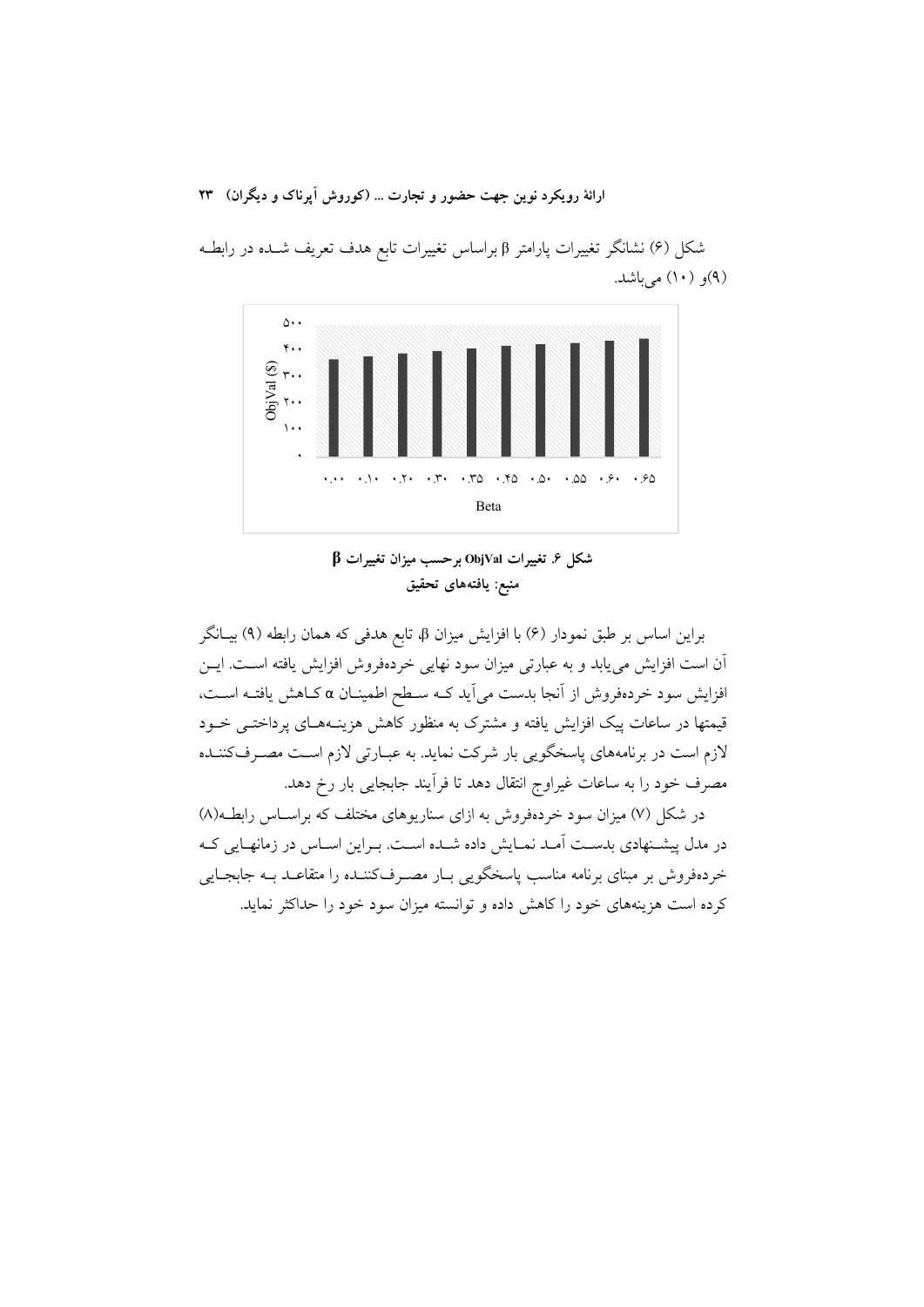ارائهٔ رویکرد نوین جهت حضور و تجارت ... (کوروش آیرناک و دیگران) ۲۳



شکل (۶) نشانگر تغییرات پارامتر β براساس تغییرات تابع هدف تعریف شـده در رابطـه (۹)و (۱۰) مي باشد.

 $\beta$  شکل ۶ تغییرات ObjVal برحسب میزان تغییرات منبع: يافتههاي تحقيق

براین اساس بر طبق نمودار (۶) با افزایش میزان β، تابع هدفی که همان رابطه (۹) بیـانگر آن است افزایش می یابد و به عبارتی میزان سود نهایی خردهفروش افزایش یافته اسـت. ایــن افزایش سود خردهفروش از آنجا بدست میآید کـه سـطح اطمینـان α کـاهش یافتـه اسـت، قیمتها در ساعات پیک افزایش یافته و مشترک به منظور کاهش هزینـههـای پرداختـی خــود لازم است در برنامههای پاسخگویی بار شرکت نماید. به عبـارتی لازم اسـت مصـرفکننـده مصرف خود را به ساعات غیراوج انتقال دهد تا فرآیند جابجایی بار رخ دهد.

در شکل (۷) میزان سود خردهفروش به ازای سناریوهای مختلف که براسـاس رابطـه(۸) در مدل پیشـنهادی بدسـت آمـد نمـایش داده شـده اسـت. بـراین اسـاس در زمانهـایی کـه خردهفروش بر مبنای برنامه مناسب پاسخگویی بـار مصـرفکننــده را متقاعــد بــه جابجــایی کرده است هزینههای خود را کاهش داده و توانسته میزان سود خود را حداکثر نماید.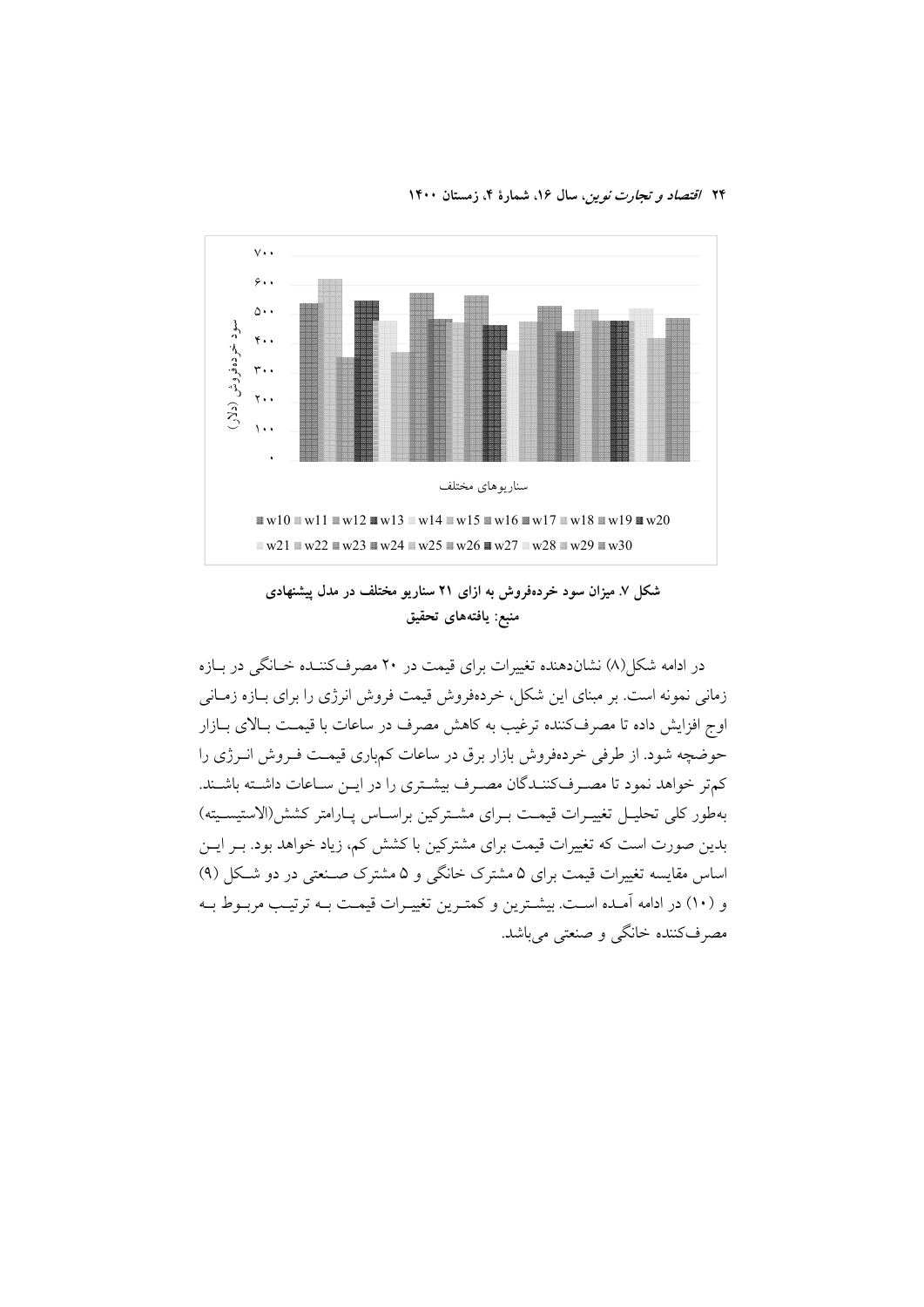

شکل ۷. میزان سود خردهفروش به ازای ۲۱ سناریو مختلف در مدل پیشنهادی منبع: يافتههاى تحقيق

در ادامه شکل(۸) نشاندهنده تغییرات برای قیمت در ۲۰ مصرفکننـده خـانگی در بـازه زمانی نمونه است. بر مبنای این شکل، خردهفروش قیمت فروش انرژی را برای بـازه زمـانی اوج افزایش داده تا مصرفکننده ترغیب به کاهش مصرف در ساعات با قیمـت بـالای بــازار حوضچه شود. از طرفی خردهفروش بازار برق در ساعات کمباری قیمت فـروش انـرژی را كمتر خواهد نمود تا مصـرفكننـدگان مصـرف بيشـتري را در ايــن ســاعات داشـته باشــند. بهطور كلي تحليـل تغييـرات قيمـت بـراي مشـتركين براسـاس پـارامتر كشش(الاستيسـيته) بدین صورت است که تغییرات قیمت برای مشترکین با کشش کم، زیاد خواهد بود. بــر ایــن اساس مقایسه تغییرات قیمت برای ۵ مشترک خانگی و ۵ مشترک صـنعتی در دو شـکل (۹) و (١٠) در ادامه آمـده اسـت. بيشـترين و كمتـرين تغييـرات قيمـت بـه ترتيـب مربـوط بـه مصرفکننده خانگی و صنعتی میباشد.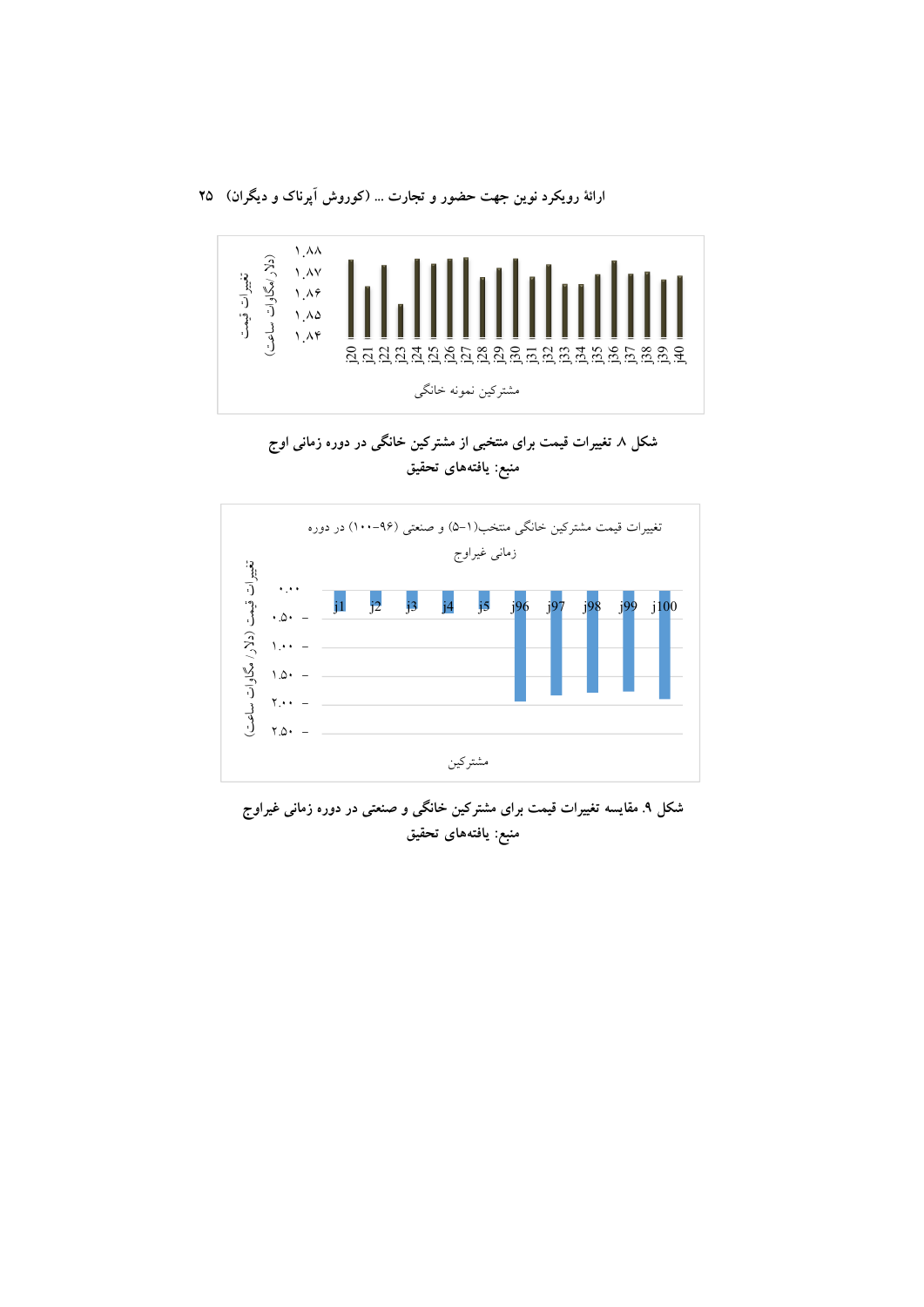ارائهٔ رویکرد نوین جهت حضور و تجارت ... (کوروش اَپرناک و دیگران) ۲۵



شکل ۸ تغییرات قیمت برای منتخبی از مشترکین خانگی در دوره زمانی اوج منبع: يافتههاى تحقيق



شکل ۹. مقایسه تغییرات قیمت برای مشترکین خانگی و صنعتی در دوره زمانی غیراوج منبع: يافتههاى تحقيق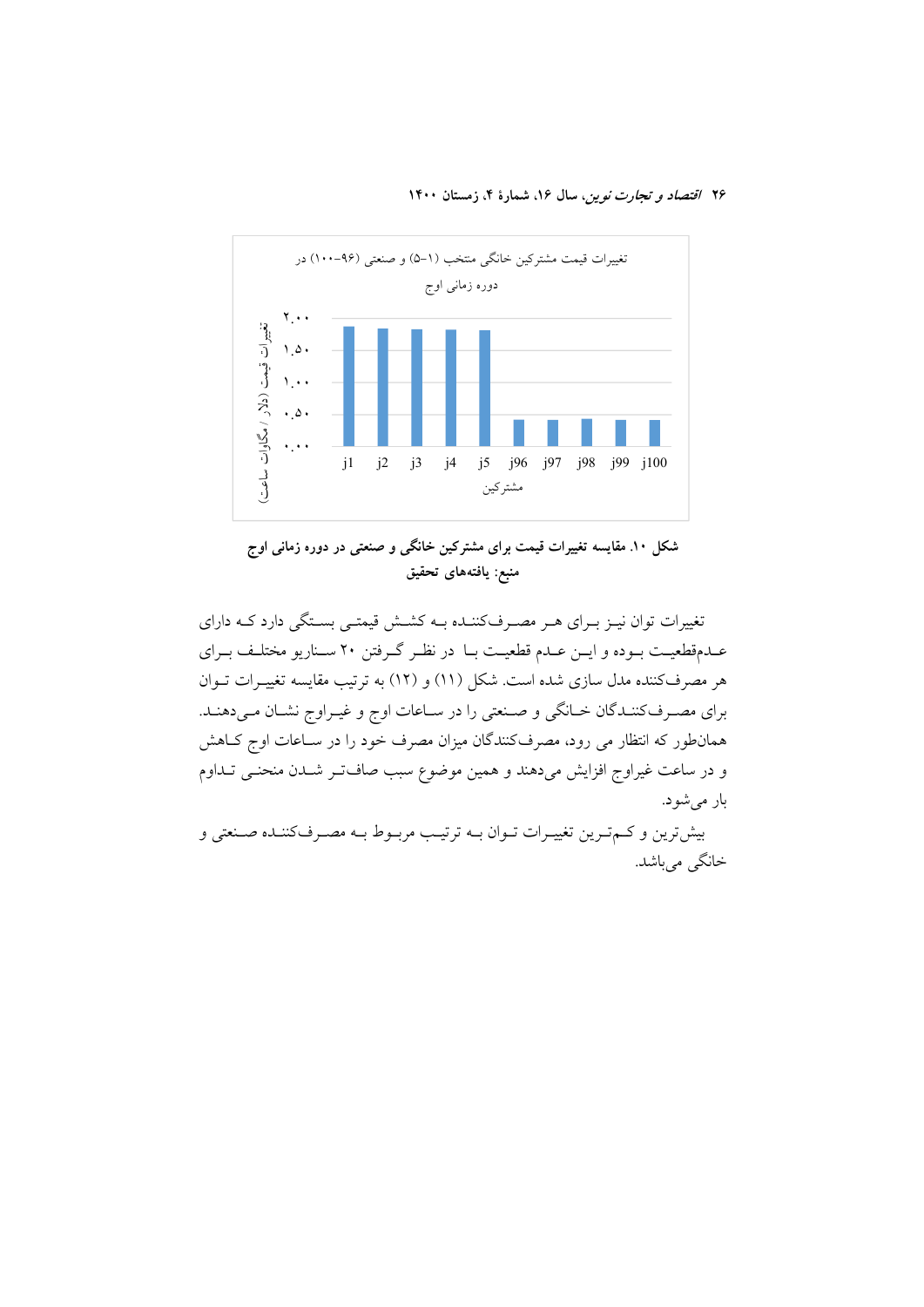

شکل ۱۰. مقایسه تغییرات قیمت برای مشترکین خانگی و صنعتی در دوره زمانی اوج منبع: يافتههاى تحقيق

تغییرات توان نیـز بـرای هـر مصـرفکننـده بـه کشـش قیمتـی بسـتگی دارد کـه دارای عـدمقطعيـت بـوده و ايـن عـدم قطعيـت بـا در نظـر گـرفتن ٢٠ سـناريو مختلـف بـراي هر مصرفکننده مدل سازی شده است. شکل (۱۱) و (۱۲) به ترتیب مقایسه تغییـرات تــوان برای مصـرفکننـدگان خـانگی و صـنعتی را در سـاعات اوج و غيـراوج نشـان مـیدهنـد. همانطور که انتظار می رود، مصرفکنندگان میزان مصرف خود را در سـاعات اوج کــاهش و در ساعت غیراوج افزایش میدهند و همین موضوع سبب صافتر شـدن منحنـی تـداوم بار مي شود.

بیشترین و کم ترین تغییرات تـوان بـه ترتیـب مربـوط بـه مصـرفکننـده صـنعتی و خانگي مي باشد.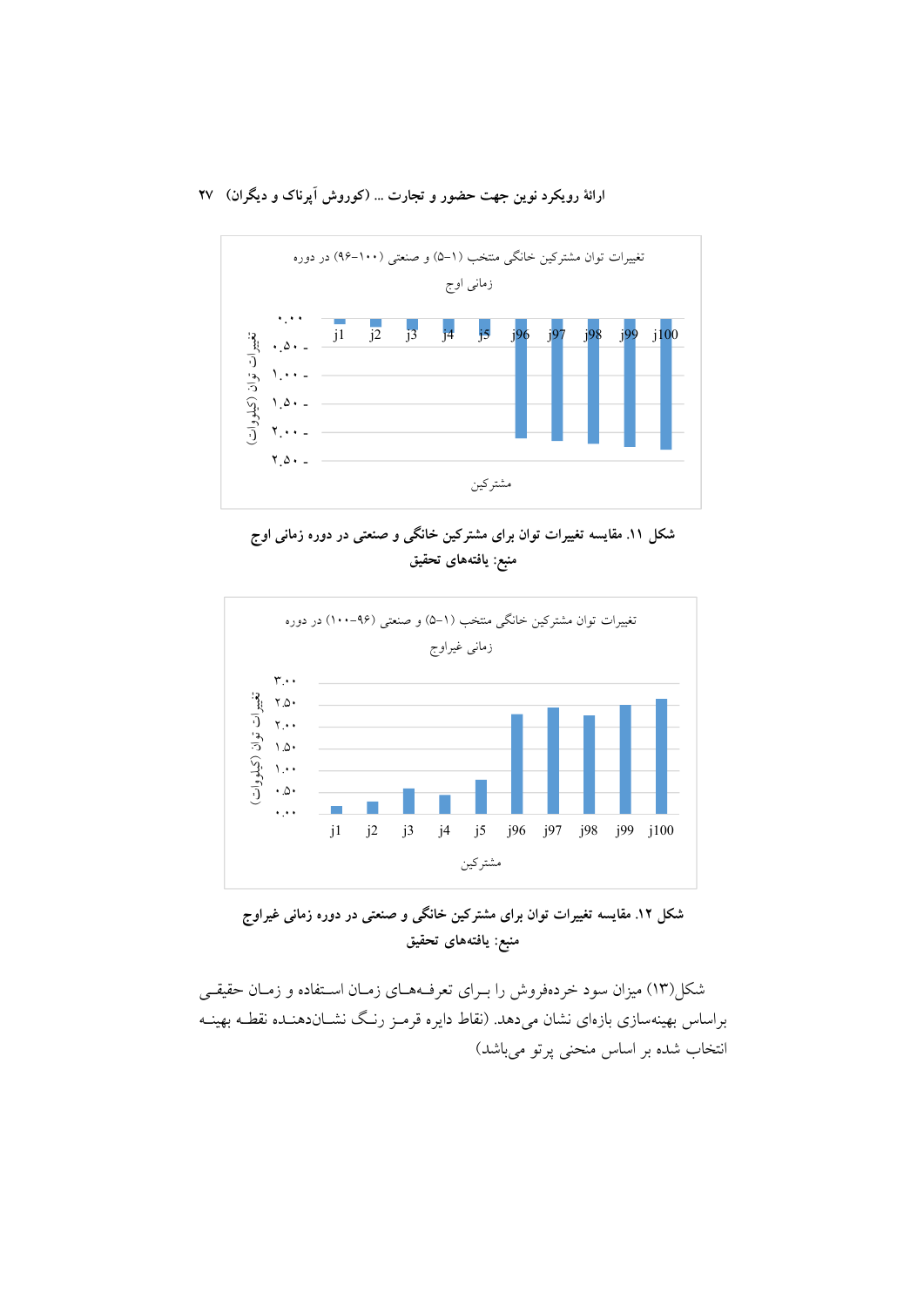ارائهٔ رویکرد نوین جهت حضور و تجارت … (کوروش اپرناک و دیگران) ۲۷







شکل ۱۲. مقایسه تغییرات توان برای مشترکین خانگی و صنعتی در دوره زمانی غیراوج منبع: يافتههاى تحقيق

شکل(۱۳) میزان سود خردهفروش را بــرای تعرفــههــای زمــان اســتفاده و زمــان حقیقــی براساس بهینهسازی بازهای نشان میدهد. (نقاط دایره قرمـز رنـگ نشــاندهنــده نقطــه بهینــه انتخاب شده بر اساس منحنی پرتو میباشد)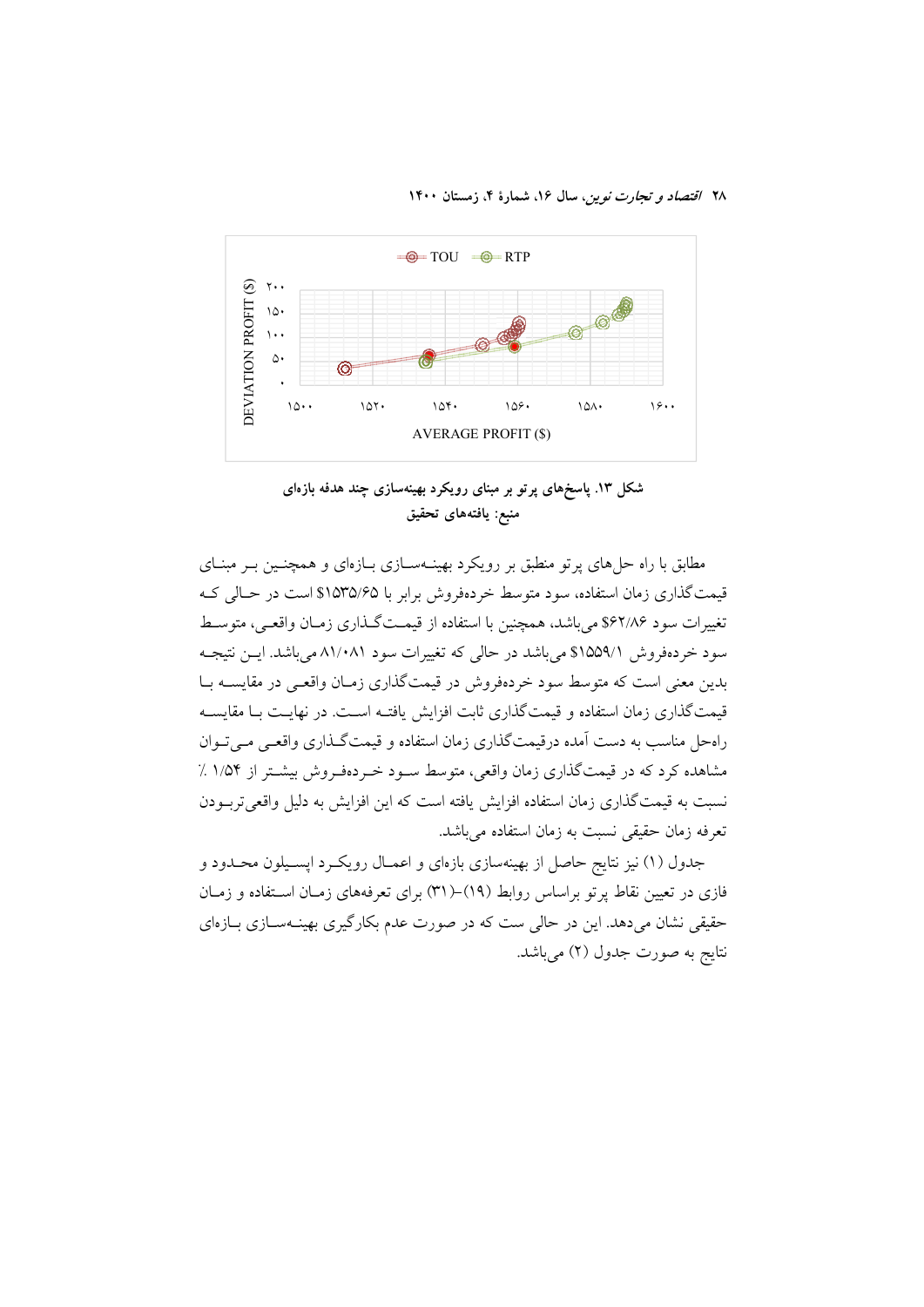۲۸ /قتصاد و تجارت نوین، سال ۱۶، شمارهٔ ۴، زمستان ۱۴۰۰



شکل ۱۳. یاسخهای پر تو بر مبنای رویکرد بهینهسازی چند هدفه بازهای منبع: يافتههاي تحقيق

مطابق با راه حلهای پرتو منطبق بر رویکرد بهینــهســازی بــازهای و همچنــین بــر مبنــای قیمت گذاری زمان استفاده، سود متوسط خردهفروش برابر با ۱۵۳۵/۶۵\$ است در حـالی کـه تغییرات سود ۶۶۲/۸۶ میباشد، همچنین با استفاده از قیمتگذاری زمـان واقعـی، متوسـط سود خردهفروش ٩١۵۵٩/١ می باشد در حالی که تغییرات سود ٨١/٠٨١ می باشد. ایسن نتیجـه بدین معنی است که متوسط سود خردهفروش در قیمتگذاری زمـان واقعـی در مقایســه بــا قیمتگذاری زمان استفاده و قیمتگذاری ثابت افزایش یافتـه اسـت. در نهایـت بـا مقایسـه راه حل مناسب به دست آمده درقیمت گذاری زمان استفاده و قیمت گیذاری واقعبی می تبوان مشاهده کرد که در قیمتگذاری زمان واقعی، متوسط سـود خـردهفـروش بیشـتر از ۱/۵۴ ٪ نسبت به قیمتگذاری زمان استفاده افزایش یافته است که این افزایش به دلیل واقعی تربودن تعرفه زمان حقيقي نسبت به زمان استفاده مي باشد.

جدول (۱) نیز نتایج حاصل از بهینهسازی بازهای و اعمـال رویکـرد اپسـیلون محـدود و فازی در تعیین نقاط پر تو براساس روابط (۱۹)–(۳۱) برای تعرفههای زمـان اسـتفاده و زمـان حقیقی نشان میدهد. این در حالی ست که در صورت عدم بکارگیری بهینـهسـازی بـازهای نتايج به صورت جدول (٢) ميباشد.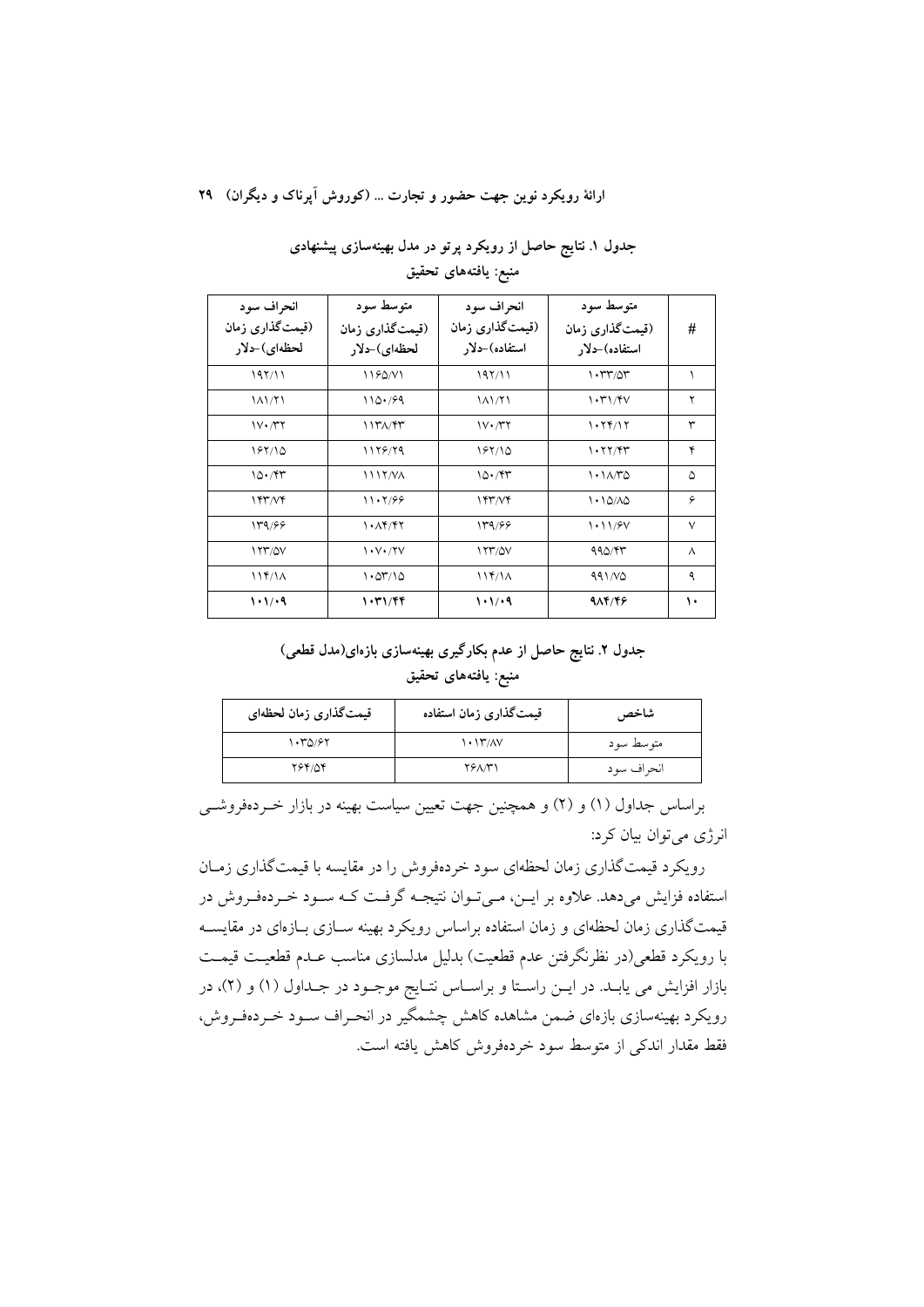ارائهٔ رویکرد نوین جهت حضور و تجارت ... (کوروش آیرناک و دیگران) ۲۹

| انحر اف سو د<br>(قیمتگذاری زمان<br>لحظه ي) حلار | متو سط سو د<br>(قیمتگذاری زمان<br>لحظه ي)-دلار    | انحراف سود<br>(قیمتگذاری زمان<br>استفاده)حدلار | متو سط سو د<br>(قیمتگذاری زمان<br>استفاده)-دلا, | #      |
|-------------------------------------------------|---------------------------------------------------|------------------------------------------------|-------------------------------------------------|--------|
| 197/11                                          | 1180N1                                            | 197/11                                         | $\cdot$ ۳۳/۵۳                                   |        |
| 11/71                                           | 110.799                                           | 11/71                                          | 1.71/8V                                         | ۲      |
| $V \cdot \pi r$                                 | <b>1171/47</b>                                    | $V \cdot \gamma Y$                             | 1.74/17                                         | ٣      |
| 187110                                          | 1178/79                                           | 187110                                         | 1.77/94                                         | ۴      |
| 10.797                                          | 1117/VA                                           | 10.797                                         | $\lambda \cdot \lambda \wedge \lambda$          | ۵      |
| 157/Vf                                          | 11.7/99                                           | 144/4                                          | 1.10/10                                         | ۶      |
| 139/66                                          | $\lambda \cdot \lambda f / f \gamma$              | 139/66                                         | 1.11/8V                                         | $\vee$ |
| 177/0V                                          | $\mathcal{N} \cdot \mathcal{N} \cdot \mathcal{N}$ | 177/0V                                         | 990/97                                          | Λ      |
| 117/1A                                          | 1.07/10                                           | 114/1 <sub>A</sub>                             | 991NQ                                           | ٩      |
| 1.1/9                                           | 1.71/99                                           | $\cdot \cdot \cdot$ ۹                          | 98448                                           | ١٠     |

جدول ۱. نتایج حاصل از رویکرد پرتو در مدل بهینهسازی پیشنهادی منبع: يافتههاي تحقيق

## جدول ۲. نتایج حاصل از عدم بکارگیری بهینهسازی بازهای(مدل قطعی) منبع: يافتههاي تحقيق

| قیمتگذاری زمان لحظهای | قیمتگذاری زمان استفاده | شاخص       |
|-----------------------|------------------------|------------|
| ۱۰۳۵/۶۲               | $\binom{1 + 1}{1}$     | متوسط سود  |
| ۲۶۴/۵۴                | <b>TEANY</b>           | انحراف سود |

براساس جداول (۱) و (۲) و همچنین جهت تعیین سیاست بهینه در بازار خـردهفروشــی انرژی میتوان بیان کرد:

رویکرد قیمتگذاری زمان لحظهای سود خردهفروش را در مقایسه با قیمتگذاری زمـان استفاده فزایش میدهد. علاوه بر ایـن، مـی تـوان نتیجـه گرفـت کـه سـود خـردهفـروش در قیمتگذاری زمان لحظهای و زمان استفاده براساس رویکرد بهینه ســازی بــازمای در مقایســه با رويكرد قطعي(در نظرنگرفتن عدم قطعيت) بدليل مدلسازي مناسب عـدم قطعيـت قيمـت بازار افزایش می یابـد. در ایــن راسـتا و براســاس نتــایج موجــود در جــداول (۱) و (۲)، در رویکرد بهینهسازی بازهای ضمن مشاهده کاهش چشمگیر در انحـراف ســود خــردهفـروش، فقط مقدار اندکی از متوسط سود خردهفروش کاهش یافته است.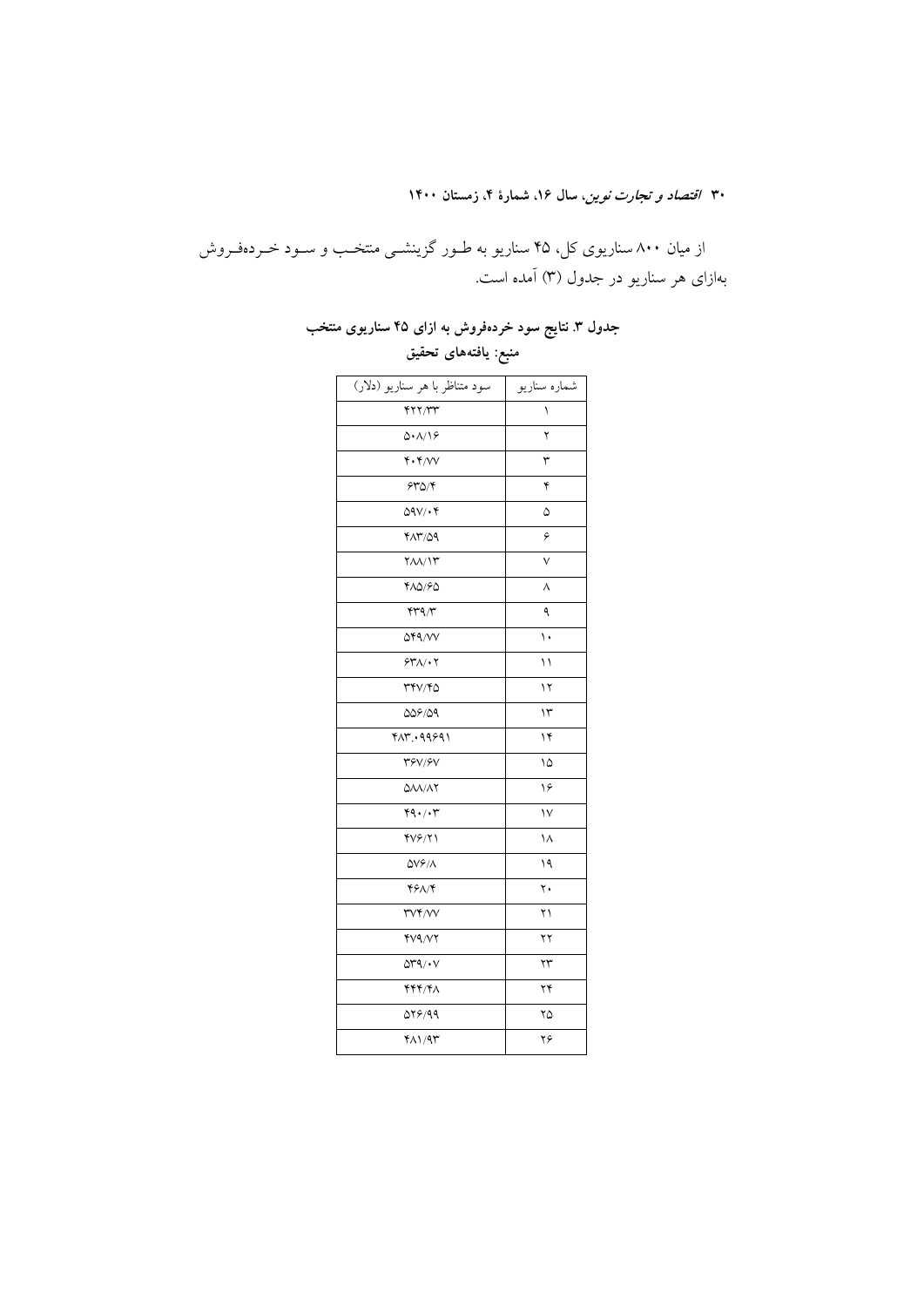از میان ۸۰۰ سناریوی کل، ۴۵ سناریو به طـور گزینشـی منتخـب و سـود خـردهفـروش بهازای هر سناریو در جدول (۳) آمده است.

### جدول ۳. نتایج سود خردهفروش به ازای ۴۵ سناریوی منتخب

سود متناظر با هر سناریو (دلار) ۔<br>شمارہ سناریو  $YYY/YY$  $\boldsymbol{\lambda}$  $\Delta$ . $\Lambda$ /19  $\mathbf Y$  $\mathfrak{r} \cdot \mathfrak{r}/\mathsf{VV}$  $\mathbf{\breve{r}}$  $540/5$  $\mathbf{\acute{r}}$  $QAV/\cdot Y$  $\Delta$  $YAY/09$  $\overline{\epsilon}$  $Y\Lambda\Lambda/\Upsilon$  $\mathsf{V}$  $Y\Lambda Q/SQ$  $\boldsymbol{\wedge}$  $rrq/r$  $\spadesuit$  $\Delta$ 89/11  $\overline{\mathcal{N}}$  $547/17$  $\setminus$  $\Upsilon\Upsilon\Upsilon/\Upsilon\Delta$  $\mathcal{N}$  $\overline{\mathbf{r}}$  $009/09$  $417.49991$  $\gamma$  $Y^{\varphi}V/\varphi V$  $\sqrt{2}$  $\triangle\lambda\lambda/\lambda\Upsilon$  $\sqrt{2}$  $44.77$  $\sqrt{}$  $\frac{8}{2}$  $\lambda$  $\Delta V \hat{\mathcal{F}}/\Lambda$  $\sqrt{9}$  $Y^{\varphi}$  $\mathbf{y}$  . **TVF/VV**  $\upgamma\upgamma$  $YV9/VY$  $\overline{\Upsilon}$  $\Delta r \sim \sqrt{v}$  $\overline{Y}$  $\mathbf{Y}\mathbf{Y}\mathbf{Y}/\mathbf{Y}\Lambda$  $\gamma\gamma$  $QY5/99$  $\gamma$ ۵  $Y\Lambda$  /  $Y$  $\gamma\varphi$ 

منبع: يافتههاى تحقيق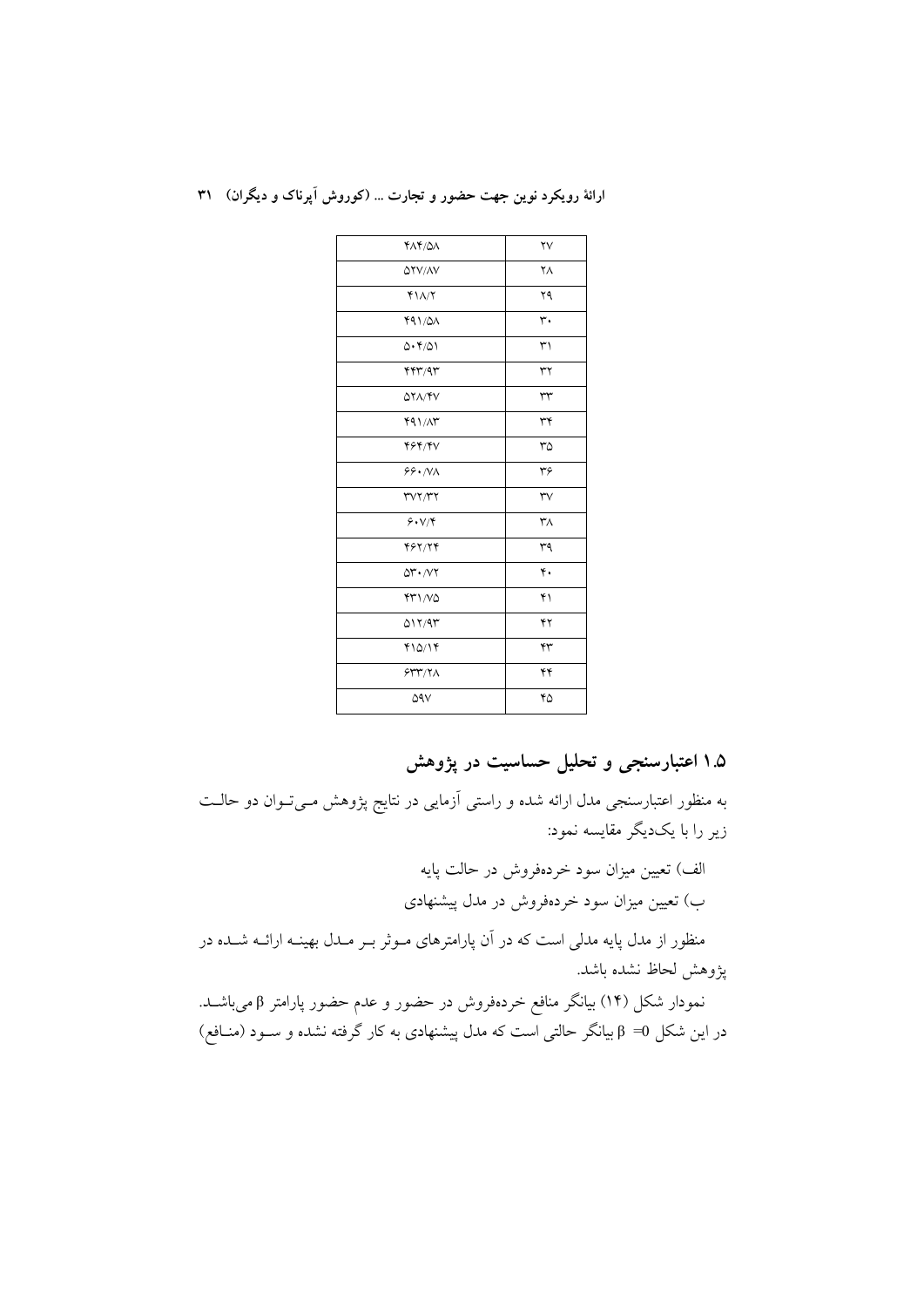| ارائهٔ رویکرد نوین جهت حضور و تجارت  (کوروش آپرناک و دیگران) ۳۱ |
|-----------------------------------------------------------------|
|                                                                 |

| <b>FAF/0A</b>                               | $\forall \forall$ |
|---------------------------------------------|-------------------|
| <b>OYV/AV</b>                               | ٢٨                |
| $Y\Lambda/Y$                                | ۲۹                |
| 491/0A                                      | ٣٠                |
| 0.4101                                      | ٣١                |
| YY' / 9Y                                    | ٣٢                |
| <b>AYA/FV</b>                               | $\tau\tau$        |
| 491/M                                       | ٣۴                |
| <b>۴۶۴/۴۷</b>                               | ٣۵                |
| 99. N <sub>A</sub>                          | ٣۶                |
| rvr/rr                                      | $\forall$         |
| 9.1                                         | ٣٨                |
| 497/74                                      | ٣٩                |
| $\Delta \mathbf{r} \cdot \Delta \mathbf{r}$ | ۴.                |
| YY1/NQ                                      | ۴۱                |
| 017/97                                      | ۴۲                |
| Y10/19                                      | ۴٣                |
| 544/7                                       | ۴۴                |
| ۵۹۷                                         | ۴۵                |

۱.۵ اعتبارسنجی و تحلیل حساسیت در پژوهش

به منظور اعتبارسنجی مدل ارائه شده و راستی آزمایی در نتایج پژوهش مـیتـوان دو حالـت زیر را با یکدیگر مقایسه نمود:

> الف) تعیین میزان سود خردهفروش در حالت پایه ب) تعیین میزان سود خردهفروش در مدل پیشنهادی

منظور از مدل پایه مدلی است که در آن پارامترهای مـوثر بـر مـدل بهینــه ارائــه شــده در پژوهش لحاظ نشده باشد.

نمودار شکل (۱۴) بیانگر منافع خردهفروش در حضور و عدم حضور پارامتر β میباشــد. در این شکل θ =0 بیانگر حالتی است که مدل پیشنهادی به کار گرفته نشده و ســود (منــافع)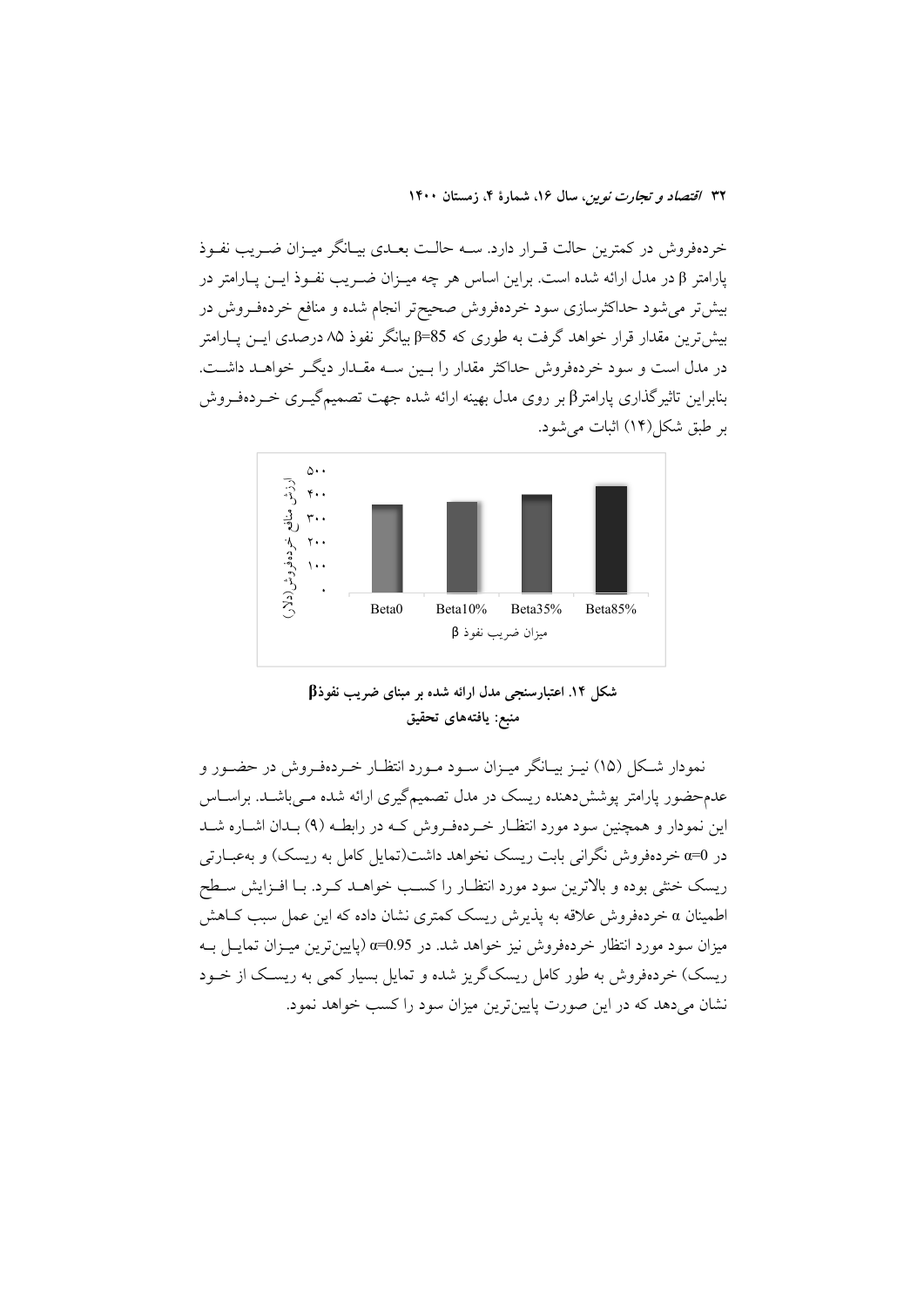خردهفروش در کمترین حالت قـرار دارد. ســه حالـت بعــدی بیــانگر میــزان ضــریب نفــوذ پارامتر β در مدل ارائه شده است. براین اساس هر چه میــزان ضــریب نفــوذ ایــن پــارامتر در بیش تر می شود حداکثرسازی سود خردهفروش صحیح تر انجام شده و منافع خردهفـروش در بیش ترین مقدار قرار خواهد گرفت به طوری که 85=β بیانگر نفوذ ۸۵ درصدی ایــن پــارامتر در مدل است و سود خردهفروش حداکثر مقدار را بسین ســه مقــدار دیگــر خواهــد داشــت. بنابراین تاثیر گذاری پارامتر β بر روی مدل بهینه ارائه شده جهت تصمیم گیـری خـردهفـروش بر طبق شکل(۱۴) اثبات می شود.





نمودار شکل (۱۵) نیـز بیـانگر میـزان سـود مـورد انتظـار خـردهفـروش در حضـور و عدمحضور پارامتر پوشش،دهنده ریسک در مدل تصمیمگیری ارائه شده مـیباشـد. براسـاس این نمودار و همچنین سود مورد انتظـار خـردهفـروش کـه در رابطـه (۹) بـدان اشــاره شــد در α=0 خردهفروش نگرانی بابت ریسک نخواهد داشت(تمایل کامل به ریسک) و بهعبــارتی ریسک خنثی بوده و بالاترین سود مورد انتظـار را کسـب خواهــد کــرد. بــا افــزایش ســطح اطمینان a خردهفروش علاقه به پذیرش ریسک کمتری نشان داده که این عمل سبب کـاهش میزان سود مورد انتظار خردهفروش نیز خواهد شد. در 0.95=α (پایین ترین میـزان تمایــل بــه ریسک) خردهفروش به طور کامل ریسکگریز شده و تمایل بسیار کمی به ریســک از خــود نشان میدهد که در این صورت پایینترین میزان سود را کسب خواهد نمود.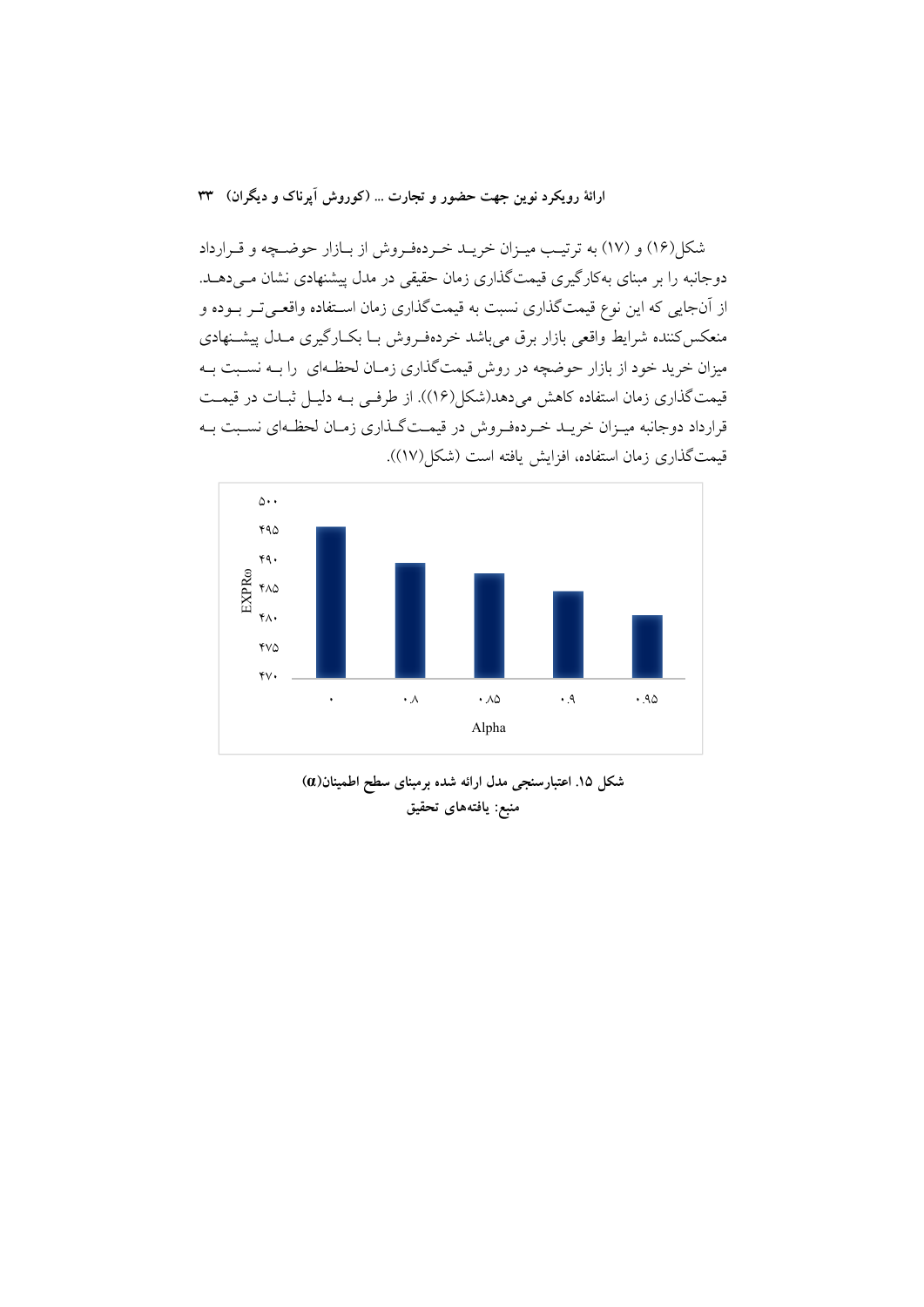ارائهٔ رویکرد نوین جهت حضور و تجارت ... (کوروش آیرناک و دیگران) ۳۳

شکل(۱۶) و (۱۷) به ترتیب میـزان خریـد خـردهفـروش از بـازار حوضـچه و قـرارداد دوجانبه را بر مبنای بهکارگیری قیمتگذاری زمان حقیقی در مدل پیشنهادی نشان مـیدهــد. از آنجایی که این نوع قیمتگذاری نسبت به قیمتگذاری زمان اسـتفاده واقعـیتـر بـوده و منعکس کننده شرایط واقعی بازار برق میباشد خردهفروش بـا بکـارگیری مـدل پیشـنهادی میزان خرید خود از بازار حوضچه در روش قیمتگذاری زمـان لحظـهای را بــه نسـبت بــه قیمت گذاری زمان استفاده کاهش میدهد(شکل(۱۶)). از طرفی بـه دلیـل ثبـات در قیمـت قرارداد دوجانبه میـزان خریـد خـردهفـروش در قیمـتگـذاری زمـان لحظـهای نسـبت بـه قيمت\$ذاري زمان استفاده، افزايش يافته است (شكل(١٧)).



شکل ۱۵. اعتبارسنجی مدل ارائه شده برمبنای سطح اطمینان(a) منبع: يافتههاي تحقيق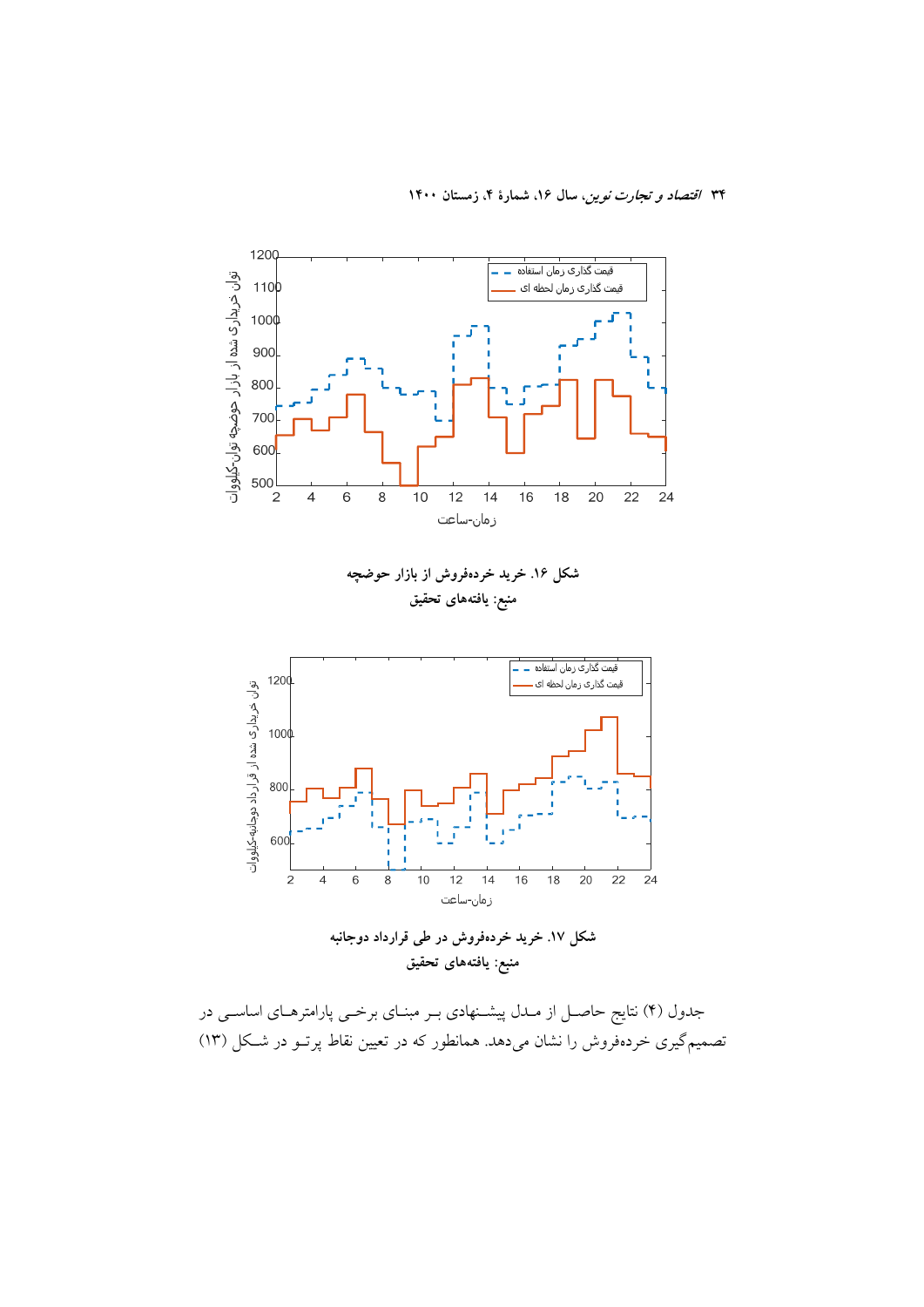

شکل ۱۷. خرید خردهفروش در طی قرارداد دوجانبه منبع: يافتههاى تحقيق

جدول (۴) نتایج حاصـل از مـدل پیشــنهادی بــر مبنــای برخــی پارامترهــای اساســی در تصمیم گیری خردهفروش را نشان میدهد. همانطور که در تعیین نقاط پرتـو در شـکل (۱۳)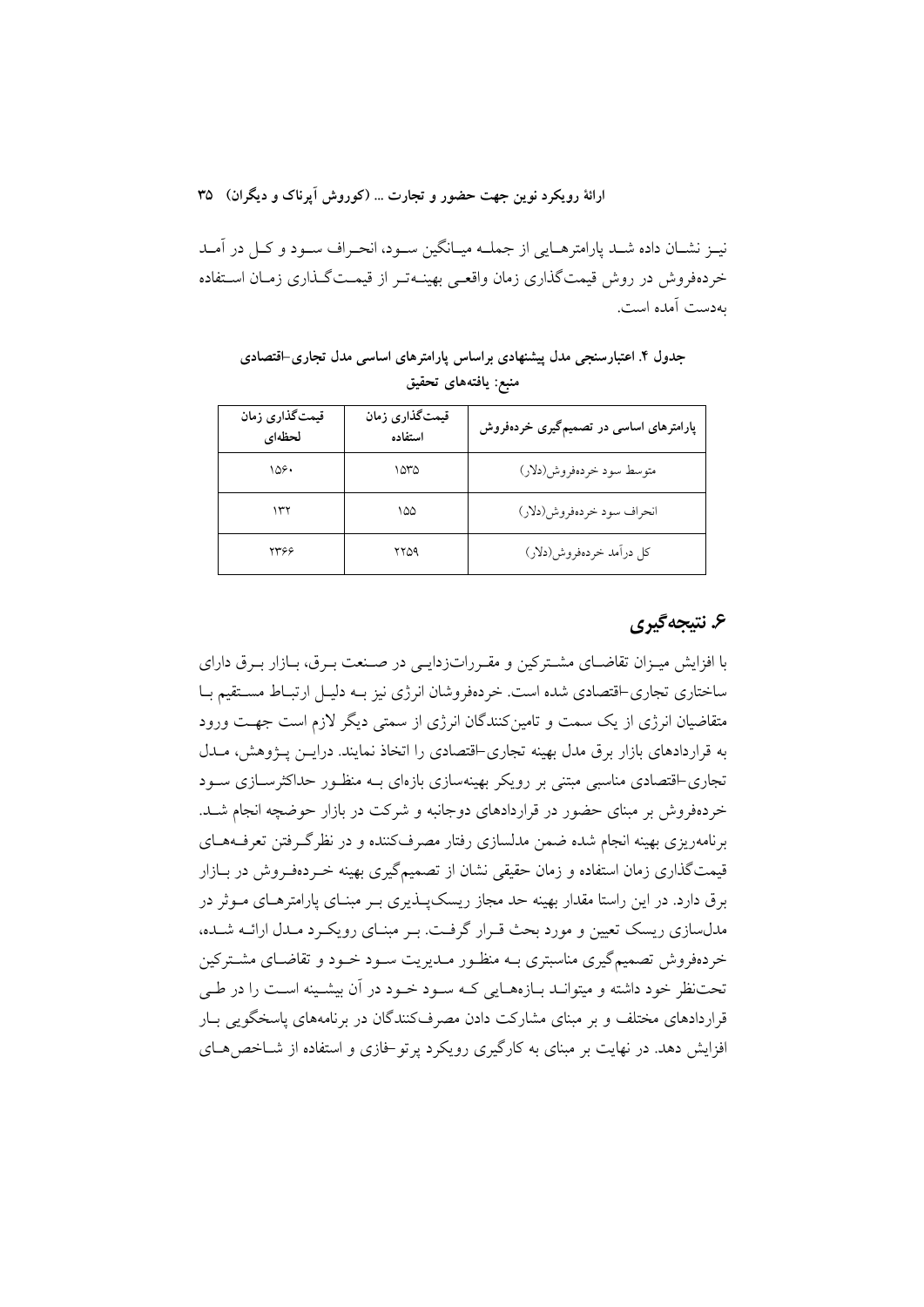ارائهٔ رویکرد نوین جهت حضور و تجارت … (کوروش اَیرناک و دیگران) ۳۵

نيـز نشـان داده شـد پارامترهـايي از جملــه ميـانگين ســود، انحـراف ســود و كــل در آمــد خردهفروش در روش قیمتگذاری زمان واقعے بهینـهتـر از قیمـتگـذاری زمـان اسـتفاده بەدست آمدە است.

جدول ۴. اعتبارسنجی مدل پیشنهادی براساس پارامترهای اساسی مدل تجاری-اقتصادی منبع: يافتههاي تحقيق

| قیمتگذاری زمان<br>لحظهاى | قیمتگذاری زمان<br>استفاده | پارامترهای اساسی در تصمیمگیری خردهفروش |
|--------------------------|---------------------------|----------------------------------------|
| ۱۵۶۰                     | ۱۵۳۵                      | متوسط سود خردهفروش(دلار)               |
| ۱۳۲                      | ۱۵۵                       | انحراف سود خردهفروش(دلار)              |
| ۲۳۶۶                     | ۲۲۵۹                      | كل درآمد خردهفروش(دلار)                |

## ۶. نتيجه گيري

با افزایش میـزان تقاضـای مشـترکین و مقـرراتزدایـی در صـنعت بـرق، بـازار بـرق دارای ساختاری تجاری-اقتصادی شده است. خردهفروشان انرژی نیز بـه دلیـل ارتبـاط مسـتقیم بـا متقاضیان انرژی از یک سمت و تامین کنندگان انرژی از سمتی دیگر لازم است جهت ورود به قراردادهای بازار برق مدل بهینه تجاری-اقتصادی را اتخاذ نمایند. درایس پـژوهش، مــدل تجاری-اقتصادی مناسبی مبتنی بر رویکر بهینهسازی بازهای بــه منظـور حداکثرســازی ســود خردهفروش بر مبنای حضور در قراردادهای دوجانبه و شرکت در بازار حوضچه انجام شـد. برنامهریزی بهینه انجام شده ضمن مدلسازی رفتار مصرف کننده و در نظر گ وفتن تعرف۱های قیمتگذاری زمان استفاده و زمان حقیقی نشان از تصمیمگیری بهینه خـردهفـروش در بـازار برق دارد. در این راستا مقدار بهینه حد مجاز ریسکپــذیری بــر مبنــای پارامترهــای مــوثر در مدلسازی ریسک تعیین و مورد بحث قـرار گرفـت. بـر مبنـای رویکـرد مـدل ارائــه شـده، خردهفروش تصمیم گیری مناسبتری بـه منظـور مـدیریت سـود خـود و تقاضـای مشـترکین تحت نظر خود داشته و میتوانـد بـازههـایی کـه سـود خـود در آن بیشـینه اسـت را در طـی قرار دادهای مختلف و پر مینای مشارکت دادن مصرفکنندگان در پرنامههای پاسخگویی بیار افزايش دهد. در نهايت بر مبناي به كارگيري رويكرد پر تو خازي و استفاده از شــاخص هــاي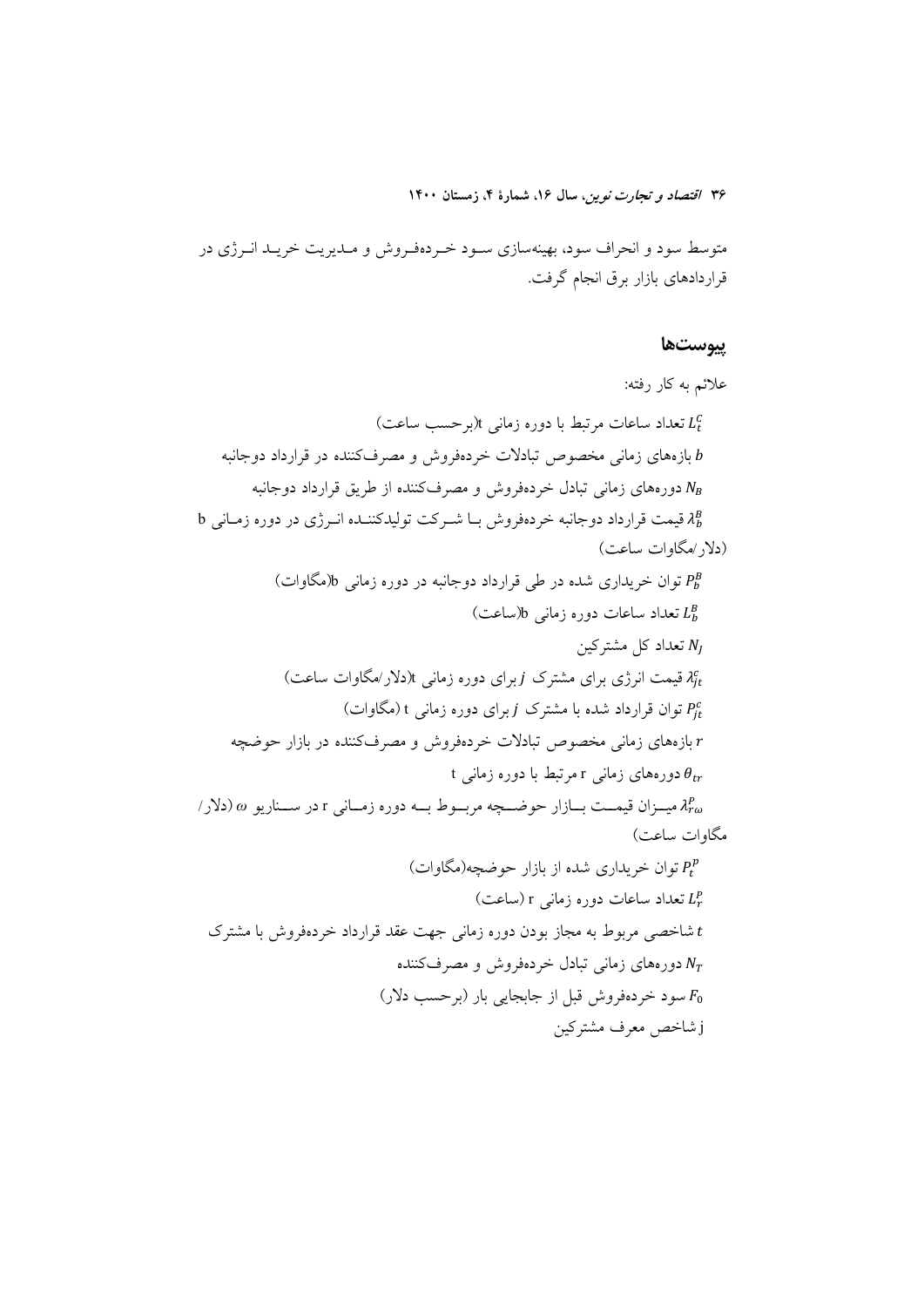متوسط سود و انحراف سود، بهینهسازی سـود خـردهفـروش و مـدیریت خریـد انــرژی در قراردادهای بازار برق انجام گرفت.

#### ييوستها

علائم به کار رفته: تعداد ساعات مرتبط با دوره زمانی t(برحسب ساعت)  $L_t^C$ بازههای زمانی مخصوص تبادلات خردهفروش و مصرفکننده در قرارداد دوجانبه  $b$ دورههای زمانی تبادل خردهفروش و مصرفکننده از طریق قرارداد دوجانبه  $N_B$  $b$  قیمت قرارداد دوجانبه خردهفروش بـا شـرکت تولیدکننـده انـرژی در دوره زمـانی b (دلار /مگاوات ساعت) توان خریداری شده در طی قرارداد دوجانبه در دوره زمانی b(مگاوات) LB تعداد ساعات دوره زمانی b(ساعت) تعداد کل مشترکین  $N_I$  $\zeta$ قیمت انرژی برای مشترک  $j$ برای دوره زمانی  $f(x)$ دلار/مگاوات ساعت) توان قرارداد شده با مشترک j برای دوره زمانی t (مگاوات) بازههای زمانی مخصوص تبادلات خردهفروش و مصرفکننده در بازار حوضچه  $r$ t دورههای زمانی r مرتبط با دوره زمانی t  $\alpha$  میسزان قیمست بسازار حوضسچه مربسوط بسه دوره زمسانی r در سسناریو  $\omega$  (دلار) مگاوات ساعت) توان خریداری شده از بازار حوضچه(مگاوات)  $P_t^p$ تعداد ساعات دوره زمانی r (ساعت)  $L_r^p$ شاخصی مربوط به مجاز بودن دوره زمانی جهت عقد قرارداد خردهفروش با مشترک دورههای زمانی تبادل خردهفروش و مصرفکننده  $N_T$ ر ابر حسب دلار) سود خردهفروش قبل از جابجایی بار (بر حسب دلار) j شاخص معرف مشتركين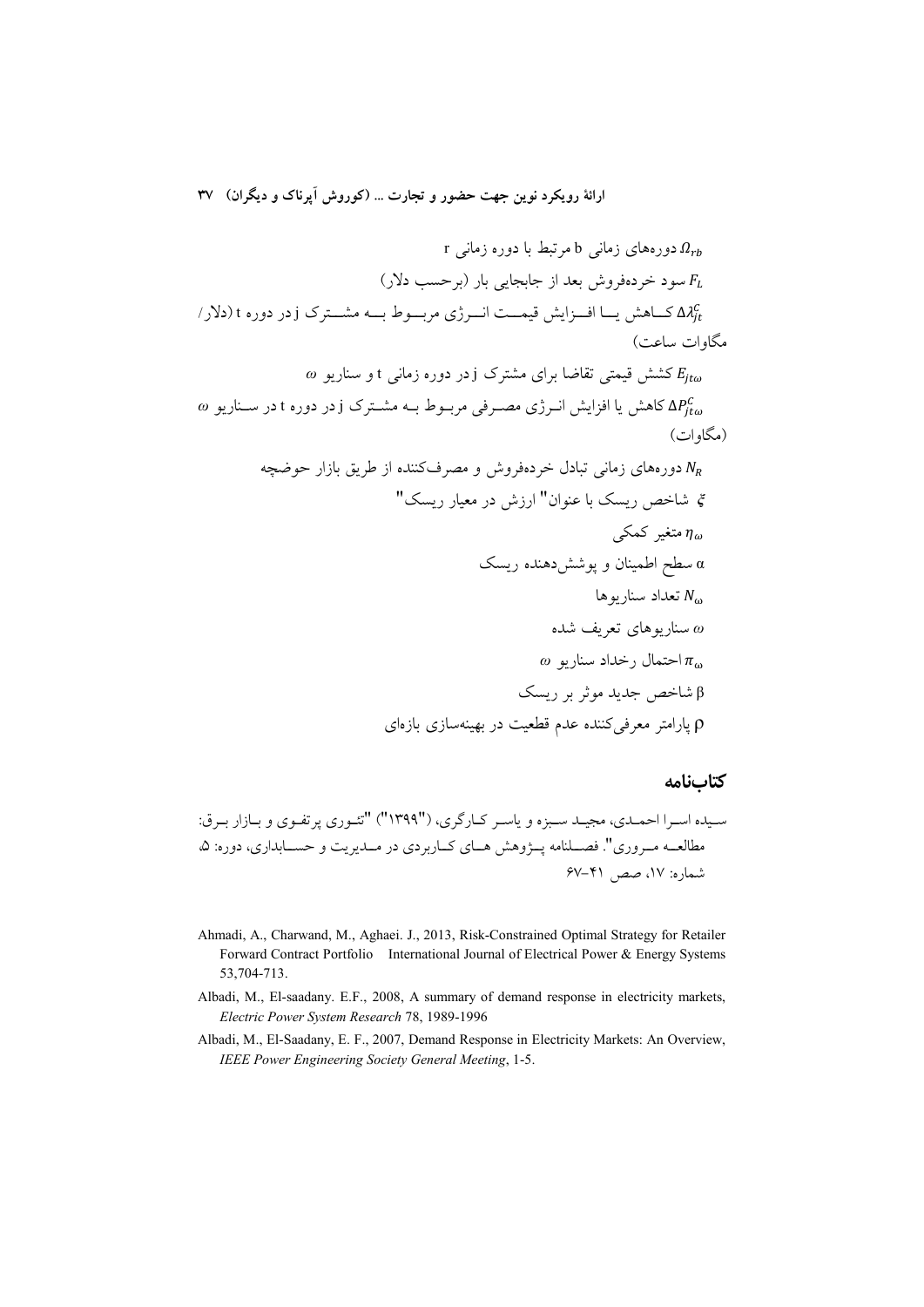ارائهٔ رویکرد نوین جهت حضور و تجارت ... (کوروش اَپرناک و دیگران) ۳۷

م 0 دوردهای زمانی 1 مرتبط با دور زمانی 1  
\n7 سود خردهزوش بعد از جابجایی بار (برحسب دلار)  
\n7 
$$
μ_0
$$
 کیامش یبا افرایش قیمت اسرژی مرب-وط به مش-ترک ازدر دوره 1 دلارر  
\n6  $Δλ_0^C$   
\n6  $Δρ_0^C$   
\n6  $Δρ_0^C$   
\n7  $δε/σ$   
\n8  $Δρ_0^C$   
\n9  $Δρ_0^C$   
\n10  $Δρ_0^C$   
\n11  $σε(ωπα) = απα$   
\n12  $Δρπα$   
\n13  $Δρπα$   
\n14  $απαα$   
\n15  $Δρπαα$   
\n16  $α<sup>π</sup>ααα<sup>π</sup>αα<sup>π</sup>αα<sup>π</sup>αα<sup>π</sup>αα<sup>π</sup>αα<sup>π</sup>αα<sup>π</sup>αα<sup>π</sup>αα<sup>π</sup>αα<sup>π</sup>αα<sup>π</sup>αα<sup>π</sup>αα<sup>π</sup>αα<sup>π</sup>αα<sup>π</sup>αα<sup>π</sup>αα<sup>π</sup>αα<sup>π</sup>αα<sup>π</sup>αα<sup>π</sup>αα<sup>π</sup>αα<sup>π</sup>αα<sup>π</sup>αα<sup>π</sup>αα<sup>π</sup>αα<sup>π</sup>αα<sup>π</sup>αα<sup>π</sup>αα<sup>π</sup>αα<sup>π</sup>αα<sup>π</sup>αα<sup>π</sup>αα<sup>π</sup>αα<sup>π</sup>αα<sup>π</sup>αα<sup>π</sup>αα<sup>π</sup>αα<sup>π</sup>αα<sup>π</sup>αα<sup>π</sup>αα<sup>π</sup>αα<sup>π</sup>αα<sup>π</sup>αα<sup>π</sup>αα<sup>π</sup>αα<sup>π</sup>$ 

# كتابنامه

- Ahmadi, A., Charwand, M., Aghaei. J., 2013, Risk-Constrained Optimal Strategy for Retailer Forward Contract Portfolio International Journal of Electrical Power & Energy Systems 53,704-713.
- Albadi, M., El-saadany. E.F., 2008, A summary of demand response in electricity markets, Electric Power System Research 78, 1989-1996
- Albadi, M., El-Saadany, E. F., 2007, Demand Response in Electricity Markets: An Overview, IEEE Power Engineering Society General Meeting, 1-5.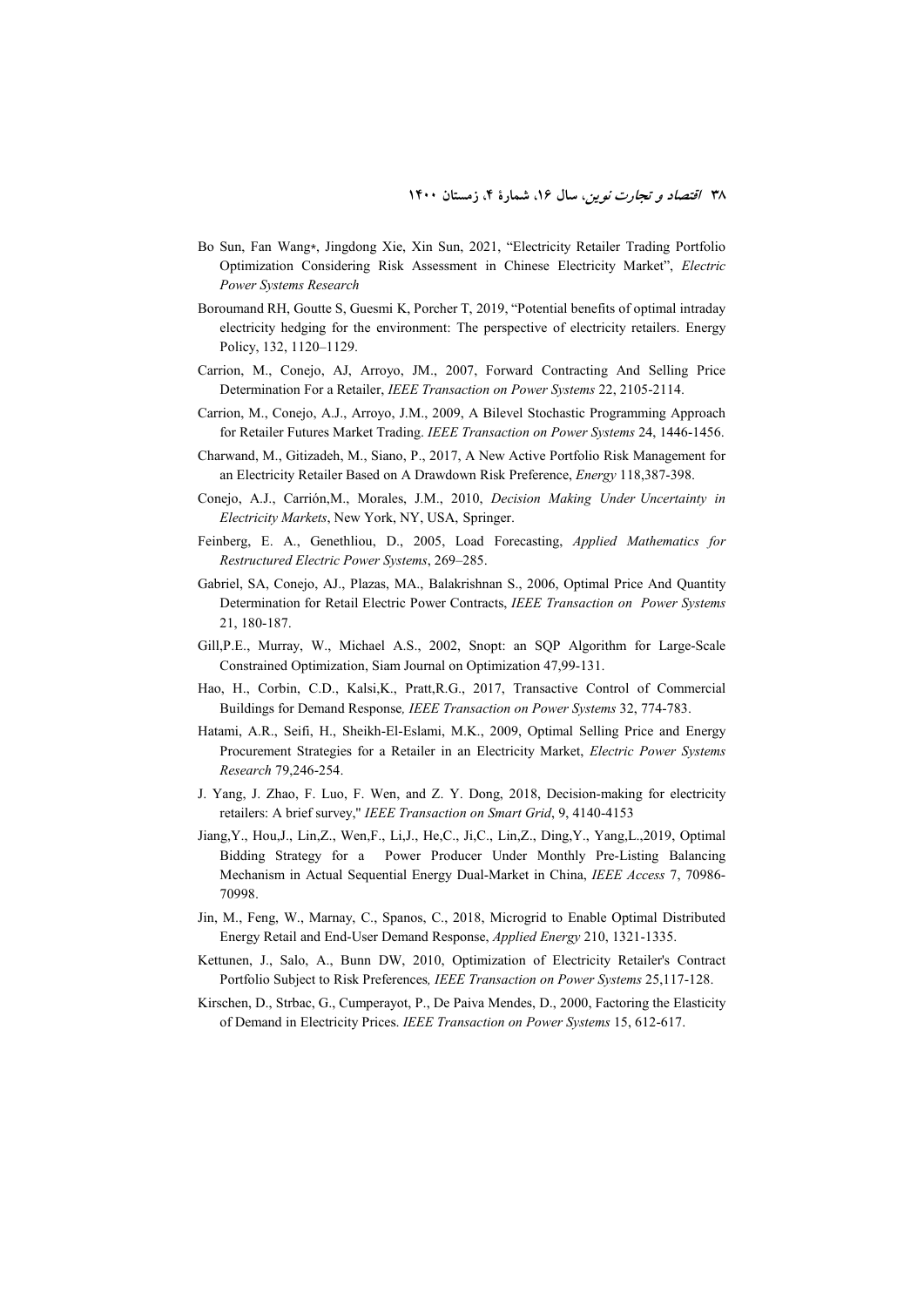- Bo Sun, Fan Wang⁎, Jingdong Xie, Xin Sun, 2021, "Electricity Retailer Trading Portfolio Optimization Considering Risk Assessment in Chinese Electricity Market", *Electric Power Systems Research*
- Boroumand RH, Goutte S, Guesmi K, Porcher T, 2019, "Potential benefits of optimal intraday electricity hedging for the environment: The perspective of electricity retailers. Energy Policy, 132, 1120–1129.
- Carrion, M., Conejo, AJ, Arroyo, JM., 2007, Forward Contracting And Selling Price Determination For a Retailer, *IEEE Transaction on Power Systems* 22, 2105-2114.
- Carrion, M., Conejo, A.J., Arroyo, J.M., 2009, A Bilevel Stochastic Programming Approach for Retailer Futures Market Trading. *IEEE Transaction on Power Systems* 24, 1446-1456.
- Charwand, M., Gitizadeh, M., Siano, P., 2017, A New Active Portfolio Risk Management for an Electricity Retailer Based on A Drawdown Risk Preference, *Energy* 118,387-398.
- Conejo, A.J., Carrión,M., Morales, J.M., 2010, *Decision Making Under Uncertainty in Electricity Markets*, New York, NY, USA, Springer.
- Feinberg, E. A., Genethliou, D., 2005, Load Forecasting, *Applied Mathematics for Restructured Electric Power Systems*, 269–285.
- Gabriel, SA, Conejo, AJ., Plazas, MA., Balakrishnan S., 2006, Optimal Price And Quantity Determination for Retail Electric Power Contracts, *IEEE Transaction on Power Systems* 21, 180-187.
- Gill,P.E., Murray, W., Michael A.S., 2002, Snopt: an SQP Algorithm for Large-Scale Constrained Optimization, Siam Journal on Optimization 47,99-131.
- Hao, H., Corbin, C.D., Kalsi,K., Pratt,R.G., 2017, Transactive Control of Commercial Buildings for Demand Response*, IEEE Transaction on Power Systems* 32, 774-783.
- Hatami, A.R., Seifi, H., Sheikh-El-Eslami, M.K., 2009, Optimal Selling Price and Energy Procurement Strategies for a Retailer in an Electricity Market, *Electric Power Systems Research* 79,246-254.
- J. Yang, J. Zhao, F. Luo, F. Wen, and Z. Y. Dong, 2018, Decision-making for electricity retailers: A brief survey,'' *IEEE Transaction on Smart Grid*, 9, 4140-4153
- Jiang,Y., Hou,J., Lin,Z., Wen,F., Li,J., He,C., Ji,C., Lin,Z., Ding,Y., Yang,L.,2019, Optimal Bidding Strategy for a Power Producer Under Monthly Pre-Listing Balancing Mechanism in Actual Sequential Energy Dual-Market in China, *IEEE Access* 7, 70986- 70998.
- Jin, M., Feng, W., Marnay, C., Spanos, C., 2018, Microgrid to Enable Optimal Distributed Energy Retail and End-User Demand Response, *Applied Energy* 210, 1321-1335.
- Kettunen, J., Salo, A., Bunn DW, 2010, Optimization of Electricity Retailer's Contract Portfolio Subject to Risk Preferences*, IEEE Transaction on Power Systems* 25,117-128.
- Kirschen, D., Strbac, G., Cumperayot, P., De Paiva Mendes, D., 2000, Factoring the Elasticity of Demand in Electricity Prices. *IEEE Transaction on Power Systems* 15, 612-617.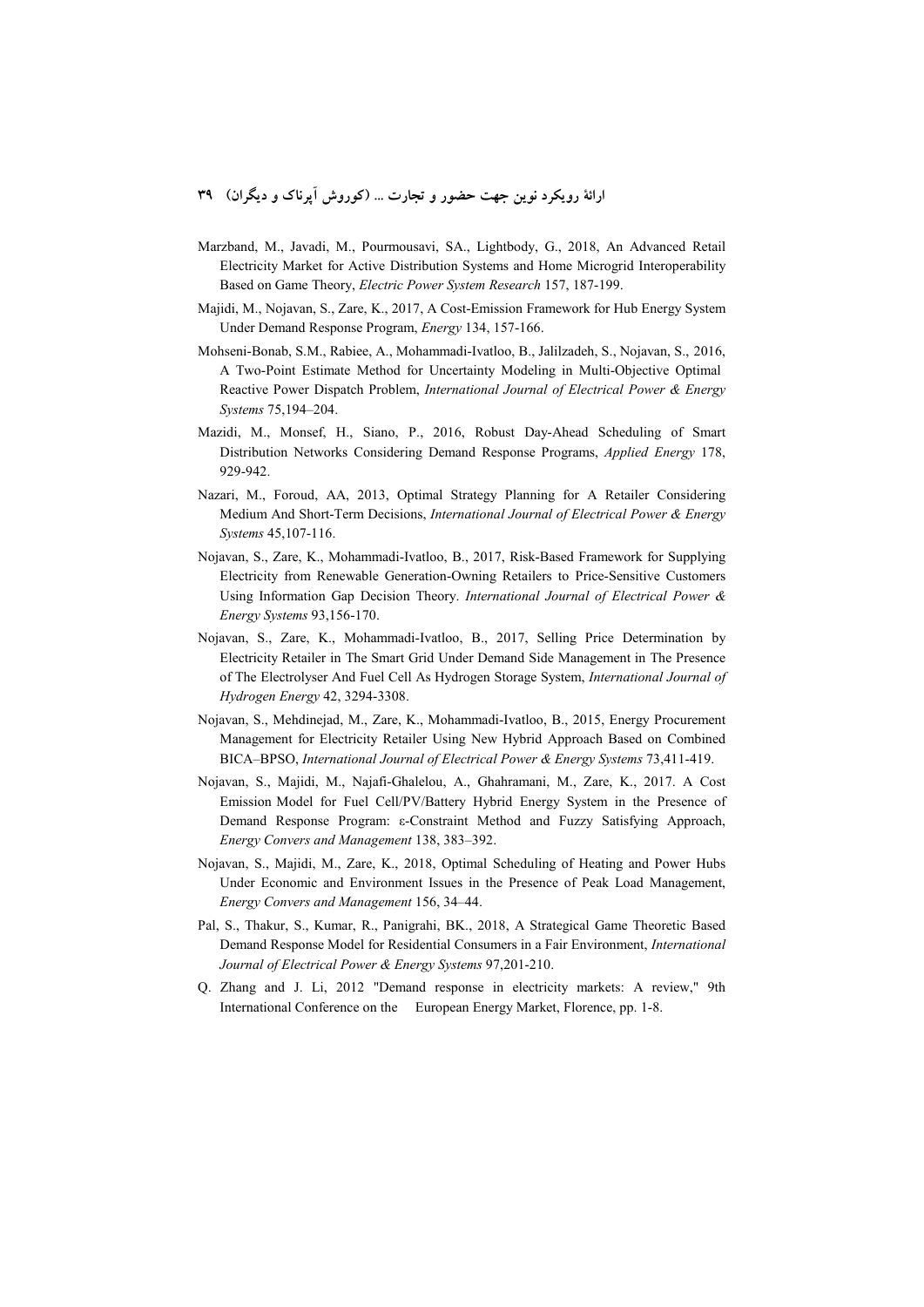- Marzband, M., Javadi, M., Pourmousavi, SA., Lightbody, G., 2018, An Advanced Retail Electricity Market for Active Distribution Systems and Home Microgrid Interoperability Based on Game Theory, *Electric Power System Research* 157, 187-199.
- Majidi, M., Nojavan, S., Zare, K., 2017, A Cost-Emission Framework for Hub Energy System Under Demand Response Program, *Energy* 134, 157-166.
- Mohseni-Bonab, S.M., Rabiee, A., Mohammadi-Ivatloo, B., Jalilzadeh, S., Nojavan, S., 2016, A Two-Point Estimate Method for Uncertainty Modeling in Multi-Objective Optimal Reactive Power Dispatch Problem, *International Journal of Electrical Power & Energy Systems* 75,194–204.
- Mazidi, M., Monsef, H., Siano, P., 2016, Robust Day-Ahead Scheduling of Smart Distribution Networks Considering Demand Response Programs, *Applied Energy* 178, 929-942.
- Nazari, M., Foroud, AA, 2013, Optimal Strategy Planning for A Retailer Considering Medium And Short-Term Decisions, *International Journal of Electrical Power & Energy Systems* 45,107-116.
- Nojavan, S., Zare, K., Mohammadi-Ivatloo, B., 2017, Risk-Based Framework for Supplying Electricity from Renewable Generation-Owning Retailers to Price-Sensitive Customers Using Information Gap Decision Theory. *International Journal of Electrical Power & Energy Systems* 93,156-170.
- Nojavan, S., Zare, K., Mohammadi-Ivatloo, B., 2017, Selling Price Determination by Electricity Retailer in The Smart Grid Under Demand Side Management in The Presence of The Electrolyser And Fuel Cell As Hydrogen Storage System, *International Journal of Hydrogen Energy* 42, 3294-3308.
- Nojavan, S., Mehdinejad, M., Zare, K., Mohammadi-Ivatloo, B., 2015, Energy Procurement Management for Electricity Retailer Using New Hybrid Approach Based on Combined BICA–BPSO, *International Journal of Electrical Power & Energy Systems* 73,411-419.
- Nojavan, S., Majidi, M., Najafi-Ghalelou, A., Ghahramani, M., Zare, K., 2017. A Cost Emission Model for Fuel Cell/PV/Battery Hybrid Energy System in the Presence of Demand Response Program: ε-Constraint Method and Fuzzy Satisfying Approach, *Energy Convers and Management* 138, 383–392.
- Nojavan, S., Majidi, M., Zare, K., 2018, Optimal Scheduling of Heating and Power Hubs Under Economic and Environment Issues in the Presence of Peak Load Management, *Energy Convers and Management* 156, 34–44.
- Pal, S., Thakur, S., Kumar, R., Panigrahi, BK., 2018, A Strategical Game Theoretic Based Demand Response Model for Residential Consumers in a Fair Environment, *International Journal of Electrical Power & Energy Systems* 97,201-210.
- Q. Zhang and J. Li, 2012 "Demand response in electricity markets: A review," 9th International Conference on the European Energy Market, Florence, pp. 1-8.